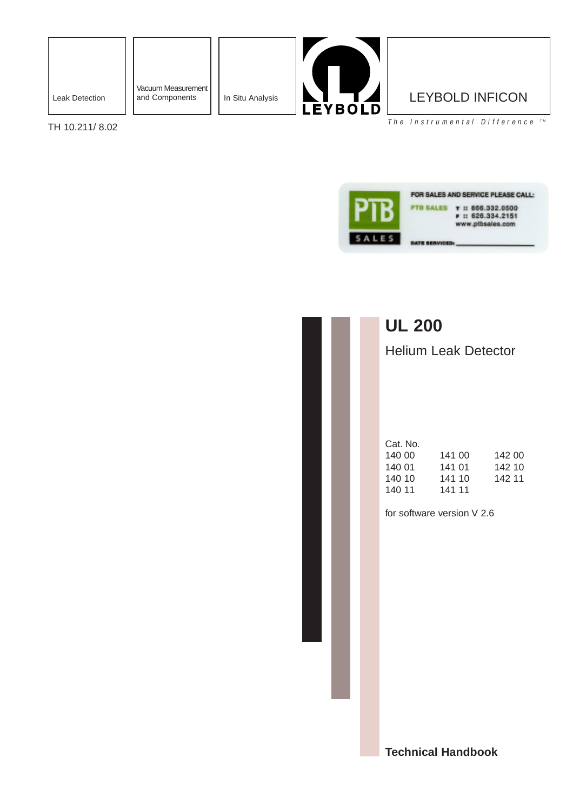

Vacuum Measurement<br>and Components



The Instrumental Difference  $TM$ 

TH 10.211/ 8.02



## **UL 200**

Helium Leak Detector

| Cat. No. |        |        |
|----------|--------|--------|
| 140 00   | 141 00 | 142 00 |
| 140 01   | 141 01 | 142 10 |
| 140 10   | 141 10 | 142 11 |
| 140 11   | 141 11 |        |
|          |        |        |

for software version V 2.6

**Technical Handbook**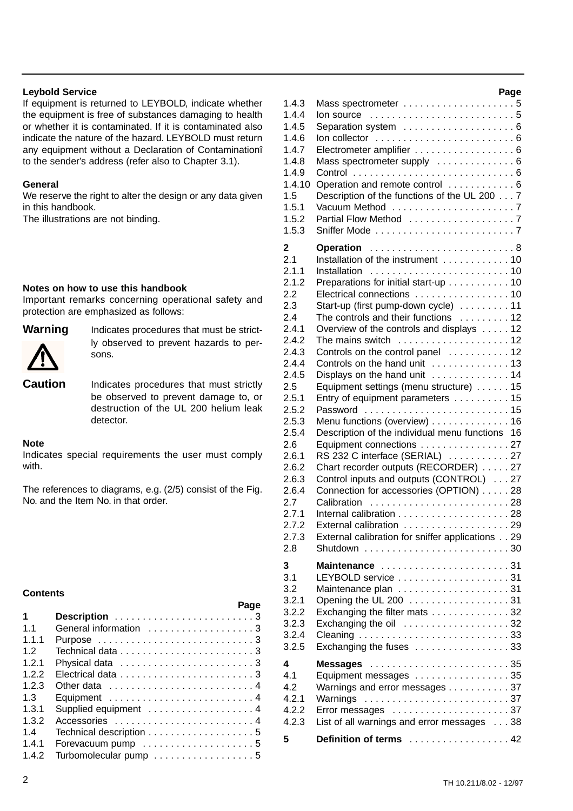#### **Leybold Service**

If equipment is returned to LEYBOLD, indicate whether the equipment is free of substances damaging to health or whether it is contaminated. If it is contaminated also indicate the nature of the hazard. LEYBOLD must return any equipment without a Declaration of Contaminationî to the sender's address (refer also to Chapter 3.1).

#### **General**

We reserve the right to alter the design or any data given in this handbook.

The illustrations are not binding.

#### **Notes on how to use this handbook**

Important remarks concerning operational safety and protection are emphasized as follows:



**Warning** Indicates procedures that must be strictly observed to prevent hazards to persons.

**Caution** Indicates procedures that must strictly be observed to prevent damage to, or destruction of the UL 200 helium leak detector.

#### **Note**

Indicates special requirements the user must comply with.

The references to diagrams, e.g. (2/5) consist of the Fig. No. and the Item No. in that order.

#### **Contents**

|                | Page                    |  |
|----------------|-------------------------|--|
| 1              |                         |  |
| 1 <sub>1</sub> | General information 3   |  |
| 111            |                         |  |
| 1.2            |                         |  |
| 1.2.1          |                         |  |
| 1.2.2          |                         |  |
| 1.2.3          |                         |  |
| 1.3            | Equipment 4             |  |
| 1.3.1          | Supplied equipment  4   |  |
| 1.3.2          | Accessories  4          |  |
| 14             | Technical description 5 |  |
| 1.4.1          |                         |  |
| 1.4.2          | Turbomolecular pump 5   |  |

|          |                                                                        | Page |
|----------|------------------------------------------------------------------------|------|
| 1.4.3    |                                                                        |      |
| 1.4.4    | Ion source $\ldots \ldots \ldots \ldots \ldots \ldots \ldots \ldots 5$ |      |
| 1.4.5    | Separation system  6                                                   |      |
| 1.4.6    | $\ln$ collector $\ldots \ldots \ldots \ldots \ldots \ldots \ldots 6$   |      |
| 1.4.7    | Electrometer amplifier  6                                              |      |
| 1.4.8    | Mass spectrometer supply  6                                            |      |
| 1.4.9    |                                                                        |      |
| 1.4.10   | Operation and remote control  6                                        |      |
| 1.5      | Description of the functions of the UL 200 7                           |      |
| 1.5.1    |                                                                        |      |
| 1.5.2    |                                                                        |      |
| 1.5.3    |                                                                        |      |
|          |                                                                        |      |
| 2<br>2.1 | <b>Operation</b><br>Installation of the instrument 10                  |      |
| 2.1.1    | Installation                                                           |      |
| 2.1.2    |                                                                        |      |
|          | Preparations for initial start-up 10                                   |      |
| 2.2      | Electrical connections  10                                             |      |
| 2.3      | Start-up (first pump-down cycle) 11                                    |      |
| 2.4      | The controls and their functions  12                                   |      |
| 2.4.1    | Overview of the controls and displays 12                               |      |
| 2.4.2    | The mains switch                                                       |      |
| 2.4.3    | Controls on the control panel  12                                      |      |
| 2.4.4    | Controls on the hand unit  13                                          |      |
| 2.4.5    | Displays on the hand unit  14                                          |      |
| 2.5      | Equipment settings (menu structure) 15                                 |      |
| 2.5.1    | Entry of equipment parameters  15                                      |      |
| 2.5.2    | Password  15                                                           |      |
| 2.5.3    | Menu functions (overview) 16                                           |      |
| 2.5.4    | Description of the individual menu functions 16                        |      |
| 2.6      | Equipment connections 27                                               |      |
| 2.6.1    | RS 232 C interface (SERIAL) 27                                         |      |
| 2.6.2    | Chart recorder outputs (RECORDER) 27                                   |      |
| 2.6.3    | Control inputs and outputs (CONTROL) 27                                |      |
| 2.6.4    | Connection for accessories (OPTION) 28                                 |      |
| 2.7      | Calibration                                                            |      |
| 2.7.1    |                                                                        |      |
| 2.7.2    | External calibration 29                                                |      |
| 2.7.3    | External calibration for sniffer applications 29                       |      |
| 2.8      |                                                                        |      |
| 3        | Maintenance 31                                                         |      |
| 3.1      |                                                                        |      |
| 3.2      |                                                                        |      |
| 3.2.1    | Opening the UL 200 31                                                  |      |
| 3.2.2    | Exchanging the filter mats 32                                          |      |
| 3.2.3    | Exchanging the oil 32                                                  |      |
| 3.2.4    |                                                                        |      |
| 3.2.5    | Exchanging the fuses 33                                                |      |
|          |                                                                        |      |
| 4        |                                                                        |      |
| 4.1      | Equipment messages 35                                                  |      |
| 4.2      | Warnings and error messages 37                                         |      |
| 4.2.1    | Warnings                                                               |      |
| 4.2.2    |                                                                        |      |
| 4.2.3    | List of all warnings and error messages 38                             |      |
| 5        | Definition of terms 42                                                 |      |
|          |                                                                        |      |

**Page**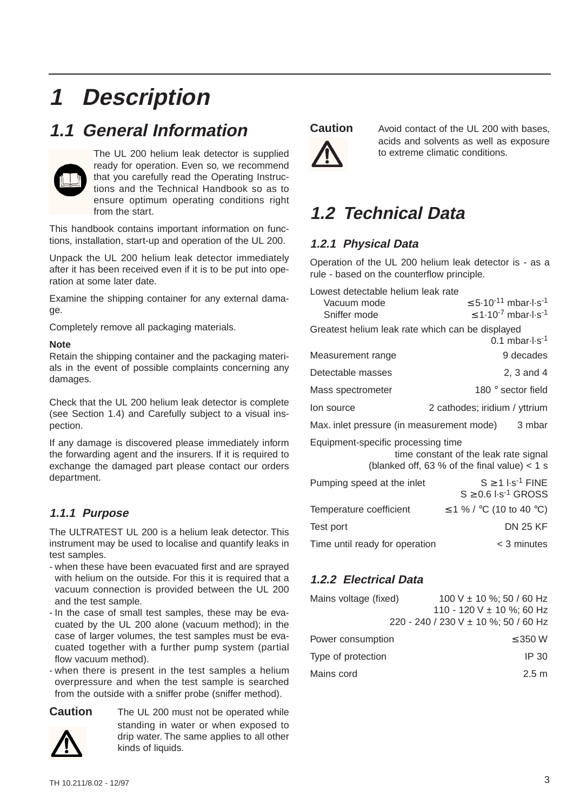# **1 Description**

## **1.1 General Information**



The UL 200 helium leak detector is supplied ready for operation. Even so, we recommend that you carefully read the Operating Instructions and the Technical Handbook so as to ensure optimum operating conditions right from the start.

This handbook contains important information on functions, installation, start-up and operation of the UL 200.

Unpack the UL 200 helium leak detector immediately after it has been received even if it is to be put into operation at some later date.

Examine the shipping container for any external damage.

Completely remove all packaging materials.

#### **Note**

Retain the shipping container and the packaging materials in the event of possible complaints concerning any damages.

Check that the UL 200 helium leak detector is complete (see Section 1.4) and Carefully subject to a visual inspection.

If any damage is discovered please immediately inform the forwarding agent and the insurers. If it is required to exchange the damaged part please contact our orders department.

## **1.1.1 Purpose**

The ULTRATEST UL 200 is a helium leak detector. This instrument may be used to localise and quantify leaks in test samples.

- when these have been evacuated first and are sprayed with helium on the outside. For this it is required that a vacuum connection is provided between the UL 200 and the test sample.
- In the case of small test samples, these may be evacuated by the UL 200 alone (vacuum method); in the case of larger volumes, the test samples must be evacuated together with a further pump system (partial flow vacuum method).
- when there is present in the test samples a helium overpressure and when the test sample is searched from the outside with a sniffer probe (sniffer method).

**Caution** The UL 200 must not be operated while standing in water or when exposed to drip water. The same applies to all other kinds of liquids.

Vacuum mode  $\leq 5.10^{-11}$  mbar $\cdot$ l·s<sup>-1</sup> Sniffer mode  $\leq 1.10^{-7}$  mbar-l·s<sup>-1</sup> Greatest helium leak rate which can be displayed

|                                                                                                                               | $0.1$ mbar $\cdot$ l $\cdot$ s <sup>-1</sup>                                 |  |
|-------------------------------------------------------------------------------------------------------------------------------|------------------------------------------------------------------------------|--|
| Measurement range                                                                                                             | 9 decades                                                                    |  |
| Detectable masses                                                                                                             | 2, 3 and 4                                                                   |  |
| Mass spectrometer                                                                                                             | 180 $^{\circ}$ sector field                                                  |  |
| lon source                                                                                                                    | 2 cathodes; iridium / yttrium                                                |  |
| Max. inlet pressure (in measurement mode)<br>3 mbar                                                                           |                                                                              |  |
| Equipment-specific processing time<br>time constant of the leak rate signal<br>(blanked off, 63 % of the final value) $<$ 1 s |                                                                              |  |
| Pumping speed at the inlet                                                                                                    | $S > 1$ I.s <sup>-1</sup> FINE<br>$S \geq 0.6$ $\cdot$ s <sup>-1</sup> GROSS |  |
| Temperature coefficient                                                                                                       | ≤ 1 % / $\degree$ C (10 to 40 $\degree$ C)                                   |  |
| Test port                                                                                                                     | <b>DN 25 KF</b>                                                              |  |
| Time until ready for operation                                                                                                | < 3 minutes                                                                  |  |

**Caution** Avoid contact of the UL 200 with bases,

Operation of the UL 200 helium leak detector is - as a

**1.2 Technical Data**

rule - based on the counterflow principle.

Lowest detectable helium leak rate

**1.2.1 Physical Data**

to extreme climatic conditions.

acids and solvents as well as exposure

## **1.2.2 Electrical Data**

| Mains voltage (fixed) | 100 V $\pm$ 10 %; 50 / 60 Hz<br>110 - 120 V $\pm$ 10 %; 60 Hz |
|-----------------------|---------------------------------------------------------------|
|                       | 220 - 240 / 230 V ± 10 %; 50 / 60 Hz                          |
| Power consumption     | $\leq$ 350 W                                                  |
| Type of protection    | IP 30                                                         |
| Mains cord            | 2.5 m                                                         |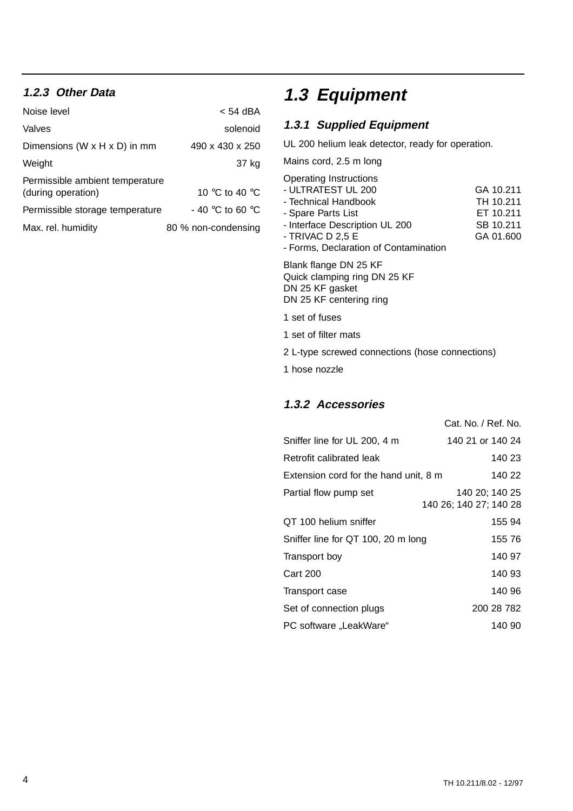## **1.2.3 Other Data**

| Noise level                                           | < 54 dBA            |
|-------------------------------------------------------|---------------------|
| Valves                                                | solenoid            |
| Dimensions (W $\times$ H $\times$ D) in mm            | 490 x 430 x 250     |
| Weight                                                | 37 kg               |
| Permissible ambient temperature<br>(during operation) | 10 °C to 40 °C      |
| Permissible storage temperature                       | - 40 °C to 60 °C    |
| Max. rel. humidity                                    | 80 % non-condensing |

# **1.3 Equipment**

## **1.3.1 Supplied Equipment**

UL 200 helium leak detector, ready for operation.

Mains cord, 2.5 m long

| <b>Operating Instructions</b>         |           |
|---------------------------------------|-----------|
| - ULTRATEST UL 200                    | GA 10.211 |
| - Technical Handbook                  | TH 10.211 |
| - Spare Parts List                    | ET 10.211 |
| - Interface Description UL 200        | SB 10.211 |
| - TRIVAC D 2,5 E                      | GA 01.600 |
| - Forms, Declaration of Contamination |           |
| Blank flange DN 25 KF                 |           |
| Quick clamping ring DN 25 KF          |           |
|                                       |           |

DN 25 KF gasket DN 25 KF centering ring

- 1 set of fuses
- 1 set of filter mats
- 2 L-type screwed connections (hose connections)
- 1 hose nozzle

### **1.3.2 Accessories**

|                                       | Cat. No. / Ref. No.                      |
|---------------------------------------|------------------------------------------|
| Sniffer line for UL 200, 4 m          | 140 21 or 140 24                         |
| Retrofit calibrated leak              | 140 23                                   |
| Extension cord for the hand unit, 8 m | 140 22                                   |
| Partial flow pump set                 | 140 20: 140 25<br>140 26; 140 27; 140 28 |
| QT 100 helium sniffer                 | 155 94                                   |
| Sniffer line for QT 100, 20 m long    | 155 76                                   |
| Transport boy                         | 140 97                                   |
| <b>Cart 200</b>                       | 140 93                                   |
| Transport case                        | 140 96                                   |
| Set of connection plugs               | 200 28 782                               |
| PC software "LeakWare"                | 140 90                                   |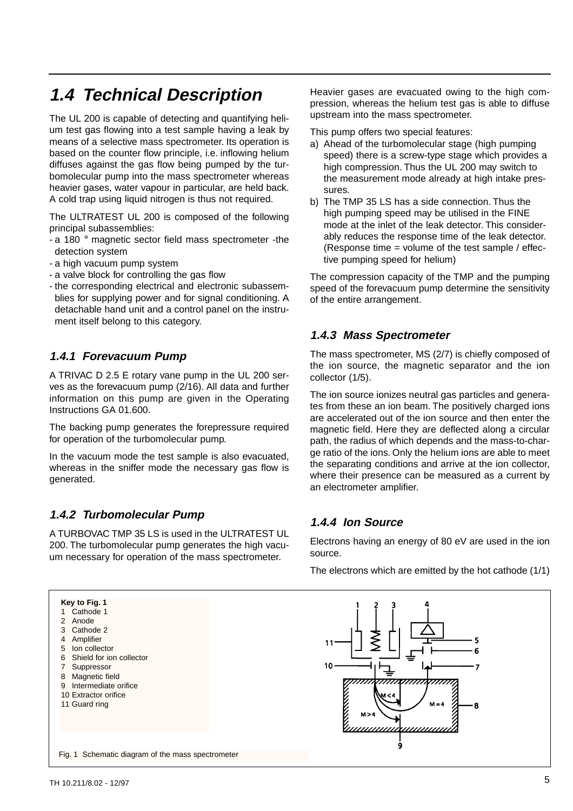## **1.4 Technical Description**

The UL 200 is capable of detecting and quantifying helium test gas flowing into a test sample having a leak by means of a selective mass spectrometer. Its operation is based on the counter flow principle, i.e. inflowing helium diffuses against the gas flow being pumped by the turbomolecular pump into the mass spectrometer whereas heavier gases, water vapour in particular, are held back. A cold trap using liquid nitrogen is thus not required.

The ULTRATEST UL 200 is composed of the following principal subassemblies:

- a 180 ° magnetic sector field mass spectrometer -the detection system
- a high vacuum pump system
- a valve block for controlling the gas flow
- the corresponding electrical and electronic subassemblies for supplying power and for signal conditioning. A detachable hand unit and a control panel on the instrument itself belong to this category.

### **1.4.1 Forevacuum Pump**

A TRIVAC D 2.5 E rotary vane pump in the UL 200 serves as the forevacuum pump (2/16). All data and further information on this pump are given in the Operating Instructions GA 01.600.

The backing pump generates the forepressure required for operation of the turbomolecular pump.

In the vacuum mode the test sample is also evacuated, whereas in the sniffer mode the necessary gas flow is generated.

### **1.4.2 Turbomolecular Pump**

A TURBOVAC TMP 35 LS is used in the ULTRATEST UL 200. The turbomolecular pump generates the high vacuum necessary for operation of the mass spectrometer.

Heavier gases are evacuated owing to the high compression, whereas the helium test gas is able to diffuse upstream into the mass spectrometer.

- This pump offers two special features:
- a) Ahead of the turbomolecular stage (high pumping speed) there is a screw-type stage which provides a high compression. Thus the UL 200 may switch to the measurement mode already at high intake pressures.
- b) The TMP 35 LS has a side connection. Thus the high pumping speed may be utilised in the FINE mode at the inlet of the leak detector. This considerably reduces the response time of the leak detector. (Response time = volume of the test sample / effective pumping speed for helium)

The compression capacity of the TMP and the pumping speed of the forevacuum pump determine the sensitivity of the entire arrangement.

### **1.4.3 Mass Spectrometer**

The mass spectrometer, MS (2/7) is chiefly composed of the ion source, the magnetic separator and the ion collector (1/5).

The ion source ionizes neutral gas particles and generates from these an ion beam. The positively charged ions are accelerated out of the ion source and then enter the magnetic field. Here they are deflected along a circular path, the radius of which depends and the mass-to-charge ratio of the ions. Only the helium ions are able to meet the separating conditions and arrive at the ion collector, where their presence can be measured as a current by an electrometer amplifier.

### **1.4.4 Ion Source**

Electrons having an energy of 80 eV are used in the ion source.

The electrons which are emitted by the hot cathode (1/1)

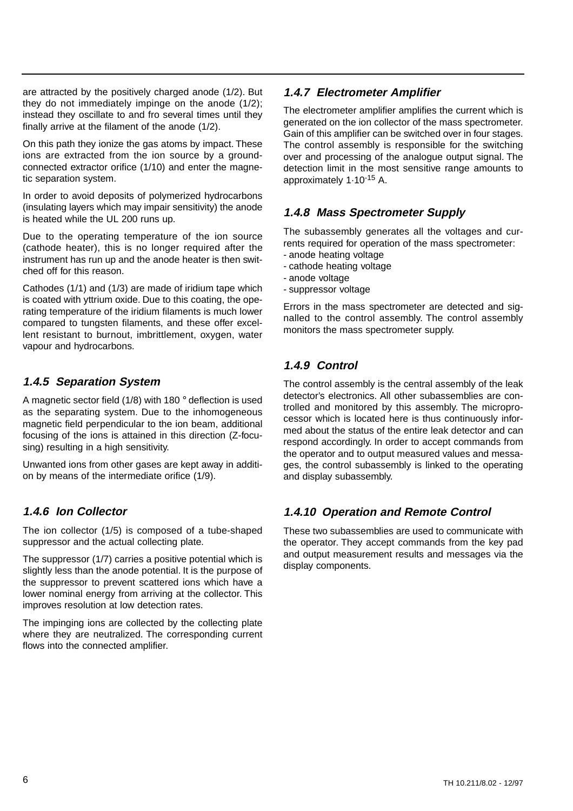are attracted by the positively charged anode (1/2). But they do not immediately impinge on the anode (1/2); instead they oscillate to and fro several times until they finally arrive at the filament of the anode (1/2).

On this path they ionize the gas atoms by impact. These ions are extracted from the ion source by a groundconnected extractor orifice (1/10) and enter the magnetic separation system.

In order to avoid deposits of polymerized hydrocarbons (insulating layers which may impair sensitivity) the anode is heated while the UL 200 runs up.

Due to the operating temperature of the ion source (cathode heater), this is no longer required after the instrument has run up and the anode heater is then switched off for this reason.

Cathodes (1/1) and (1/3) are made of iridium tape which is coated with yttrium oxide. Due to this coating, the operating temperature of the iridium filaments is much lower compared to tungsten filaments, and these offer excellent resistant to burnout, imbrittlement, oxygen, water vapour and hydrocarbons.

### **1.4.5 Separation System**

A magnetic sector field (1/8) with 180 ° deflection is used as the separating system. Due to the inhomogeneous magnetic field perpendicular to the ion beam, additional focusing of the ions is attained in this direction (Z-focusing) resulting in a high sensitivity.

Unwanted ions from other gases are kept away in addition by means of the intermediate orifice (1/9).

### **1.4.6 Ion Collector**

The ion collector (1/5) is composed of a tube-shaped suppressor and the actual collecting plate.

The suppressor (1/7) carries a positive potential which is slightly less than the anode potential. It is the purpose of the suppressor to prevent scattered ions which have a lower nominal energy from arriving at the collector. This improves resolution at low detection rates.

The impinging ions are collected by the collecting plate where they are neutralized. The corresponding current flows into the connected amplifier.

## **1.4.7 Electrometer Amplifier**

The electrometer amplifier amplifies the current which is generated on the ion collector of the mass spectrometer. Gain of this amplifier can be switched over in four stages. The control assembly is responsible for the switching over and processing of the analogue output signal. The detection limit in the most sensitive range amounts to approximately 1·10-15 A.

### **1.4.8 Mass Spectrometer Supply**

The subassembly generates all the voltages and currents required for operation of the mass spectrometer:

- anode heating voltage
- cathode heating voltage
- anode voltage
- suppressor voltage

Errors in the mass spectrometer are detected and signalled to the control assembly. The control assembly monitors the mass spectrometer supply.

## **1.4.9 Control**

The control assembly is the central assembly of the leak detector's electronics. All other subassemblies are controlled and monitored by this assembly. The microprocessor which is located here is thus continuously informed about the status of the entire leak detector and can respond accordingly. In order to accept commands from the operator and to output measured values and messages, the control subassembly is linked to the operating and display subassembly.

## **1.4.10 Operation and Remote Control**

These two subassemblies are used to communicate with the operator. They accept commands from the key pad and output measurement results and messages via the display components.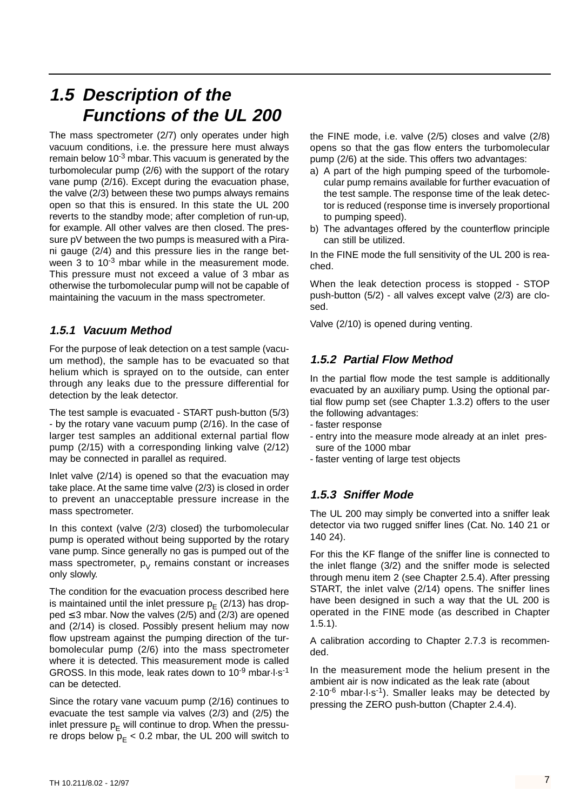## **1.5 Description of the Functions of the UL 200**

The mass spectrometer (2/7) only operates under high vacuum conditions, i.e. the pressure here must always remain below 10<sup>-3</sup> mbar. This vacuum is generated by the turbomolecular pump (2/6) with the support of the rotary vane pump (2/16). Except during the evacuation phase, the valve (2/3) between these two pumps always remains open so that this is ensured. In this state the UL 200 reverts to the standby mode; after completion of run-up, for example. All other valves are then closed. The pressure pV between the two pumps is measured with a Pirani gauge (2/4) and this pressure lies in the range between 3 to  $10^{-3}$  mbar while in the measurement mode. This pressure must not exceed a value of 3 mbar as otherwise the turbomolecular pump will not be capable of maintaining the vacuum in the mass spectrometer.

## **1.5.1 Vacuum Method**

For the purpose of leak detection on a test sample (vacuum method), the sample has to be evacuated so that helium which is sprayed on to the outside, can enter through any leaks due to the pressure differential for detection by the leak detector.

The test sample is evacuated - START push-button (5/3) - by the rotary vane vacuum pump (2/16). In the case of larger test samples an additional external partial flow pump (2/15) with a corresponding linking valve (2/12) may be connected in parallel as required.

Inlet valve (2/14) is opened so that the evacuation may take place. At the same time valve (2/3) is closed in order to prevent an unacceptable pressure increase in the mass spectrometer.

In this context (valve (2/3) closed) the turbomolecular pump is operated without being supported by the rotary vane pump. Since generally no gas is pumped out of the mass spectrometer,  $p_V$  remains constant or increases only slowly.

The condition for the evacuation process described here is maintained until the inlet pressure  $p_F$  (2/13) has drop $ped \leq 3$  mbar. Now the valves (2/5) and (2/3) are opened and (2/14) is closed. Possibly present helium may now flow upstream against the pumping direction of the turbomolecular pump (2/6) into the mass spectrometer where it is detected. This measurement mode is called GROSS. In this mode, leak rates down to 10-9 mbar·l·s-1 can be detected.

Since the rotary vane vacuum pump (2/16) continues to evacuate the test sample via valves (2/3) and (2/5) the inlet pressure  $p_E$  will continue to drop. When the pressure drops below  $p_F < 0.2$  mbar, the UL 200 will switch to

the FINE mode, i.e. valve (2/5) closes and valve (2/8) opens so that the gas flow enters the turbomolecular pump (2/6) at the side. This offers two advantages:

- a) A part of the high pumping speed of the turbomolecular pump remains available for further evacuation of the test sample. The response time of the leak detector is reduced (response time is inversely proportional to pumping speed).
- b) The advantages offered by the counterflow principle can still be utilized.

In the FINE mode the full sensitivity of the UL 200 is reached.

When the leak detection process is stopped - STOP push-button (5/2) - all valves except valve (2/3) are closed.

Valve (2/10) is opened during venting.

### **1.5.2 Partial Flow Method**

In the partial flow mode the test sample is additionally evacuated by an auxiliary pump. Using the optional partial flow pump set (see Chapter 1.3.2) offers to the user the following advantages:

- faster response
- entry into the measure mode already at an inlet pressure of the 1000 mbar
- faster venting of large test objects

## **1.5.3 Sniffer Mode**

The UL 200 may simply be converted into a sniffer leak detector via two rugged sniffer lines (Cat. No. 140 21 or 140 24).

For this the KF flange of the sniffer line is connected to the inlet flange (3/2) and the sniffer mode is selected through menu item 2 (see Chapter 2.5.4). After pressing START, the inlet valve (2/14) opens. The sniffer lines have been designed in such a way that the UL 200 is operated in the FINE mode (as described in Chapter 1.5.1).

A calibration according to Chapter 2.7.3 is recommended.

In the measurement mode the helium present in the ambient air is now indicated as the leak rate (about  $2.10^{-6}$  mbar $\cdot$ l $\cdot$ s<sup>-1</sup>). Smaller leaks may be detected by pressing the ZERO push-button (Chapter 2.4.4).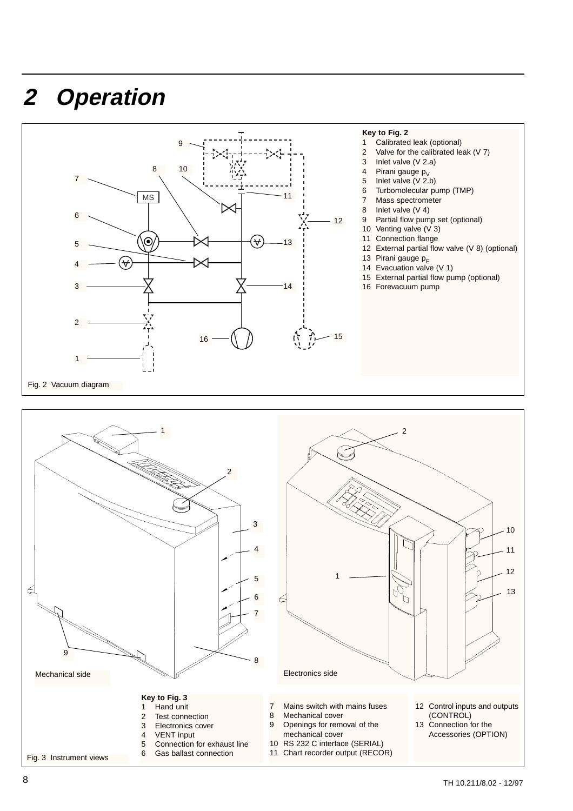# **2 Operation**



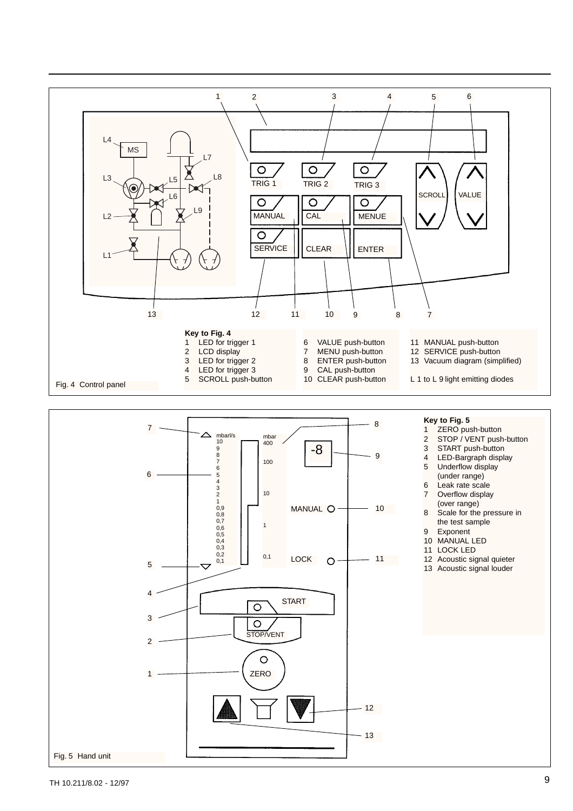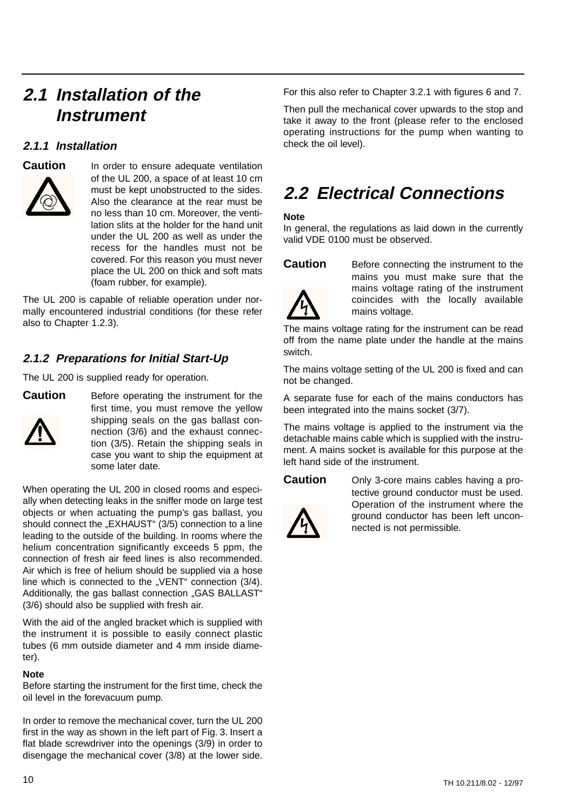## **2.1 Installation of the Instrument**

### **2.1.1 Installation**



**Caution** In order to ensure adequate ventilation of the UL 200, a space of at least 10 cm must be kept unobstructed to the sides. Also the clearance at the rear must be no less than 10 cm. Moreover, the ventilation slits at the holder for the hand unit under the UL 200 as well as under the recess for the handles must not be covered. For this reason you must never place the UL 200 on thick and soft mats (foam rubber, for example).

The UL 200 is capable of reliable operation under normally encountered industrial conditions (for these refer also to Chapter 1.2.3).

## **2.1.2 Preparations for Initial Start-Up**

The UL 200 is supplied ready for operation.



**Caution** Before operating the instrument for the first time, you must remove the yellow shipping seals on the gas ballast connection (3/6) and the exhaust connection (3/5). Retain the shipping seals in case you want to ship the equipment at some later date.

When operating the UL 200 in closed rooms and especially when detecting leaks in the sniffer mode on large test objects or when actuating the pump's gas ballast, you should connect the "EXHAUST" (3/5) connection to a line leading to the outside of the building. In rooms where the helium concentration significantly exceeds 5 ppm, the connection of fresh air feed lines is also recommended. Air which is free of helium should be supplied via a hose line which is connected to the "VENT" connection (3/4). Additionally, the gas ballast connection "GAS BALLAST" (3/6) should also be supplied with fresh air.

With the aid of the angled bracket which is supplied with the instrument it is possible to easily connect plastic tubes (6 mm outside diameter and 4 mm inside diameter).

### **Note**

Before starting the instrument for the first time, check the oil level in the forevacuum pump.

In order to remove the mechanical cover, turn the UL 200 first in the way as shown in the left part of Fig. 3. Insert a flat blade screwdriver into the openings (3/9) in order to disengage the mechanical cover (3/8) at the lower side.

For this also refer to Chapter 3.2.1 with figures 6 and 7.

Then pull the mechanical cover upwards to the stop and take it away to the front (please refer to the enclosed operating instructions for the pump when wanting to check the oil level).

# **2.2 Electrical Connections**

### **Note**

In general, the regulations as laid down in the currently valid VDE 0100 must be observed.



**Caution** Before connecting the instrument to the mains you must make sure that the mains voltage rating of the instrument coincides with the locally available mains voltage.

The mains voltage rating for the instrument can be read off from the name plate under the handle at the mains switch.

The mains voltage setting of the UL 200 is fixed and can not be changed.

A separate fuse for each of the mains conductors has been integrated into the mains socket (3/7).

The mains voltage is applied to the instrument via the detachable mains cable which is supplied with the instrument. A mains socket is available for this purpose at the left hand side of the instrument.



**Caution** Only 3-core mains cables having a protective ground conductor must be used. Operation of the instrument where the ground conductor has been left unconnected is not permissible.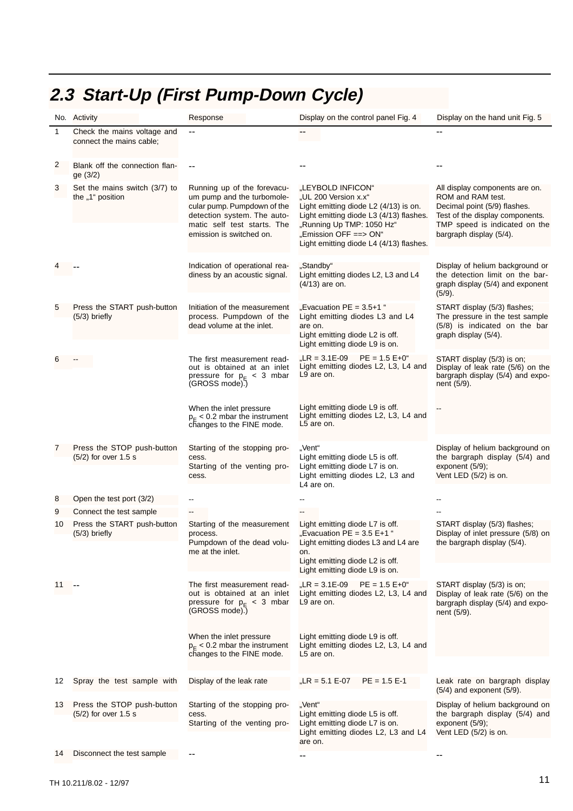#### 1 -- -- -- -- -- -- -- --  $\mathfrak{p}$ 3 4 5 6 7 9 10 11 12 Spray the test sample with 13 8 Check the mains voltage and connect the mains cable; Set the mains switch (3/7) to the "1" position Press the START push-button (5/3) briefly -- -- -- -- -- -- -- Press the STOP push-button (5/2) for over 1.5 s Open the test port (3/2) Connect the test sample Press the START push-button (5/3) briefly Press the STOP push-button (5/2) for over 1.5 s Indication of operational readiness by an acoustic signal. The first measurement readout is obtained at an inlet pressure for p<sub>E</sub> < 3 mbar<br>(GROSS mode).) When the inlet pressure  $p_E < 0.2$  mbar the instrument changes to the FINE mode. Starting of the stopping process. Starting of the venting process. Display of the leak rate The first measurement readout is obtained at an inlet pressure for p<sub>E</sub> < 3 mbar<br>(GROSS mode).) When the inlet pressure  $p_E < 0.2$  mbar the instrument changes to the FINE mode. Starting of the measurement process. Pumpdown of the dead volume at the inlet. Initiation of the measurement process. Pumpdown of the dead volume at the inlet. Starting of the stopping process. Starting of the venting pro-Running up of the forevacuum pump and the turbomolecular pump. Pumpdown of the detection system. The automatic self test starts. The emission is switched on. "LEYBOLD INFICON" "UL 200 Version x.x" Light emitting diode L2 (4/13) is on. Light emitting diode L3 (4/13) flashes. "Running Up TMP: 1050 Hz" "Emission OFF ==> ON" Light emitting diode L4 (4/13) flashes. "Standby" Light emitting diodes L2, L3 and L4 (4/13) are on.  $LR = 3.1E-09$  PE = 1.5 E+0" Light emitting diodes L2, L3, L4 and L9 are on. Light emitting diode L9 is off. Light emitting diodes L2, L3, L4 and L5 are on. "Vent" Light emitting diode L5 is off. Light emitting diode L7 is on. Light emitting diodes L2, L3 and L4 are on. "Vent" Light emitting diode L5 is off. Light emitting diode L7 is on. Light emitting diodes L2, L3 and L4  $, LR = 5.1 E-07$  PE = 1.5 E-1  $R = 3.1E-09$  PE = 1.5 E+0" Light emitting diodes L2, L3, L4 and L9 are on. Light emitting diode L9 is off. Light emitting diodes L2, L3, L4 and L5 are on. Light emitting diode L7 is off. "Evacuation  $PE = 3.5 E+1$ " Light emitting diodes L3 and L4 are on. Light emitting diode L2 is off. Light emitting diode L9 is on. "Evacuation  $PE = 3.5+1$ " Light emitting diodes L3 and L4 are on. Light emitting diode L2 is off. Light emitting diode L9 is on. All display components are on. ROM and RAM test. Decimal point (5/9) flashes. Test of the display components. TMP speed is indicated on the bargraph display (5/4). Display of helium background or the detection limit on the bargraph display (5/4) and exponent (5/9). START display (5/3) is on; Display of leak rate (5/6) on the bargraph display (5/4) and exponent (5/9). -- Display of helium background on the bargraph display (5/4) and exponent (5/9); Vent LED (5/2) is on. Display of helium background on the bargraph display (5/4) and exponent (5/9); START display (5/3) is on; Display of leak rate (5/6) on the bargraph display (5/4) and exponent (5/9). START display (5/3) flashes; Display of inlet pressure (5/8) on the bargraph display (5/4). START display (5/3) flashes; The pressure in the test sample (5/8) is indicated on the bar graph display (5/4). Blank off the connection flange (3/2) Leak rate on bargraph display (5/4) and exponent (5/9).

Response **Display on the control panel Fig. 4** Display on the hand unit Fig. 5

## **2.3 Start-Up (First Pump-Down Cycle)**

No. Activity

14 Disconnect the test sample

Vent LED (5/2) is on.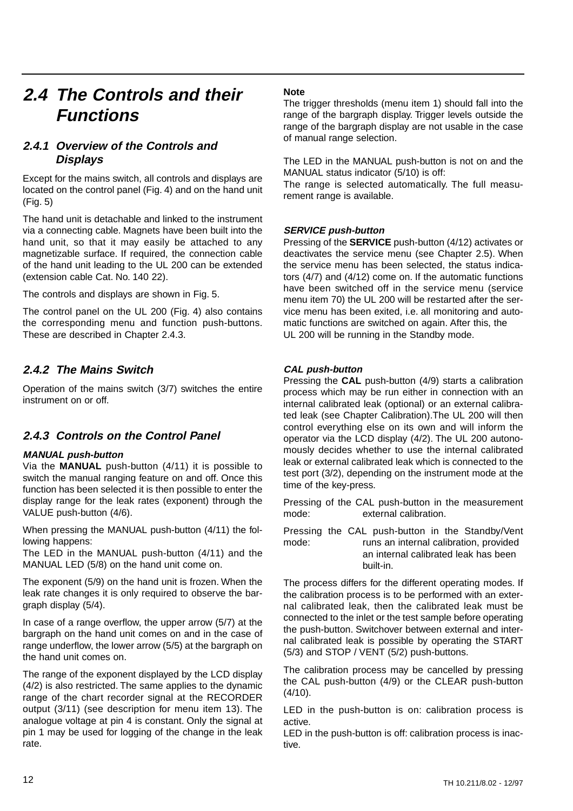## **2.4 The Controls and their Functions**

## **2.4.1 Overview of the Controls and Displays**

Except for the mains switch, all controls and displays are located on the control panel (Fig. 4) and on the hand unit (Fig. 5)

The hand unit is detachable and linked to the instrument via a connecting cable. Magnets have been built into the hand unit, so that it may easily be attached to any magnetizable surface. If required, the connection cable of the hand unit leading to the UL 200 can be extended (extension cable Cat. No. 140 22).

The controls and displays are shown in Fig. 5.

The control panel on the UL 200 (Fig. 4) also contains the corresponding menu and function push-buttons. These are described in Chapter 2.4.3.

### **2.4.2 The Mains Switch**

Operation of the mains switch (3/7) switches the entire instrument on or off.

### **2.4.3 Controls on the Control Panel**

### **MANUAL push-button**

Via the **MANUAL** push-button (4/11) it is possible to switch the manual ranging feature on and off. Once this function has been selected it is then possible to enter the display range for the leak rates (exponent) through the VALUE push-button (4/6).

When pressing the MANUAL push-button (4/11) the following happens:

The LED in the MANUAL push-button (4/11) and the MANUAL LED (5/8) on the hand unit come on.

The exponent (5/9) on the hand unit is frozen. When the leak rate changes it is only required to observe the bargraph display (5/4).

In case of a range overflow, the upper arrow (5/7) at the bargraph on the hand unit comes on and in the case of range underflow, the lower arrow (5/5) at the bargraph on the hand unit comes on.

The range of the exponent displayed by the LCD display (4/2) is also restricted. The same applies to the dynamic range of the chart recorder signal at the RECORDER output (3/11) (see description for menu item 13). The analogue voltage at pin 4 is constant. Only the signal at pin 1 may be used for logging of the change in the leak rate.

### **Note**

The trigger thresholds (menu item 1) should fall into the range of the bargraph display. Trigger levels outside the range of the bargraph display are not usable in the case of manual range selection.

The LED in the MANUAL push-button is not on and the MANUAL status indicator (5/10) is off:

The range is selected automatically. The full measurement range is available.

### **SERVICE push-button**

Pressing of the **SERVICE** push-button (4/12) activates or deactivates the service menu (see Chapter 2.5). When the service menu has been selected, the status indicators (4/7) and (4/12) come on. If the automatic functions have been switched off in the service menu (service menu item 70) the UL 200 will be restarted after the service menu has been exited, i.e. all monitoring and automatic functions are switched on again. After this, the UL 200 will be running in the Standby mode.

### **CAL push-button**

Pressing the **CAL** push-button (4/9) starts a calibration process which may be run either in connection with an internal calibrated leak (optional) or an external calibrated leak (see Chapter Calibration).The UL 200 will then control everything else on its own and will inform the operator via the LCD display (4/2). The UL 200 autonomously decides whether to use the internal calibrated leak or external calibrated leak which is connected to the test port (3/2), depending on the instrument mode at the time of the key-press.

Pressing of the CAL push-button in the measurement mode: external calibration.

Pressing the CAL push-button in the Standby/Vent mode: runs an internal calibration, provided an internal calibrated leak has been built-in.

The process differs for the different operating modes. If the calibration process is to be performed with an external calibrated leak, then the calibrated leak must be connected to the inlet or the test sample before operating the push-button. Switchover between external and internal calibrated leak is possible by operating the START (5/3) and STOP / VENT (5/2) push-buttons.

The calibration process may be cancelled by pressing the CAL push-button (4/9) or the CLEAR push-button  $(4/10)$ .

LED in the push-button is on: calibration process is active.

LED in the push-button is off: calibration process is inactive.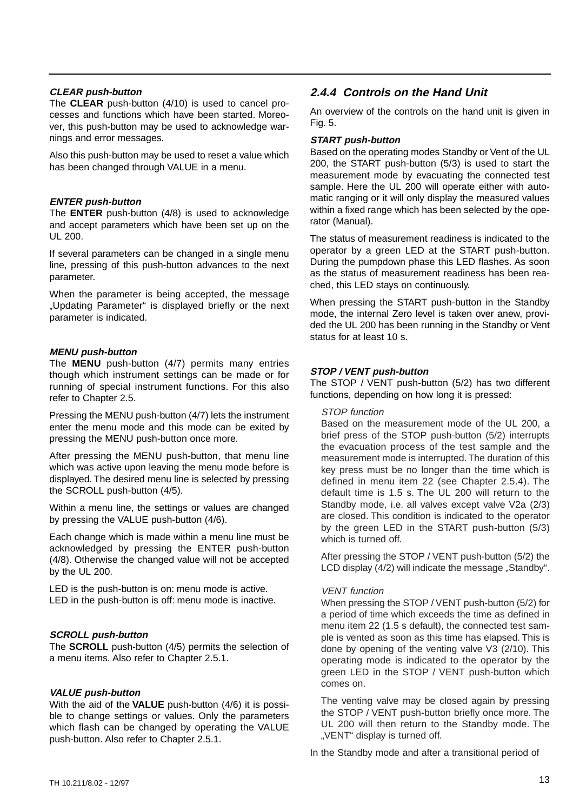#### **CLEAR push-button**

The **CLEAR** push-button (4/10) is used to cancel processes and functions which have been started. Moreover, this push-button may be used to acknowledge warnings and error messages.

Also this push-button may be used to reset a value which has been changed through VALUE in a menu.

#### **ENTER push-button**

The **ENTER** push-button (4/8) is used to acknowledge and accept parameters which have been set up on the UL 200.

If several parameters can be changed in a single menu line, pressing of this push-button advances to the next parameter.

When the parameter is being accepted, the message "Updating Parameter" is displayed briefly or the next parameter is indicated.

#### **MENU push-button**

The **MENU** push-button (4/7) permits many entries though which instrument settings can be made or for running of special instrument functions. For this also refer to Chapter 2.5.

Pressing the MENU push-button (4/7) lets the instrument enter the menu mode and this mode can be exited by pressing the MENU push-button once more.

After pressing the MENU push-button, that menu line which was active upon leaving the menu mode before is displayed. The desired menu line is selected by pressing the SCROLL push-button (4/5).

Within a menu line, the settings or values are changed by pressing the VALUE push-button (4/6).

Each change which is made within a menu line must be acknowledged by pressing the ENTER push-button (4/8). Otherwise the changed value will not be accepted by the UL 200.

LED is the push-button is on: menu mode is active. LED in the push-button is off: menu mode is inactive.

### **SCROLL push-button**

The **SCROLL** push-button (4/5) permits the selection of a menu items. Also refer to Chapter 2.5.1.

#### **VALUE push-button**

With the aid of the **VALUE** push-button (4/6) it is possible to change settings or values. Only the parameters which flash can be changed by operating the VALUE push-button. Also refer to Chapter 2.5.1.

### **2.4.4 Controls on the Hand Unit**

An overview of the controls on the hand unit is given in Fig. 5.

### **START push-button**

Based on the operating modes Standby or Vent of the UL 200, the START push-button (5/3) is used to start the measurement mode by evacuating the connected test sample. Here the UL 200 will operate either with automatic ranging or it will only display the measured values within a fixed range which has been selected by the operator (Manual).

The status of measurement readiness is indicated to the operator by a green LED at the START push-button. During the pumpdown phase this LED flashes. As soon as the status of measurement readiness has been reached, this LED stays on continuously.

When pressing the START push-button in the Standby mode, the internal Zero level is taken over anew, provided the UL 200 has been running in the Standby or Vent status for at least 10 s.

### **STOP / VENT push-button**

The STOP / VENT push-button (5/2) has two different functions, depending on how long it is pressed:

#### STOP function

Based on the measurement mode of the UL 200, a brief press of the STOP push-button (5/2) interrupts the evacuation process of the test sample and the measurement mode is interrupted.The duration of this key press must be no longer than the time which is defined in menu item 22 (see Chapter 2.5.4). The default time is 1.5 s. The UL 200 will return to the Standby mode, i.e. all valves except valve V2a (2/3) are closed. This condition is indicated to the operator by the green LED in the START push-button (5/3) which is turned off.

After pressing the STOP / VENT push-button (5/2) the LCD display (4/2) will indicate the message "Standby".

### VENT function

When pressing the STOP / VENT push-button (5/2) for a period of time which exceeds the time as defined in menu item 22 (1.5 s default), the connected test sample is vented as soon as this time has elapsed. This is done by opening of the venting valve V3 (2/10). This operating mode is indicated to the operator by the green LED in the STOP / VENT push-button which comes on.

The venting valve may be closed again by pressing the STOP / VENT push-button briefly once more. The UL 200 will then return to the Standby mode. The .. VENT" display is turned off.

In the Standby mode and after a transitional period of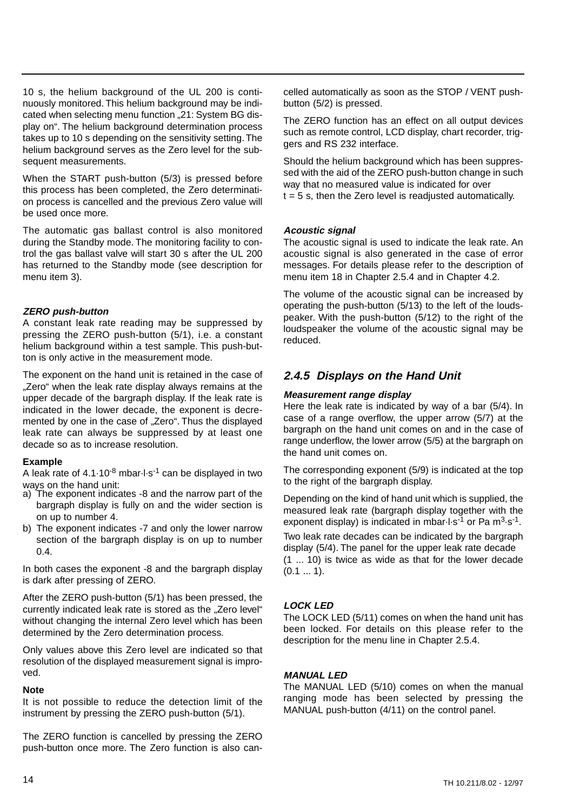10 s, the helium background of the UL 200 is continuously monitored. This helium background may be indicated when selecting menu function .. 21: System BG display on". The helium background determination process takes up to 10 s depending on the sensitivity setting.The helium background serves as the Zero level for the subsequent measurements.

When the START push-button (5/3) is pressed before this process has been completed, the Zero determination process is cancelled and the previous Zero value will be used once more.

The automatic gas ballast control is also monitored during the Standby mode. The monitoring facility to control the gas ballast valve will start 30 s after the UL 200 has returned to the Standby mode (see description for menu item 3).

### **ZERO push-button**

A constant leak rate reading may be suppressed by pressing the ZERO push-button (5/1), i.e. a constant helium background within a test sample. This push-button is only active in the measurement mode.

The exponent on the hand unit is retained in the case of ..Zero" when the leak rate display always remains at the upper decade of the bargraph display. If the leak rate is indicated in the lower decade, the exponent is decremented by one in the case of "Zero". Thus the displayed leak rate can always be suppressed by at least one decade so as to increase resolution.

#### **Example**

A leak rate of  $4.1 \cdot 10^{-8}$  mbar $\cdot$ l $\cdot$ s-1 can be displayed in two ways on the hand unit:

- a) The exponent indicates -8 and the narrow part of the bargraph display is fully on and the wider section is on up to number 4.
- b) The exponent indicates -7 and only the lower narrow section of the bargraph display is on up to number 0.4.

In both cases the exponent -8 and the bargraph display is dark after pressing of ZERO.

After the ZERO push-button (5/1) has been pressed, the currently indicated leak rate is stored as the ... Zero level" without changing the internal Zero level which has been determined by the Zero determination process.

Only values above this Zero level are indicated so that resolution of the displayed measurement signal is improved.

#### **Note**

It is not possible to reduce the detection limit of the instrument by pressing the ZERO push-button (5/1).

The ZERO function is cancelled by pressing the ZERO push-button once more. The Zero function is also cancelled automatically as soon as the STOP / VENT pushbutton (5/2) is pressed.

The ZERO function has an effect on all output devices such as remote control, LCD display, chart recorder, triggers and RS 232 interface.

Should the helium background which has been suppressed with the aid of the ZERO push-button change in such way that no measured value is indicated for over  $t = 5$  s, then the Zero level is readjusted automatically.

#### **Acoustic signal**

The acoustic signal is used to indicate the leak rate. An acoustic signal is also generated in the case of error messages. For details please refer to the description of menu item 18 in Chapter 2.5.4 and in Chapter 4.2.

The volume of the acoustic signal can be increased by operating the push-button (5/13) to the left of the loudspeaker. With the push-button (5/12) to the right of the loudspeaker the volume of the acoustic signal may be reduced.

### **2.4.5 Displays on the Hand Unit**

#### **Measurement range display**

Here the leak rate is indicated by way of a bar (5/4). In case of a range overflow, the upper arrow (5/7) at the bargraph on the hand unit comes on and in the case of range underflow, the lower arrow (5/5) at the bargraph on the hand unit comes on.

The corresponding exponent (5/9) is indicated at the top to the right of the bargraph display.

Depending on the kind of hand unit which is supplied, the measured leak rate (bargraph display together with the exponent display) is indicated in mbar $\cdot$ l·s<sup>-1</sup> or Pa m<sup>3</sup>·s<sup>-1</sup>.

Two leak rate decades can be indicated by the bargraph display (5/4). The panel for the upper leak rate decade (1 ... 10) is twice as wide as that for the lower decade  $(0.1 ... 1).$ 

### **LOCK LED**

The LOCK LED (5/11) comes on when the hand unit has been locked. For details on this please refer to the description for the menu line in Chapter 2.5.4.

### **MANUAL LED**

The MANUAL LED (5/10) comes on when the manual ranging mode has been selected by pressing the MANUAL push-button (4/11) on the control panel.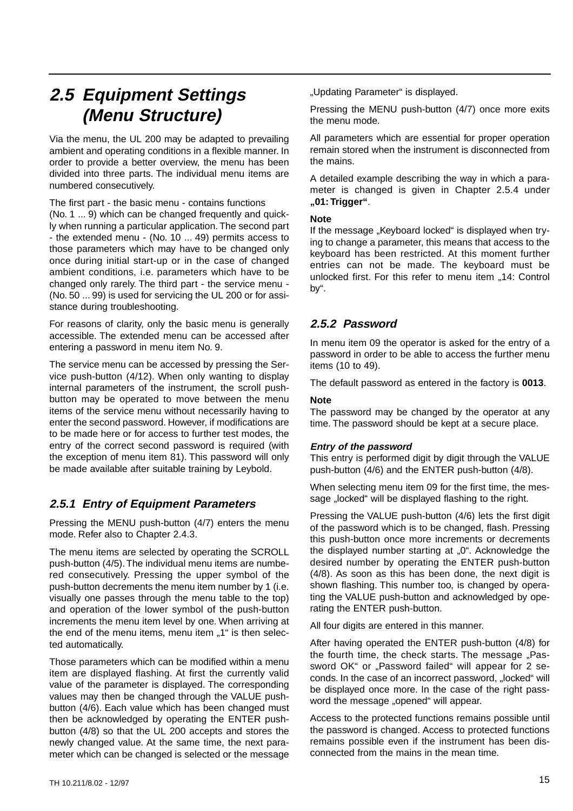## **2.5 Equipment Settings (Menu Structure)**

Via the menu, the UL 200 may be adapted to prevailing ambient and operating conditions in a flexible manner. In order to provide a better overview, the menu has been divided into three parts. The individual menu items are numbered consecutively.

The first part - the basic menu - contains functions (No. 1 ... 9) which can be changed frequently and quickly when running a particular application.The second part - the extended menu - (No. 10 ... 49) permits access to those parameters which may have to be changed only once during initial start-up or in the case of changed ambient conditions, i.e. parameters which have to be changed only rarely. The third part - the service menu - (No. 50 ... 99) is used for servicing the UL 200 or for assistance during troubleshooting.

For reasons of clarity, only the basic menu is generally accessible. The extended menu can be accessed after entering a password in menu item No. 9.

The service menu can be accessed by pressing the Service push-button (4/12). When only wanting to display internal parameters of the instrument, the scroll pushbutton may be operated to move between the menu items of the service menu without necessarily having to enter the second password. However, if modifications are to be made here or for access to further test modes, the entry of the correct second password is required (with the exception of menu item 81). This password will only be made available after suitable training by Leybold.

## **2.5.1 Entry of Equipment Parameters**

Pressing the MENU push-button (4/7) enters the menu mode. Refer also to Chapter 2.4.3.

The menu items are selected by operating the SCROLL push-button (4/5). The individual menu items are numbered consecutively. Pressing the upper symbol of the push-button decrements the menu item number by 1 (i.e. visually one passes through the menu table to the top) and operation of the lower symbol of the push-button increments the menu item level by one. When arriving at the end of the menu items, menu item "1" is then selected automatically.

Those parameters which can be modified within a menu item are displayed flashing. At first the currently valid value of the parameter is displayed. The corresponding values may then be changed through the VALUE pushbutton (4/6). Each value which has been changed must then be acknowledged by operating the ENTER pushbutton (4/8) so that the UL 200 accepts and stores the newly changed value. At the same time, the next parameter which can be changed is selected or the message "Updating Parameter" is displayed.

Pressing the MENU push-button (4/7) once more exits the menu mode.

All parameters which are essential for proper operation remain stored when the instrument is disconnected from the mains.

A detailed example describing the way in which a parameter is changed is given in Chapter 2.5.4 under **"01: Trigger"**.

#### **Note**

If the message "Keyboard locked" is displayed when trying to change a parameter, this means that access to the keyboard has been restricted. At this moment further entries can not be made. The keyboard must be unlocked first. For this refer to menu item "14: Control by".

### **2.5.2 Password**

In menu item 09 the operator is asked for the entry of a password in order to be able to access the further menu items (10 to 49).

The default password as entered in the factory is **0013**.

### **Note**

The password may be changed by the operator at any time. The password should be kept at a secure place.

### **Entry of the password**

This entry is performed digit by digit through the VALUE push-button (4/6) and the ENTER push-button (4/8).

When selecting menu item 09 for the first time, the message "locked" will be displayed flashing to the right.

Pressing the VALUE push-button (4/6) lets the first digit of the password which is to be changed, flash. Pressing this push-button once more increments or decrements the displayed number starting at "0". Acknowledge the desired number by operating the ENTER push-button (4/8). As soon as this has been done, the next digit is shown flashing. This number too, is changed by operating the VALUE push-button and acknowledged by operating the ENTER push-button.

All four digits are entered in this manner.

After having operated the ENTER push-button (4/8) for the fourth time, the check starts. The message "Password OK" or "Password failed" will appear for 2 seconds. In the case of an incorrect password, "locked" will be displayed once more. In the case of the right password the message "opened" will appear.

Access to the protected functions remains possible until the password is changed. Access to protected functions remains possible even if the instrument has been disconnected from the mains in the mean time.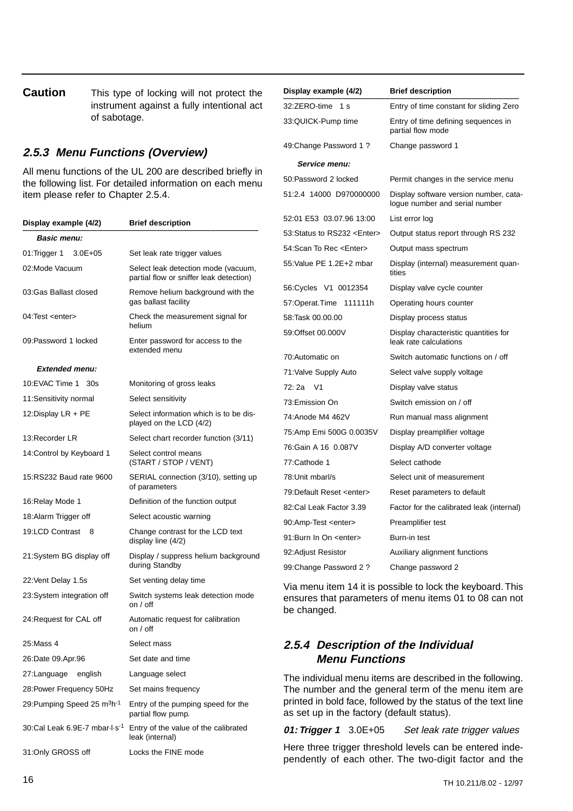**Caution** This type of locking will not protect the instrument against a fully intentional act of sabotage.

### **2.5.3 Menu Functions (Overview)**

All menu functions of the UL 200 are described briefly in the following list. For detailed information on each menu item please refer to Chapter 2.5.4.

| Display example (4/2)                               | <b>Brief description</b>                                                       |
|-----------------------------------------------------|--------------------------------------------------------------------------------|
| <b>Basic menu:</b>                                  |                                                                                |
| $3.0E + 05$<br>01: Trigger 1                        | Set leak rate trigger values                                                   |
| 02:Mode Vacuum                                      | Select leak detection mode (vacuum,<br>partial flow or sniffer leak detection) |
| 03: Gas Ballast closed                              | Remove helium background with the<br>gas ballast facility                      |
| 04: Test <enter></enter>                            | Check the measurement signal for<br>helium                                     |
| 09:Password 1 locked                                | Enter password for access to the<br>extended menu                              |
| <b>Extended menu:</b>                               |                                                                                |
| 10:EVAC Time 1<br>30s                               | Monitoring of gross leaks                                                      |
| 11:Sensitivity normal                               | Select sensitivity                                                             |
| 12:Display LR + PE                                  | Select information which is to be dis-<br>played on the LCD (4/2)              |
| 13:Recorder LR                                      | Select chart recorder function (3/11)                                          |
| 14: Control by Keyboard 1                           | Select control means<br>(START / STOP / VENT)                                  |
| 15.RS232 Baud rate 9600                             | SERIAL connection (3/10), setting up<br>of parameters                          |
| 16: Relay Mode 1                                    | Definition of the function output                                              |
| 18: Alarm Trigger off                               | Select acoustic warning                                                        |
| 19:LCD Contrast<br>8                                | Change contrast for the LCD text<br>display line (4/2)                         |
| 21:System BG display off                            | Display / suppress helium background<br>during Standby                         |
| 22: Vent Delay 1.5s                                 | Set venting delay time                                                         |
| 23: System integration off                          | Switch systems leak detection mode<br>on $/$ off                               |
| 24: Request for CAL off                             | Automatic request for calibration<br>on $/$ off                                |
| 25:Mass 4                                           | Select mass                                                                    |
| 26:Date 09.Apr.96                                   | Set date and time                                                              |
| english<br>27:Language                              | Language select                                                                |
| 28: Power Frequency 50Hz                            | Set mains frequency                                                            |
| 29: Pumping Speed 25 m <sup>3</sup> h <sup>-1</sup> | Entry of the pumping speed for the<br>partial flow pump.                       |
| 30:Cal Leak 6.9E-7 mbar I s <sup>-1</sup>           | Entry of the value of the calibrated<br>leak (internal)                        |
| 31:Only GROSS off                                   | Locks the FINE mode                                                            |

| Display example (4/2)            | <b>Brief description</b>                                                 |
|----------------------------------|--------------------------------------------------------------------------|
| 32:ZERO-time<br>1 s              | Entry of time constant for sliding Zero                                  |
| 33:QUICK-Pump time               | Entry of time defining sequences in<br>partial flow mode                 |
| 49: Change Password 1?           | Change password 1                                                        |
| Service menu:                    |                                                                          |
| 50:Password 2 locked             | Permit changes in the service menu                                       |
| 51:2.4 14000 D970000000          | Display software version number, cata-<br>logue number and serial number |
| 52:01 E53 03.07.96 13:00         | List error log                                                           |
| 53: Status to RS232 < Enter>     | Output status report through RS 232                                      |
| 54:Scan To Rec <enter></enter>   | Output mass spectrum                                                     |
| 55. Value PE 1.2E+2 mbar         | Display (internal) measurement quan-<br>tities                           |
| 56: Cycles V1 0012354            | Display valve cycle counter                                              |
| 57:Operat.Time<br>111111h        | Operating hours counter                                                  |
| 58:Task 00.00.00                 | Display process status                                                   |
| 59:Offset 00.000V                | Display characteristic quantities for<br>leak rate calculations          |
| 70:Automatic on                  | Switch automatic functions on / off                                      |
| 71: Valve Supply Auto            | Select valve supply voltage                                              |
| 72:2a<br>V <sub>1</sub>          | Display valve status                                                     |
| 73:Emission On                   | Switch emission on / off                                                 |
| 74:Anode M4 462V                 | Run manual mass alignment                                                |
| 75:Amp Emi 500G 0.0035V          | Display preamplifier voltage                                             |
| 76: Gain A 16 0.087V             | Display A/D converter voltage                                            |
| 77:Cathode 1                     | Select cathode                                                           |
| 78: Unit mbarl/s                 | Select unit of measurement                                               |
| 79:Default Reset <enter></enter> | Reset parameters to default                                              |
| 82:Cal Leak Factor 3.39          | Factor for the calibrated leak (internal)                                |
| 90:Amp-Test <enter></enter>      | Preamplifier test                                                        |
| 91:Burn In On <enter></enter>    | Burn-in test                                                             |
| 92: Adjust Resistor              | Auxiliary alignment functions                                            |
| 99: Change Password 2?           | Change password 2                                                        |

Via menu item 14 it is possible to lock the keyboard. This ensures that parameters of menu items 01 to 08 can not be changed.

### **2.5.4 Description of the Individual Menu Functions**

The individual menu items are described in the following. The number and the general term of the menu item are printed in bold face, followed by the status of the text line as set up in the factory (default status).

**01: Trigger 1** 3.0E+05 Set leak rate trigger values

Here three trigger threshold levels can be entered independently of each other. The two-digit factor and the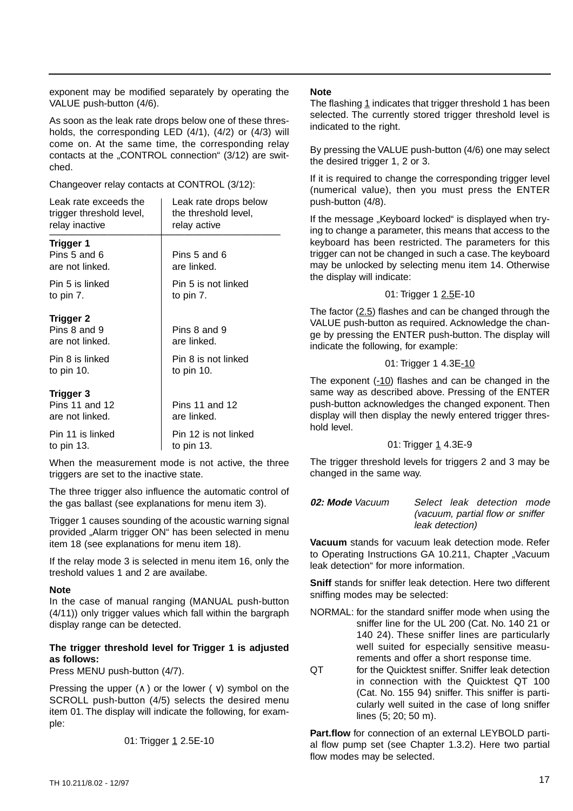exponent may be modified separately by operating the VALUE push-button (4/6).

As soon as the leak rate drops below one of these thresholds, the corresponding LED (4/1), (4/2) or (4/3) will come on. At the same time, the corresponding relay contacts at the "CONTROL connection" (3/12) are switched.

Changeover relay contacts at CONTROL (3/12):

| Leak rate exceeds the                               | Leak rate drops below         |
|-----------------------------------------------------|-------------------------------|
| trigger threshold level,                            | the threshold level,          |
| relay inactive                                      | relay active                  |
| Trigger 1<br>Pins 5 and 6<br>are not linked.        | Pins 5 and 6<br>are linked.   |
| Pin 5 is linked                                     | Pin 5 is not linked           |
| to pin 7.                                           | to pin 7.                     |
| <b>Trigger 2</b><br>Pins 8 and 9<br>are not linked. | Pins 8 and 9<br>are linked.   |
| Pin 8 is linked                                     | Pin 8 is not linked           |
| to pin 10.                                          | to pin 10.                    |
| Trigger 3<br>Pins 11 and 12<br>are not linked.      | Pins 11 and 12<br>are linked. |
| Pin 11 is linked                                    | Pin 12 is not linked          |
| to pin 13.                                          | to pin 13.                    |

When the measurement mode is not active, the three triggers are set to the inactive state.

The three trigger also influence the automatic control of the gas ballast (see explanations for menu item 3).

Trigger 1 causes sounding of the acoustic warning signal provided "Alarm trigger ON" has been selected in menu item 18 (see explanations for menu item 18).

If the relay mode 3 is selected in menu item 16, only the treshold values 1 and 2 are availabe.

#### **Note**

In the case of manual ranging (MANUAL push-button (4/11)) only trigger values which fall within the bargraph display range can be detected.

### **The trigger threshold level for Trigger 1 is adjusted as follows:**

Press MENU push-button (4/7).

Pressing the upper  $( \wedge )$  or the lower ( $\vee$ ) symbol on the SCROLL push-button (4/5) selects the desired menu item 01. The display will indicate the following, for example:

01: Trigger 1 2.5E-10

#### **Note**

The flashing 1 indicates that trigger threshold 1 has been selected. The currently stored trigger threshold level is indicated to the right.

By pressing the VALUE push-button (4/6) one may select the desired trigger 1, 2 or 3.

If it is required to change the corresponding trigger level (numerical value), then you must press the ENTER push-button (4/8).

If the message "Keyboard locked" is displayed when trying to change a parameter, this means that access to the keyboard has been restricted. The parameters for this trigger can not be changed in such a case.The keyboard may be unlocked by selecting menu item 14. Otherwise the display will indicate:

### 01: Trigger 1 2.5E-10

The factor  $(2.5)$  flashes and can be changed through the VALUE push-button as required. Acknowledge the change by pressing the ENTER push-button. The display will indicate the following, for example:

### 01: Trigger 1 4.3E-10

The exponent (-10) flashes and can be changed in the same way as described above. Pressing of the ENTER push-button acknowledges the changed exponent. Then display will then display the newly entered trigger threshold level.

### 01: Trigger 1 4.3E-9

The trigger threshold levels for triggers 2 and 3 may be changed in the same way.

**02: Mode** Vacuum Select leak detection mode (vacuum, partial flow or sniffer leak detection)

**Vacuum** stands for vacuum leak detection mode. Refer to Operating Instructions GA 10.211, Chapter "Vacuum leak detection" for more information.

**Sniff** stands for sniffer leak detection. Here two different sniffing modes may be selected:

- NORMAL: for the standard sniffer mode when using the sniffer line for the UL 200 (Cat. No. 140 21 or 140 24). These sniffer lines are particularly well suited for especially sensitive measurements and offer a short response time.
- QT for the Quicktest sniffer. Sniffer leak detection in connection with the Quicktest QT 100 (Cat. No. 155 94) sniffer. This sniffer is particularly well suited in the case of long sniffer lines (5; 20; 50 m).

**Part.flow** for connection of an external LEYBOLD partial flow pump set (see Chapter 1.3.2). Here two partial flow modes may be selected.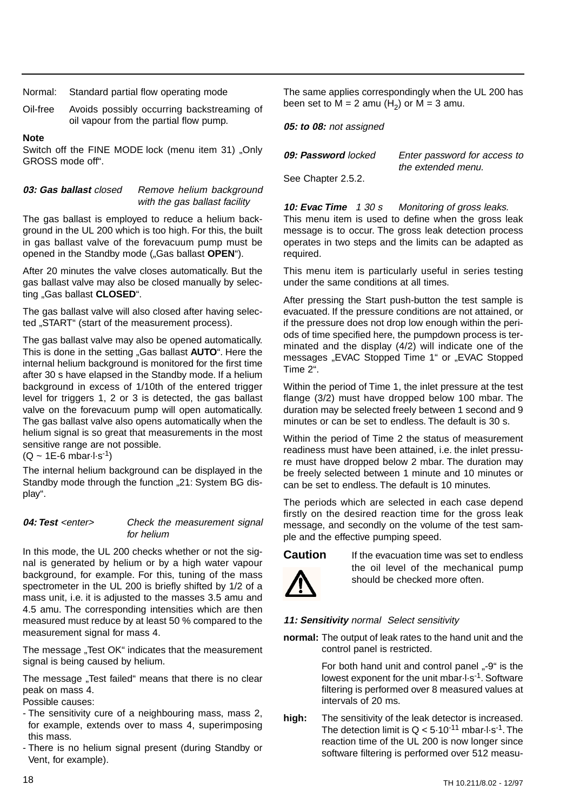Normal: Standard partial flow operating mode

Oil-free Avoids possibly occurring backstreaming of oil vapour from the partial flow pump.

#### **Note**

Switch off the FINE MODE lock (menu item 31) "Only GROSS mode off".

#### 03: Gas ballast closed Remove helium background with the gas ballast facility

The gas ballast is employed to reduce a helium background in the UL 200 which is too high. For this, the built in gas ballast valve of the forevacuum pump must be opened in the Standby mode ("Gas ballast **OPEN**").

After 20 minutes the valve closes automatically. But the gas ballast valve may also be closed manually by selecting "Gas ballast **CLOSED**".

The gas ballast valve will also closed after having selected "START" (start of the measurement process).

The gas ballast valve may also be opened automatically. This is done in the setting "Gas ballast **AUTO**". Here the internal helium background is monitored for the first time after 30 s have elapsed in the Standby mode. If a helium background in excess of 1/10th of the entered trigger level for triggers 1, 2 or 3 is detected, the gas ballast valve on the forevacuum pump will open automatically. The gas ballast valve also opens automatically when the helium signal is so great that measurements in the most sensitive range are not possible.

 $(Q \sim 1E - 6 \text{ mbar} \cdot 1 \cdot s^{-1})$ 

The internal helium background can be displayed in the Standby mode through the function ..21: System BG display".

#### **04: Test** <enter> Check the measurement signal for helium

In this mode, the UL 200 checks whether or not the signal is generated by helium or by a high water vapour background, for example. For this, tuning of the mass spectrometer in the UL 200 is briefly shifted by 1/2 of a mass unit, i.e. it is adjusted to the masses 3.5 amu and 4.5 amu. The corresponding intensities which are then measured must reduce by at least 50 % compared to the measurement signal for mass 4.

The message "Test OK" indicates that the measurement signal is being caused by helium.

The message ..Test failed" means that there is no clear peak on mass 4.

Possible causes:

- The sensitivity cure of a neighbouring mass, mass 2, for example, extends over to mass 4, superimposing this mass.
- There is no helium signal present (during Standby or Vent, for example).

The same applies correspondingly when the UL 200 has been set to  $M = 2$  amu  $(H<sub>2</sub>)$  or  $M = 3$  amu.

**05: to 08:** not assigned

| 09: Password locked | Enter password for access to |
|---------------------|------------------------------|
|                     | the extended menu.           |
| See Chapter 2.5.2.  |                              |

**10: Evac Time** 1 30 s Monitoring of gross leaks. This menu item is used to define when the gross leak message is to occur. The gross leak detection process operates in two steps and the limits can be adapted as required.

This menu item is particularly useful in series testing under the same conditions at all times.

After pressing the Start push-button the test sample is evacuated. If the pressure conditions are not attained, or if the pressure does not drop low enough within the periods of time specified here, the pumpdown process is terminated and the display (4/2) will indicate one of the messages "EVAC Stopped Time 1" or "EVAC Stopped Time 2".

Within the period of Time 1, the inlet pressure at the test flange (3/2) must have dropped below 100 mbar. The duration may be selected freely between 1 second and 9 minutes or can be set to endless. The default is 30 s.

Within the period of Time 2 the status of measurement readiness must have been attained, i.e. the inlet pressure must have dropped below 2 mbar. The duration may be freely selected between 1 minute and 10 minutes or can be set to endless. The default is 10 minutes.

The periods which are selected in each case depend firstly on the desired reaction time for the gross leak message, and secondly on the volume of the test sample and the effective pumping speed.



**Caution** If the evacuation time was set to endless the oil level of the mechanical pump should be checked more often.

### **11: Sensitivity** normal Select sensitivity

**normal:** The output of leak rates to the hand unit and the control panel is restricted.

> For both hand unit and control panel "-9" is the lowest exponent for the unit mbar·l·s-1. Software filtering is performed over 8 measured values at intervals of 20 ms.

**high:** The sensitivity of the leak detector is increased. The detection limit is  $Q < 5.10^{-11}$  mbar-l-s<sup>-1</sup>. The reaction time of the UL 200 is now longer since software filtering is performed over 512 measu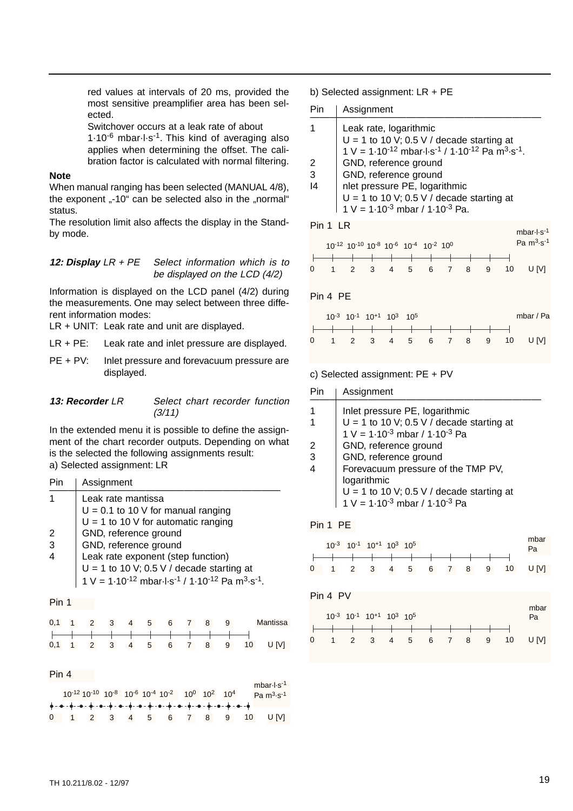red values at intervals of 20 ms, provided the most sensitive preamplifier area has been selected.

Switchover occurs at a leak rate of about  $1.10^{-6}$  mbar $\cdot$ l $\cdot$ s<sup>-1</sup>. This kind of averaging also applies when determining the offset. The calibration factor is calculated with normal filtering.

#### **Note**

When manual ranging has been selected (MANUAL 4/8), the exponent  $.40^{\circ}$  can be selected also in the "normal" status.

The resolution limit also affects the display in the Standby mode.

#### **12: Display** LR + PE Select information which is to be displayed on the LCD (4/2)

Information is displayed on the LCD panel (4/2) during the measurements. One may select between three different information modes:

LR + UNIT: Leak rate and unit are displayed.

LR + PE: Leak rate and inlet pressure are displayed.

PE + PV: Inlet pressure and forevacuum pressure are displayed.

#### **13: Recorder** LR Select chart recorder function (3/11)

In the extended menu it is possible to define the assignment of the chart recorder outputs. Depending on what is the selected the following assignments result: a) Selected assignment: LR

| Pin | Assignment                                                                               |
|-----|------------------------------------------------------------------------------------------|
|     | Leak rate mantissa<br>$U = 0.1$ to 10 V for manual ranging                               |
|     | $U = 1$ to 10 V for automatic ranging                                                    |
| 2   | GND, reference ground                                                                    |
| 3   | GND, reference ground                                                                    |
|     | Leak rate exponent (step function)                                                       |
|     | $U = 1$ to 10 V; 0.5 V / decade starting at                                              |
|     | $1 V = 1.10^{-12}$ mbar $1 \cdot s^{-1} / 1.10^{-12}$ Pa m <sup>3</sup> $\cdot s^{-1}$ . |
|     |                                                                                          |

#### Pin 1

|  |  |  |  |  | 0,1 1 2 3 4 5 6 7 8 9 Mantissa |
|--|--|--|--|--|--------------------------------|
|  |  |  |  |  |                                |
|  |  |  |  |  | 0,1 1 2 3 4 5 6 7 8 9 10 U[V]  |

#### Pin 4

|  |  |  | 10-12 10-10 10-8 10-6 10-4 10-2 100 102 104 |  |  | mbar $\cdot$ l $\cdot$ s <sup>-1</sup><br>Pa $m3$ s <sup>-1</sup> |
|--|--|--|---------------------------------------------|--|--|-------------------------------------------------------------------|
|  |  |  |                                             |  |  |                                                                   |
|  |  |  |                                             |  |  |                                                                   |
|  |  |  |                                             |  |  | $0 \t1 \t2 \t3 \t4 \t5 \t6 \t7 \t8 \t9 \t10 \tU[V]$               |

b) Selected assignment: LR + PE

| Pin. | Assignment                                                                                                                                                                                        |  |  |  |  |  |  |  |
|------|---------------------------------------------------------------------------------------------------------------------------------------------------------------------------------------------------|--|--|--|--|--|--|--|
|      | Leak rate, logarithmic<br>$U = 1$ to 10 V; 0.5 V / decade starting at<br>$1 V = 1.10^{-12}$ mbar $1 s^{-1} / 1.10^{-12}$ Pa m <sup>3</sup> s <sup>-1</sup> .                                      |  |  |  |  |  |  |  |
|      | GND, reference ground                                                                                                                                                                             |  |  |  |  |  |  |  |
| 3    | GND, reference ground                                                                                                                                                                             |  |  |  |  |  |  |  |
| 14   | nlet pressure PE, logarithmic<br>$U = 1$ to 10 V; 0.5 V / decade starting at<br>$1 V = 1.10^{-3}$ mbar / $1.10^{-3}$ Pa.                                                                          |  |  |  |  |  |  |  |
|      | Pin 1 LR                                                                                                                                                                                          |  |  |  |  |  |  |  |
|      | mbar $\cdot$ l $\cdot$ s <sup>-1</sup><br>Pa $\mathrm{m}^{3}$ s <sup>-1</sup><br>$10^{-12}$ 10 <sup>-10</sup> 10 <sup>-8</sup> 10 <sup>-6</sup> 10 <sup>-4</sup> 10 <sup>-2</sup> 10 <sup>0</sup> |  |  |  |  |  |  |  |
|      |                                                                                                                                                                                                   |  |  |  |  |  |  |  |
|      | $\mathcal{P}$<br>3<br>4<br>6<br>$\overline{7}$<br>10<br>5<br>8<br>9                                                                                                                               |  |  |  |  |  |  |  |

Pin 4 PE



#### c) Selected assignment: PE + PV

| Pin | Assignment                                  |
|-----|---------------------------------------------|
|     | Inlet pressure PE, logarithmic              |
|     | $U = 1$ to 10 V; 0.5 V / decade starting at |
|     | $1 V = 1.10^{-3}$ mbar / $1.10^{-3}$ Pa     |
| 2   | GND, reference ground                       |
| 3   | GND, reference ground                       |
|     | Forevacuum pressure of the TMP PV,          |
|     | logarithmic                                 |
|     | $U = 1$ to 10 V; 0.5 V / decade starting at |
|     | $1 V = 1.10^{-3}$ mbar / $1.10^{-3}$ Pa     |
|     |                                             |

### Pin 1 PE

![](_page_18_Figure_24.jpeg)

Pin 4 PV

![](_page_18_Figure_26.jpeg)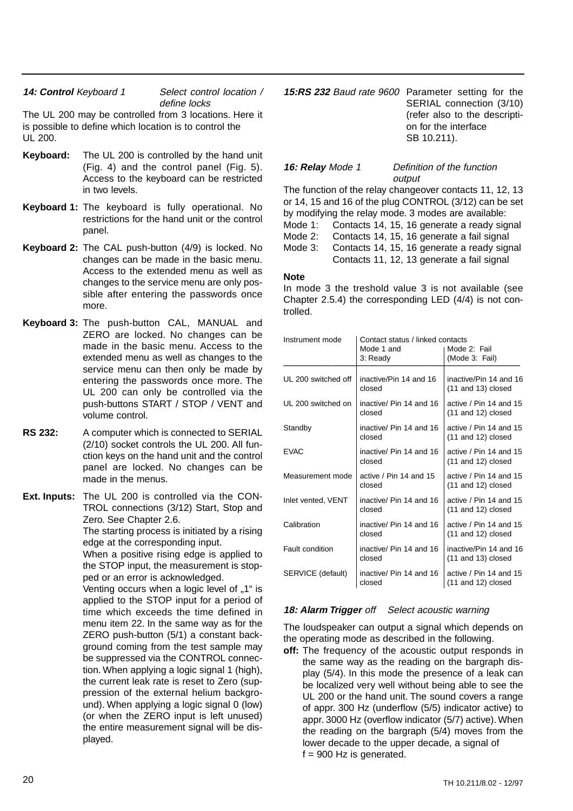### 14: **Control** Keyboard 1 Select control location / define locks

The UL 200 may be controlled from 3 locations. Here it is possible to define which location is to control the UL 200.

- **Keyboard:** The UL 200 is controlled by the hand unit (Fig. 4) and the control panel (Fig. 5). Access to the keyboard can be restricted in two levels.
- **Keyboard 1:** The keyboard is fully operational. No restrictions for the hand unit or the control panel.
- **Keyboard 2:** The CAL push-button (4/9) is locked. No changes can be made in the basic menu. Access to the extended menu as well as changes to the service menu are only possible after entering the passwords once more.
- **Keyboard 3:** The push-button CAL, MANUAL and ZERO are locked. No changes can be made in the basic menu. Access to the extended menu as well as changes to the service menu can then only be made by entering the passwords once more. The UL 200 can only be controlled via the push-buttons START / STOP / VENT and volume control.
- **RS 232:** A computer which is connected to SERIAL (2/10) socket controls the UL 200. All function keys on the hand unit and the control panel are locked. No changes can be made in the menus.
- **Ext. Inputs:** The UL 200 is controlled via the CON-TROL connections (3/12) Start, Stop and Zero. See Chapter 2.6.

The starting process is initiated by a rising edge at the corresponding input.

When a positive rising edge is applied to the STOP input, the measurement is stopped or an error is acknowledged.

Venting occurs when a logic level of "1" is applied to the STOP input for a period of time which exceeds the time defined in menu item 22. In the same way as for the ZERO push-button (5/1) a constant background coming from the test sample may be suppressed via the CONTROL connection. When applying a logic signal 1 (high), the current leak rate is reset to Zero (suppression of the external helium background). When applying a logic signal 0 (low) (or when the ZERO input is left unused) the entire measurement signal will be displayed.

**15:RS 232** Baud rate 9600 Parameter setting for the SERIAL connection (3/10) (refer also to the description for the interface SB 10.211).

#### **16: Relay** Mode 1 Definition of the function output

The function of the relay changeover contacts 11, 12, 13 or 14, 15 and 16 of the plug CONTROL (3/12) can be set by modifying the relay mode. 3 modes are available: Mode 1: Contacts 14, 15, 16 generate a ready signal Mode 2: Contacts 14, 15, 16 generate a fail signal Mode 3: Contacts 14, 15, 16 generate a ready signal Contacts 11, 12, 13 generate a fail signal

### **Note**

In mode 3 the treshold value 3 is not available (see Chapter 2.5.4) the corresponding LED (4/4) is not controlled.

| Instrument mode     | Contact status / linked contacts<br>Mode 1 and<br>3: Ready | Mode 2: Fail<br>(Mode 3: Fail)                   |
|---------------------|------------------------------------------------------------|--------------------------------------------------|
|                     |                                                            |                                                  |
| UL 200 switched off | inactive/Pin 14 and 16<br>closed                           | inactive/Pin 14 and 16<br>$(11$ and $13)$ closed |
| UL 200 switched on  | inactive/ Pin 14 and 16<br>closed                          | active / Pin 14 and 15<br>$(11$ and $12)$ closed |
| Standby             | inactive/ Pin 14 and 16<br>closed                          | active / Pin 14 and 15<br>$(11$ and $12)$ closed |
| <b>EVAC</b>         | inactive/ Pin 14 and 16<br>closed                          | active / Pin 14 and 15<br>$(11$ and $12)$ closed |
| Measurement mode    | active / Pin 14 and 15<br>closed                           | active / Pin 14 and 15<br>$(11$ and $12)$ closed |
| Inlet vented, VENT  | inactive/ Pin 14 and 16<br>closed                          | active / Pin 14 and 15<br>$(11$ and $12)$ closed |
| Calibration         | inactive/ Pin 14 and 16<br>closed                          | active / Pin 14 and 15<br>$(11$ and $12)$ closed |
| Fault condition     | inactive/ Pin 14 and 16<br>closed                          | inactive/Pin 14 and 16<br>$(11$ and $13)$ closed |
| SERVICE (default)   | inactive/ Pin 14 and 16<br>closed                          | active / Pin 14 and 15<br>$(11$ and $12)$ closed |

### **18: Alarm Trigger** off Select acoustic warning

The loudspeaker can output a signal which depends on the operating mode as described in the following.

**off:** The frequency of the acoustic output responds in the same way as the reading on the bargraph display (5/4). In this mode the presence of a leak can be localized very well without being able to see the UL 200 or the hand unit. The sound covers a range of appr. 300 Hz (underflow (5/5) indicator active) to appr. 3000 Hz (overflow indicator (5/7) active).When the reading on the bargraph (5/4) moves from the lower decade to the upper decade, a signal of  $f = 900$  Hz is generated.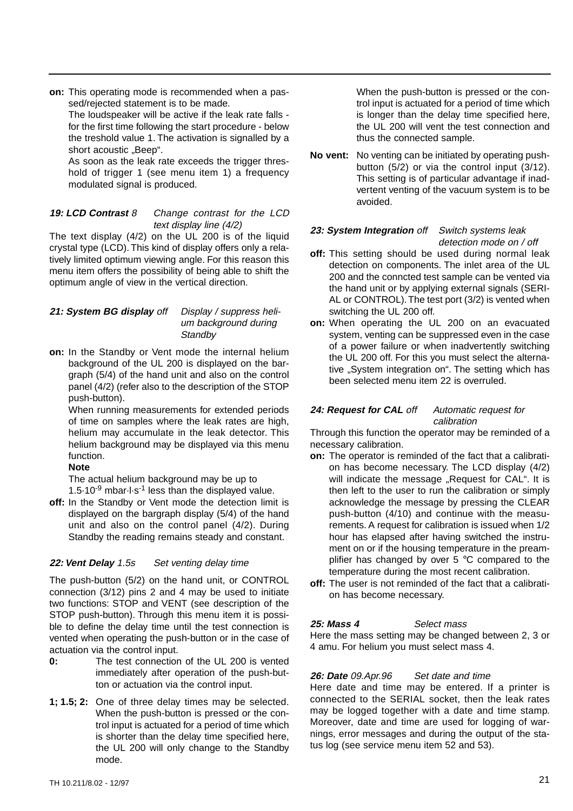**on:** This operating mode is recommended when a passed/rejected statement is to be made.

The loudspeaker will be active if the leak rate falls for the first time following the start procedure - below the treshold value 1. The activation is signalled by a short acoustic "Beep".

As soon as the leak rate exceeds the trigger threshold of trigger 1 (see menu item 1) a frequency modulated signal is produced.

### **19: LCD Contrast** 8 Change contrast for the LCD text display line (4/2)

The text display (4/2) on the UL 200 is of the liquid crystal type (LCD). This kind of display offers only a relatively limited optimum viewing angle. For this reason this menu item offers the possibility of being able to shift the optimum angle of view in the vertical direction.

| 21: System BG display off | Display / suppress heli- |
|---------------------------|--------------------------|
|                           | um background during     |
|                           | Standby                  |

**on:** In the Standby or Vent mode the internal helium background of the UL 200 is displayed on the bargraph (5/4) of the hand unit and also on the control panel (4/2) (refer also to the description of the STOP push-button).

When running measurements for extended periods of time on samples where the leak rates are high, helium may accumulate in the leak detector. This helium background may be displayed via this menu function.

### **Note**

The actual helium background may be up to 1.5 $\cdot$ 10<sup>-9</sup> mbar $\cdot$ l·s<sup>-1</sup> less than the displayed value.

**off:** In the Standby or Vent mode the detection limit is displayed on the bargraph display (5/4) of the hand unit and also on the control panel (4/2). During Standby the reading remains steady and constant.

### **22: Vent Delay** 1.5s Set venting delay time

The push-button (5/2) on the hand unit, or CONTROL connection (3/12) pins 2 and 4 may be used to initiate two functions: STOP and VENT (see description of the STOP push-button). Through this menu item it is possible to define the delay time until the test connection is vented when operating the push-button or in the case of actuation via the control input.

- **0:** The test connection of the UL 200 is vented immediately after operation of the push-button or actuation via the control input.
- **1; 1.5; 2:** One of three delay times may be selected. When the push-button is pressed or the control input is actuated for a period of time which is shorter than the delay time specified here, the UL 200 will only change to the Standby mode.

When the push-button is pressed or the control input is actuated for a period of time which is longer than the delay time specified here, the UL 200 will vent the test connection and thus the connected sample.

**No vent:** No venting can be initiated by operating pushbutton (5/2) or via the control input (3/12). This setting is of particular advantage if inadvertent venting of the vacuum system is to be avoided.

### **23: System Integration** off Switch systems leak detection mode on / off

- **off:** This setting should be used during normal leak detection on components. The inlet area of the UL 200 and the conncted test sample can be vented via the hand unit or by applying external signals (SERI-AL or CONTROL).The test port (3/2) is vented when switching the UL 200 off.
- **on:** When operating the UL 200 on an evacuated system, venting can be suppressed even in the case of a power failure or when inadvertently switching the UL 200 off. For this you must select the alternative "System integration on". The setting which has been selected menu item 22 is overruled.

### 24: **Request for CAL** off Automatic request for calibration

Through this function the operator may be reminded of a necessary calibration.

- **on:** The operator is reminded of the fact that a calibration has become necessary. The LCD display (4/2) will indicate the message "Request for CAL". It is then left to the user to run the calibration or simply acknowledge the message by pressing the CLEAR push-button (4/10) and continue with the measurements. A request for calibration is issued when 1/2 hour has elapsed after having switched the instrument on or if the housing temperature in the preamplifier has changed by over 5 °C compared to the temperature during the most recent calibration.
- **off:** The user is not reminded of the fact that a calibration has become necessary.

### **25: Mass 4 Select mass**

Here the mass setting may be changed between 2, 3 or 4 amu. For helium you must select mass 4.

### **26: Date** 09.Apr.96 Set date and time

Here date and time may be entered. If a printer is connected to the SERIAL socket, then the leak rates may be logged together with a date and time stamp. Moreover, date and time are used for logging of warnings, error messages and during the output of the status log (see service menu item 52 and 53).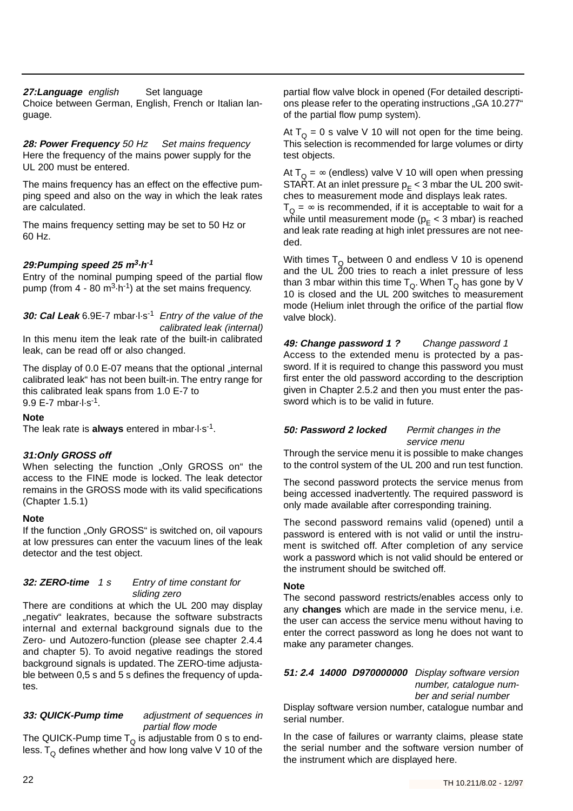### 27: Language english Set language

Choice between German, English, French or Italian language.

28: **Power Frequency** 50 Hz Set mains frequency Here the frequency of the mains power supply for the UL 200 must be entered.

The mains frequency has an effect on the effective pumping speed and also on the way in which the leak rates are calculated.

The mains frequency setting may be set to 50 Hz or 60 Hz.

### **29:Pumping speed 25 m<sup>3</sup>·h-1**

Entry of the nominal pumping speed of the partial flow pump (from  $4 - 80$  m<sup>3</sup> $\cdot$ h<sup>-1</sup>) at the set mains frequency.

**30: Cal Leak** 6.9E-7 mbar·l·s-1 Entry of the value of the calibrated leak (internal)

In this menu item the leak rate of the built-in calibrated leak, can be read off or also changed.

The display of 0.0 E-07 means that the optional "internal calibrated leak" has not been built-in. The entry range for this calibrated leak spans from 1.0 E-7 to 9.9 E-7 mbar·l·s-1.

### **Note**

The leak rate is **always** entered in mbar·l·s-1.

### **31:Only GROSS off**

When selecting the function "Only GROSS on" the access to the FINE mode is locked. The leak detector remains in the GROSS mode with its valid specifications (Chapter 1.5.1)

#### **Note**

If the function "Only GROSS" is switched on, oil vapours at low pressures can enter the vacuum lines of the leak detector and the test object.

#### **32: ZERO-time** 1 s Entry of time constant for sliding zero

There are conditions at which the UL 200 may display "negativ" leakrates, because the software substracts internal and external background signals due to the Zero- und Autozero-function (please see chapter 2.4.4 and chapter 5). To avoid negative readings the stored background signals is updated. The ZERO-time adjustable between 0,5 s and 5 s defines the frequency of updates.

#### **33: QUICK-Pump time** adjustment of sequences in partial flow mode

The QUICK-Pump time  ${\sf T}_{\sf Q}$  is adjustable from 0 s to endless. T<sub>Q</sub> defines whether and how long valve V 10 of the partial flow valve block in opened (For detailed descriptions please refer to the operating instructions "GA 10.277" of the partial flow pump system).

At  $T_{\Omega} = 0$  s valve V 10 will not open for the time being. This selection is recommended for large volumes or dirty test objects.

At  $T_{\Omega} = \infty$  (endless) valve V 10 will open when pressing START. At an inlet pressure  $p_F < 3$  mbar the UL 200 switches to measurement mode and displays leak rates.

 $T_{\Omega} = \infty$  is recommended, if it is acceptable to wait for a while until measurement mode ( $p_E < 3$  mbar) is reached and leak rate reading at high inlet pressures are not needed.

With times  $T_{\Omega}$  between 0 and endless V 10 is openend and the UL 200 tries to reach a inlet pressure of less than 3 mbar within this time  $T_{\Omega}$ . When  $T_{\Omega}$  has gone by V 10 is closed and the UL 200 switches to measurement mode (Helium inlet through the orifice of the partial flow valve block).

**49: Change password 1 ?** Change password 1 Access to the extended menu is protected by a password. If it is required to change this password you must first enter the old password according to the description given in Chapter 2.5.2 and then you must enter the password which is to be valid in future.

### **50: Password 2 locked** Permit changes in the service menu

Through the service menu it is possible to make changes to the control system of the UL 200 and run test function.

The second password protects the service menus from being accessed inadvertently. The required password is only made available after corresponding training.

The second password remains valid (opened) until a password is entered with is not valid or until the instrument is switched off. After completion of any service work a password which is not valid should be entered or the instrument should be switched off.

### **Note**

The second password restricts/enables access only to any **changes** which are made in the service menu, i.e. the user can access the service menu without having to enter the correct password as long he does not want to make any parameter changes.

### **51: 2.4 14000 D970000000** Display software version number, catalogue num-

ber and serial number

Display software version number, catalogue numbar and serial number.

In the case of failures or warranty claims, please state the serial number and the software version number of the instrument which are displayed here.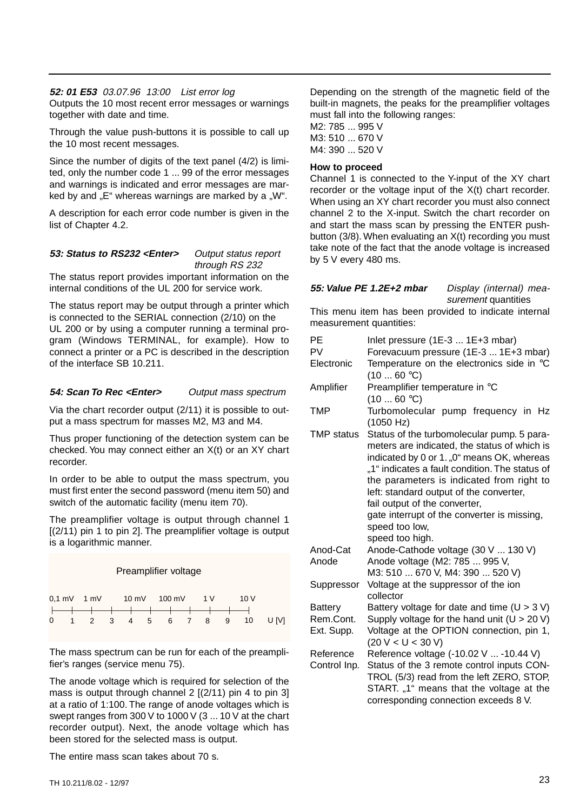#### **52: 01 E53** 03.07.96 13:00 List error log

Outputs the 10 most recent error messages or warnings together with date and time.

Through the value push-buttons it is possible to call up the 10 most recent messages.

Since the number of digits of the text panel (4/2) is limited, only the number code 1 ... 99 of the error messages and warnings is indicated and error messages are marked by and "E" whereas warnings are marked by a "W".

A description for each error code number is given in the list of Chapter 4.2.

#### **53: Status to RS232 <Enter>** Output status report through RS 232

The status report provides important information on the internal conditions of the UL 200 for service work.

The status report may be output through a printer which is connected to the SERIAL connection (2/10) on the UL 200 or by using a computer running a terminal program (Windows TERMINAL, for example). How to connect a printer or a PC is described in the description of the interface SB 10.211.

#### **54: Scan To Rec <Enter>** Output mass spectrum

Via the chart recorder output (2/11) it is possible to output a mass spectrum for masses M2, M3 and M4.

Thus proper functioning of the detection system can be checked. You may connect either an X(t) or an XY chart recorder.

In order to be able to output the mass spectrum, you must first enter the second password (menu item 50) and switch of the automatic facility (menu item 70).

The preamplifier voltage is output through channel 1 [(2/11) pin 1 to pin 2]. The preamplifier voltage is output is a logarithmic manner.

#### Preamplifier voltage

|  | 0.1 mV 1 mV 10 mV 100 mV 1 V 10 V                 |  |  |  |  |                            |
|--|---------------------------------------------------|--|--|--|--|----------------------------|
|  | \ <del>___\___\___\___\___\___\___\___\</del> ___ |  |  |  |  |                            |
|  |                                                   |  |  |  |  | 0 1 2 3 4 5 6 7 8 9 10 U V |

The mass spectrum can be run for each of the preamplifier's ranges (service menu 75).

The anode voltage which is required for selection of the mass is output through channel 2 [(2/11) pin 4 to pin 3] at a ratio of 1:100. The range of anode voltages which is swept ranges from 300 V to 1000 V (3 ... 10 V at the chart recorder output). Next, the anode voltage which has been stored for the selected mass is output.

The entire mass scan takes about 70 s.

Depending on the strength of the magnetic field of the built-in magnets, the peaks for the preamplifier voltages must fall into the following ranges:

M2: 785 ... 995 V M3: 510 ... 670 V M4: 390 ... 520 V

#### **How to proceed**

Channel 1 is connected to the Y-input of the XY chart recorder or the voltage input of the X(t) chart recorder. When using an XY chart recorder you must also connect channel 2 to the X-input. Switch the chart recorder on and start the mass scan by pressing the ENTER pushbutton (3/8). When evaluating an X(t) recording you must take note of the fact that the anode voltage is increased by 5 V every 480 ms.

### **55: Value PE 1.2E+2 mbar** Display (internal) mea-

surement quantities

This menu item has been provided to indicate internal measurement quantities:

| PE                        | Inlet pressure (1E-3  1E+3 mbar)                                                                                                                                                                                                                                                                                                                                                                        |
|---------------------------|---------------------------------------------------------------------------------------------------------------------------------------------------------------------------------------------------------------------------------------------------------------------------------------------------------------------------------------------------------------------------------------------------------|
| PV                        | Forevacuum pressure (1E-3  1E+3 mbar)                                                                                                                                                                                                                                                                                                                                                                   |
| Electronic                | Temperature on the electronics side in °C<br>(1060 °C)                                                                                                                                                                                                                                                                                                                                                  |
| Amplifier                 | Preamplifier temperature in °C                                                                                                                                                                                                                                                                                                                                                                          |
|                           | (1060 °C)                                                                                                                                                                                                                                                                                                                                                                                               |
| <b>TMP</b>                | Turbomolecular pump frequency in Hz<br>(1050 Hz)                                                                                                                                                                                                                                                                                                                                                        |
| <b>TMP</b> status         | Status of the turbomolecular pump. 5 para-<br>meters are indicated, the status of which is<br>indicated by 0 or 1. "0" means OK, whereas<br>"1" indicates a fault condition. The status of<br>the parameters is indicated from right to<br>left: standard output of the converter,<br>fail output of the converter,<br>gate interrupt of the converter is missing,<br>speed too low,<br>speed too high. |
| Anod-Cat                  | Anode-Cathode voltage (30 V  130 V)                                                                                                                                                                                                                                                                                                                                                                     |
| Anode                     | Anode voltage (M2: 785  995 V,                                                                                                                                                                                                                                                                                                                                                                          |
|                           | M3: 510  670 V, M4: 390  520 V)                                                                                                                                                                                                                                                                                                                                                                         |
| Suppressor                | Voltage at the suppressor of the ion<br>collector                                                                                                                                                                                                                                                                                                                                                       |
| <b>Battery</b>            | Battery voltage for date and time $(U > 3 V)$                                                                                                                                                                                                                                                                                                                                                           |
| Rem.Cont.                 | Supply voltage for the hand unit $(U > 20 V)$                                                                                                                                                                                                                                                                                                                                                           |
| Ext. Supp.                | Voltage at the OPTION connection, pin 1,<br>(20 V < U < 30 V)                                                                                                                                                                                                                                                                                                                                           |
| Reference<br>Control Inp. | Reference voltage (-10.02 V  -10.44 V)<br>Status of the 3 remote control inputs CON-<br>TROL (5/3) read from the left ZERO, STOP,<br>START. "1" means that the voltage at the<br>corresponding connection exceeds 8 V.                                                                                                                                                                                  |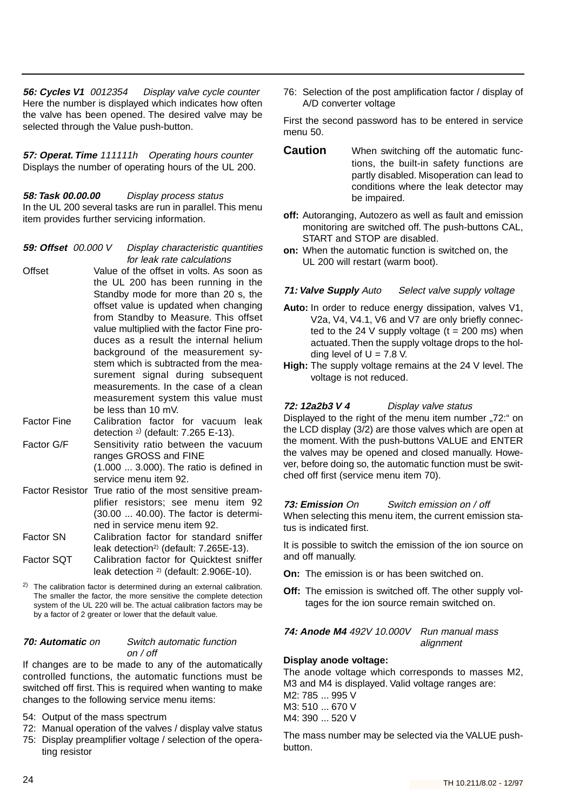**56: Cycles V1** 0012354 Display valve cycle counter Here the number is displayed which indicates how often the valve has been opened. The desired valve may be selected through the Value push-button.

**57: Operat. Time** 111111h Operating hours counter Displays the number of operating hours of the UL 200.

**58: Task 00.00.00** Display process status In the UL 200 several tasks are run in parallel.This menu item provides further servicing information.

- **59: Offset** 00.000 V Display characteristic quantities for leak rate calculations
- Offset Value of the offset in volts. As soon as the UL 200 has been running in the Standby mode for more than 20 s, the offset value is updated when changing from Standby to Measure. This offset value multiplied with the factor Fine produces as a result the internal helium background of the measurement system which is subtracted from the measurement signal during subsequent measurements. In the case of a clean measurement system this value must be less than 10 mV.
- Factor Fine Calibration factor for vacuum leak detection  $2$ ) (default: 7.265 E-13).
- Factor G/F Sensitivity ratio between the vacuum ranges GROSS and FINE (1.000 ... 3.000). The ratio is defined in service menu item 92.
- Factor Resistor True ratio of the most sensitive preamplifier resistors; see menu item 92 (30.00 ... 40.00). The factor is determined in service menu item 92.
- Factor SN Calibration factor for standard sniffer leak detection<sup>2)</sup> (default: 7.265E-13).
- Factor SQT Calibration factor for Quicktest sniffer leak detection 2) (default: 2.906E-10).
- 2) The calibration factor is determined during an external calibration. The smaller the factor, the more sensitive the complete detection system of the UL 220 will be. The actual calibration factors may be by a factor of 2 greater or lower that the default value.

### **70: Automatic** on Switch automatic function on  $/$  off

If changes are to be made to any of the automatically controlled functions, the automatic functions must be switched off first. This is required when wanting to make changes to the following service menu items:

- 54: Output of the mass spectrum
- 72: Manual operation of the valves / display valve status
- 75: Display preamplifier voltage / selection of the operating resistor

76: Selection of the post amplification factor / display of A/D converter voltage

First the second password has to be entered in service menu 50.

- **Caution** When switching off the automatic functions, the built-in safety functions are partly disabled. Misoperation can lead to conditions where the leak detector may be impaired.
- **off:** Autoranging, Autozero as well as fault and emission monitoring are switched off. The push-buttons CAL, START and STOP are disabled.
- **on:** When the automatic function is switched on, the UL 200 will restart (warm boot).

### **71: Valve Supply** Auto Select valve supply voltage

- **Auto:** In order to reduce energy dissipation, valves V1, V2a, V4, V4.1, V6 and V7 are only briefly connected to the 24 V supply voltage  $(t = 200 \text{ ms})$  when actuated.Then the supply voltage drops to the holding level of  $U = 7.8$  V.
- **High:** The supply voltage remains at the 24 V level. The voltage is not reduced.

### **72: 12a2b3 V 4** Display valve status

Displayed to the right of the menu item number "72:" on the LCD display (3/2) are those valves which are open at the moment. With the push-buttons VALUE and ENTER the valves may be opened and closed manually. However, before doing so, the automatic function must be switched off first (service menu item 70).

### **73: Emission** On Switch emission on / off

When selecting this menu item, the current emission status is indicated first.

It is possible to switch the emission of the ion source on and off manually.

- **On:** The emission is or has been switched on.
- **Off:** The emission is switched off. The other supply voltages for the ion source remain switched on.

#### **74: Anode M4** 492V 10.000V Run manual mass alignment

### **Display anode voltage:**

The anode voltage which corresponds to masses M2, M3 and M4 is displayed. Valid voltage ranges are: M2: 785 ... 995 V M3: 510 ... 670 V M4: 390 ... 520 V

The mass number may be selected via the VALUE pushbutton.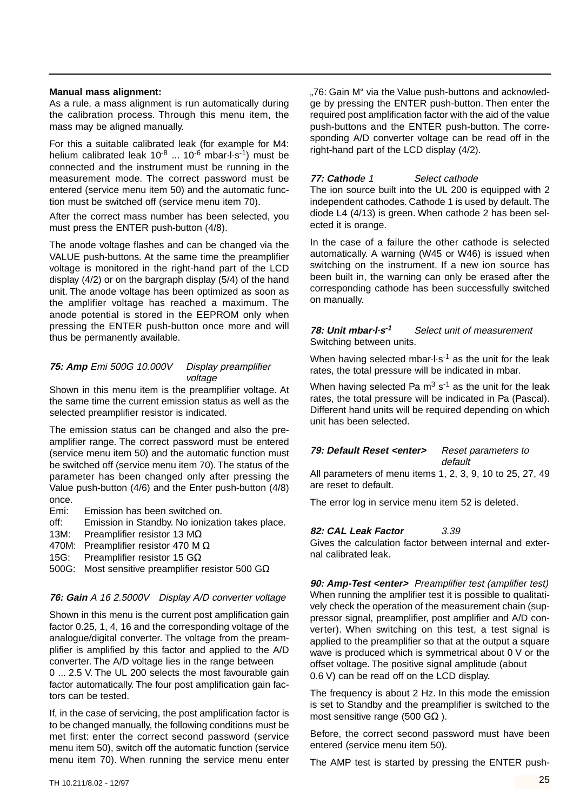#### **Manual mass alignment:**

As a rule, a mass alignment is run automatically during the calibration process. Through this menu item, the mass may be aligned manually.

For this a suitable calibrated leak (for example for M4: helium calibrated leak  $10^{-8}$  ...  $10^{-6}$  mbar $\cdot$ l $\cdot$ s<sup>-1</sup>) must be connected and the instrument must be running in the measurement mode. The correct password must be entered (service menu item 50) and the automatic function must be switched off (service menu item 70).

After the correct mass number has been selected, you must press the ENTER push-button (4/8).

The anode voltage flashes and can be changed via the VALUE push-buttons. At the same time the preamplifier voltage is monitored in the right-hand part of the LCD display  $(4/2)$  or on the bargraph display  $(5/4)$  of the hand unit. The anode voltage has been optimized as soon as the amplifier voltage has reached a maximum. The anode potential is stored in the EEPROM only when pressing the ENTER push-button once more and will thus be permanently available.

### **75: Amp** Emi 500G 10.000V Display preamplifier voltage

Shown in this menu item is the preamplifier voltage. At the same time the current emission status as well as the selected preamplifier resistor is indicated.

The emission status can be changed and also the preamplifier range. The correct password must be entered (service menu item 50) and the automatic function must be switched off (service menu item 70). The status of the parameter has been changed only after pressing the Value push-button (4/6) and the Enter push-button (4/8) once.

- Emi: Emission has been switched on.
- off: Emission in Standby. No ionization takes place.
- 13M: Preamplifier resistor 13 M $\Omega$
- 470M: Preamplifier resistor 470 M Ω
- 15G: Preamplifier resistor 15 GΩ
- 500G: Most sensitive preamplifier resistor 500 GΩ

### **76: Gain** A 16 2.5000V Display A/D converter voltage

Shown in this menu is the current post amplification gain factor 0.25, 1, 4, 16 and the corresponding voltage of the analogue/digital converter. The voltage from the preamplifier is amplified by this factor and applied to the A/D converter. The A/D voltage lies in the range between 0 ... 2.5 V. The UL 200 selects the most favourable gain

factor automatically. The four post amplification gain factors can be tested.

If, in the case of servicing, the post amplification factor is to be changed manually, the following conditions must be met first: enter the correct second password (service menu item 50), switch off the automatic function (service menu item 70). When running the service menu enter "76: Gain M" via the Value push-buttons and acknowledge by pressing the ENTER push-button. Then enter the required post amplification factor with the aid of the value push-buttons and the ENTER push-button. The corresponding A/D converter voltage can be read off in the right-hand part of the LCD display (4/2).

### **77: Cathod**e 1 Select cathode

The ion source built into the UL 200 is equipped with 2 independent cathodes. Cathode 1 is used by default.The diode L4 (4/13) is green. When cathode 2 has been selected it is orange.

In the case of a failure the other cathode is selected automatically. A warning (W45 or W46) is issued when switching on the instrument. If a new ion source has been built in, the warning can only be erased after the corresponding cathode has been successfully switched on manually.

#### **78: Unit mbar·l·s-1** Select unit of measurement Switching between units.

When having selected mbar $\cdot$ l $\cdot$ s<sup>-1</sup> as the unit for the leak rates, the total pressure will be indicated in mbar.

When having selected Pa  $m^3$  s<sup>-1</sup> as the unit for the leak rates, the total pressure will be indicated in Pa (Pascal). Different hand units will be required depending on which unit has been selected.

### **79: Default Reset <enter>** Reset parameters to

default All parameters of menu items 1, 2, 3, 9, 10 to 25, 27, 49 are reset to default.

The error log in service menu item 52 is deleted.

### **82: CAL Leak Factor** 3.39

Gives the calculation factor between internal and external calibrated leak.

**90: Amp-Test <enter>** Preamplifier test (amplifier test) When running the amplifier test it is possible to qualitatively check the operation of the measurement chain (suppressor signal, preamplifier, post amplifier and A/D converter). When switching on this test, a test signal is applied to the preamplifier so that at the output a square wave is produced which is symmetrical about 0 V or the offset voltage. The positive signal amplitude (about 0.6 V) can be read off on the LCD display.

The frequency is about 2 Hz. In this mode the emission is set to Standby and the preamplifier is switched to the most sensitive range (500 GΩ).

Before, the correct second password must have been entered (service menu item 50).

The AMP test is started by pressing the ENTER push-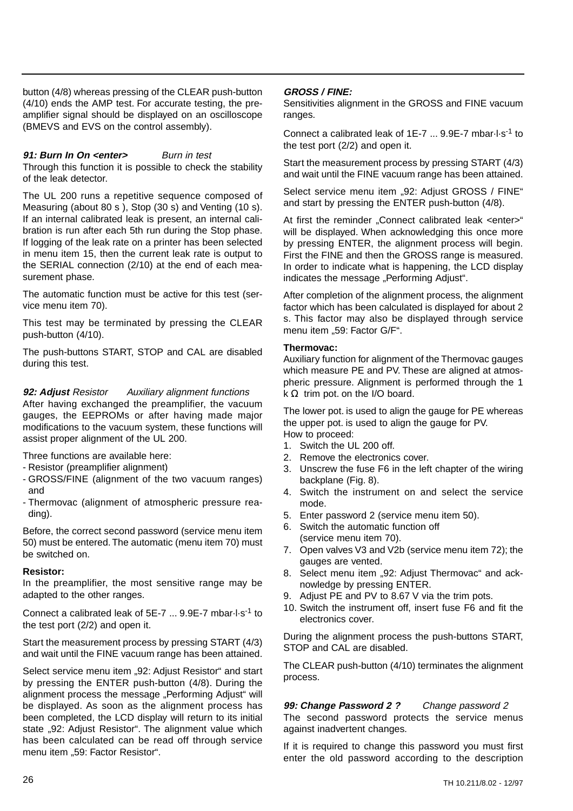button (4/8) whereas pressing of the CLEAR push-button (4/10) ends the AMP test. For accurate testing, the preamplifier signal should be displayed on an oscilloscope (BMEVS and EVS on the control assembly).

### **91: Burn In On <enter>** Burn in test

Through this function it is possible to check the stability of the leak detector.

The UL 200 runs a repetitive sequence composed of Measuring (about 80 s ), Stop (30 s) and Venting (10 s). If an internal calibrated leak is present, an internal calibration is run after each 5th run during the Stop phase. If logging of the leak rate on a printer has been selected in menu item 15, then the current leak rate is output to the SERIAL connection (2/10) at the end of each measurement phase.

The automatic function must be active for this test (service menu item 70).

This test may be terminated by pressing the CLEAR push-button (4/10).

The push-buttons START, STOP and CAL are disabled during this test.

**92: Adjust** Resistor Auxiliary alignment functions

After having exchanged the preamplifier, the vacuum gauges, the EEPROMs or after having made major modifications to the vacuum system, these functions will assist proper alignment of the UL 200.

Three functions are available here:

- Resistor (preamplifier alignment)
- GROSS/FINE (alignment of the two vacuum ranges) and
- Thermovac (alignment of atmospheric pressure reading).

Before, the correct second password (service menu item 50) must be entered.The automatic (menu item 70) must be switched on.

#### **Resistor:**

In the preamplifier, the most sensitive range may be adapted to the other ranges.

Connect a calibrated leak of 5E-7 ... 9.9E-7 mbar·l·s-1 to the test port (2/2) and open it.

Start the measurement process by pressing START (4/3) and wait until the FINE vacuum range has been attained.

Select service menu item "92: Adjust Resistor" and start by pressing the ENTER push-button (4/8). During the alignment process the message "Performing Adjust" will be displayed. As soon as the alignment process has been completed, the LCD display will return to its initial state "92: Adjust Resistor". The alignment value which has been calculated can be read off through service menu item "59: Factor Resistor".

#### **GROSS / FINE:**

Sensitivities alignment in the GROSS and FINE vacuum ranges.

Connect a calibrated leak of 1E-7 ... 9.9E-7 mbar·l·s-1 to the test port (2/2) and open it.

Start the measurement process by pressing START (4/3) and wait until the FINE vacuum range has been attained.

Select service menu item "92: Adjust GROSS / FINE" and start by pressing the ENTER push-button (4/8).

At first the reminder "Connect calibrated leak <enter>" will be displayed. When acknowledging this once more by pressing ENTER, the alignment process will begin. First the FINE and then the GROSS range is measured. In order to indicate what is happening, the LCD display indicates the message "Performing Adjust".

After completion of the alignment process, the alignment factor which has been calculated is displayed for about 2 s. This factor may also be displayed through service menu item "59: Factor G/F".

#### **Thermovac:**

Auxiliary function for alignment of the Thermovac gauges which measure PE and PV. These are aligned at atmospheric pressure. Alignment is performed through the 1 k  $\Omega$  trim pot. on the I/O board.

The lower pot. is used to align the gauge for PE whereas the upper pot. is used to align the gauge for PV. How to proceed:

- 1. Switch the UL 200 off.
- 2. Remove the electronics cover.
- 3. Unscrew the fuse F6 in the left chapter of the wiring backplane (Fig. 8).
- 4. Switch the instrument on and select the service mode.
- 5. Enter password 2 (service menu item 50).
- 6. Switch the automatic function off (service menu item 70).
- 7. Open valves V3 and V2b (service menu item 72); the gauges are vented.
- 8. Select menu item "92: Adjust Thermovac" and acknowledge by pressing ENTER.
- 9. Adjust PE and PV to 8.67 V via the trim pots.
- 10. Switch the instrument off, insert fuse F6 and fit the electronics cover.

During the alignment process the push-buttons START, STOP and CAL are disabled.

The CLEAR push-button (4/10) terminates the alignment process.

**99: Change Password 2 ?** Change password 2 The second password protects the service menus against inadvertent changes.

If it is required to change this password you must first enter the old password according to the description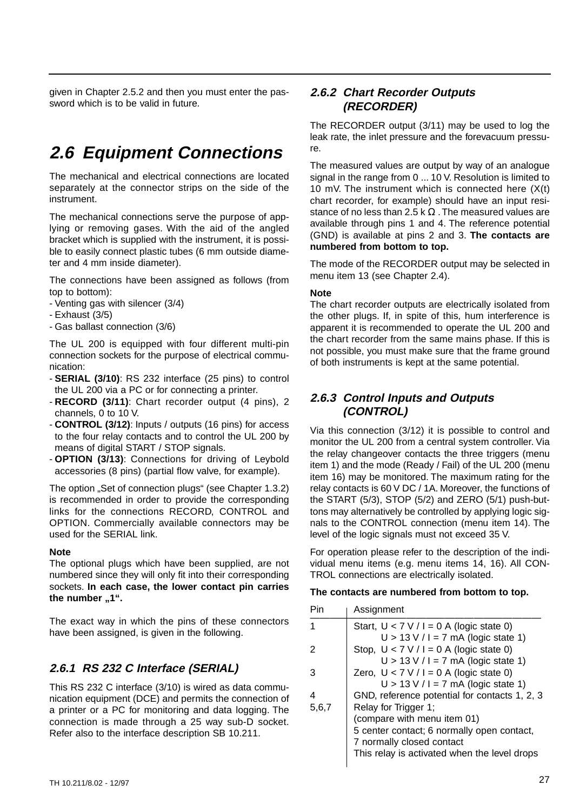given in Chapter 2.5.2 and then you must enter the password which is to be valid in future.

## **2.6 Equipment Connections**

The mechanical and electrical connections are located separately at the connector strips on the side of the instrument.

The mechanical connections serve the purpose of applying or removing gases. With the aid of the angled bracket which is supplied with the instrument, it is possible to easily connect plastic tubes (6 mm outside diameter and 4 mm inside diameter).

The connections have been assigned as follows (from top to bottom):

- Venting gas with silencer (3/4)
- Exhaust (3/5)
- Gas ballast connection (3/6)

The UL 200 is equipped with four different multi-pin connection sockets for the purpose of electrical communication:

- **SERIAL (3/10)**: RS 232 interface (25 pins) to control the UL 200 via a PC or for connecting a printer.
- **RECORD (3/11)**: Chart recorder output (4 pins), 2 channels, 0 to 10 V.
- **CONTROL (3/12)**: Inputs / outputs (16 pins) for access to the four relay contacts and to control the UL 200 by means of digital START / STOP signals.
- **OPTION (3/13)**: Connections for driving of Leybold accessories (8 pins) (partial flow valve, for example).

The option "Set of connection plugs" (see Chapter 1.3.2) is recommended in order to provide the corresponding links for the connections RECORD, CONTROL and OPTION. Commercially available connectors may be used for the SERIAL link.

#### **Note**

The optional plugs which have been supplied, are not numbered since they will only fit into their corresponding sockets. **In each case, the lower contact pin carries** the number "1".

The exact way in which the pins of these connectors have been assigned, is given in the following.

### **2.6.1 RS 232 C Interface (SERIAL)**

This RS 232 C interface (3/10) is wired as data communication equipment (DCE) and permits the connection of a printer or a PC for monitoring and data logging. The connection is made through a 25 way sub-D socket. Refer also to the interface description SB 10.211.

### **2.6.2 Chart Recorder Outputs (RECORDER)**

The RECORDER output (3/11) may be used to log the leak rate, the inlet pressure and the forevacuum pressure.

The measured values are output by way of an analogue signal in the range from 0 ... 10 V. Resolution is limited to 10 mV. The instrument which is connected here (X(t) chart recorder, for example) should have an input resistance of no less than 2.5 k  $\Omega$ . The measured values are available through pins 1 and 4. The reference potential (GND) is available at pins 2 and 3. **The contacts are numbered from bottom to top.**

The mode of the RECORDER output may be selected in menu item 13 (see Chapter 2.4).

#### **Note**

The chart recorder outputs are electrically isolated from the other plugs. If, in spite of this, hum interference is apparent it is recommended to operate the UL 200 and the chart recorder from the same mains phase. If this is not possible, you must make sure that the frame ground of both instruments is kept at the same potential.

### **2.6.3 Control Inputs and Outputs (CONTROL)**

Via this connection (3/12) it is possible to control and monitor the UL 200 from a central system controller. Via the relay changeover contacts the three triggers (menu item 1) and the mode (Ready / Fail) of the UL 200 (menu item 16) may be monitored. The maximum rating for the relay contacts is 60 V DC / 1A. Moreover, the functions of the START (5/3), STOP (5/2) and ZERO (5/1) push-buttons may alternatively be controlled by applying logic signals to the CONTROL connection (menu item 14). The level of the logic signals must not exceed 35 V.

For operation please refer to the description of the individual menu items (e.g. menu items 14, 16). All CON-TROL connections are electrically isolated.

### **The contacts are numbered from bottom to top.**

| Pin   | Assignment                                    |
|-------|-----------------------------------------------|
|       | Start, $U < 7$ V / I = 0 A (logic state 0)    |
|       | $U > 13$ V / I = 7 mA (logic state 1)         |
| 2     | Stop, $U < 7 V / I = 0 A$ (logic state 0)     |
|       | $U > 13$ V / I = 7 mA (logic state 1)         |
| З     | Zero, $U < 7$ V / I = 0 A (logic state 0)     |
|       | $U > 13$ V / I = 7 mA (logic state 1)         |
| 4     | GND, reference potential for contacts 1, 2, 3 |
| 5,6,7 | Relay for Trigger 1;                          |
|       | (compare with menu item 01)                   |
|       | 5 center contact; 6 normally open contact,    |
|       | 7 normally closed contact                     |
|       | This relay is activated when the level drops  |
|       |                                               |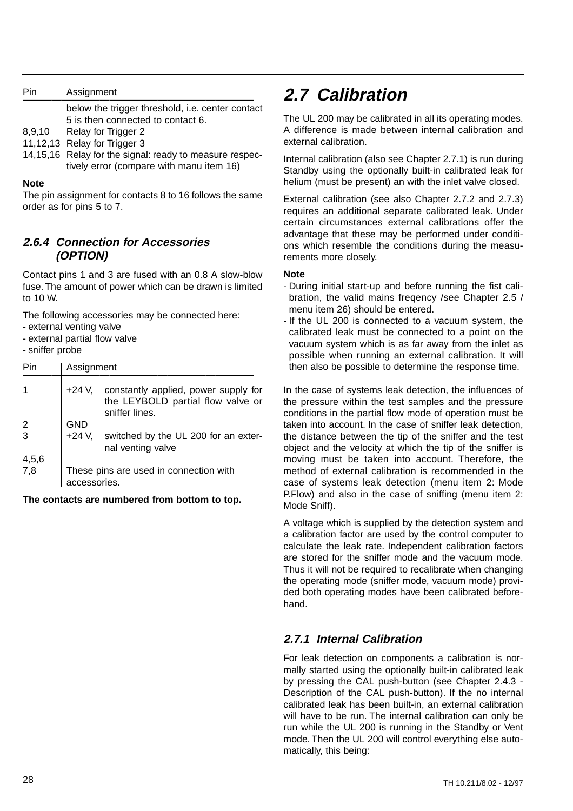| Pin | Assignment                                                                                                                                                                                                                                                 |
|-----|------------------------------------------------------------------------------------------------------------------------------------------------------------------------------------------------------------------------------------------------------------|
|     | below the trigger threshold, i.e. center contact<br>5 is then connected to contact 6.<br>8,9,10 Relay for Trigger 2<br>11,12,13 Relay for Trigger 3<br>14,15,16 Relay for the signal: ready to measure respec-<br>tively error (compare with manu item 16) |

#### **Note**

The pin assignment for contacts 8 to 16 follows the same order as for pins 5 to 7.

### **2.6.4 Connection for Accessories (OPTION)**

Contact pins 1 and 3 are fused with an 0.8 A slow-blow fuse. The amount of power which can be drawn is limited to 10 W.

The following accessories may be connected here:

- external venting valve
- external partial flow valve

- sniffer probe

| Pin                                   | Assignment   |                                                                                             |
|---------------------------------------|--------------|---------------------------------------------------------------------------------------------|
|                                       | +24 V,       | constantly applied, power supply for<br>the LEYBOLD partial flow valve or<br>sniffer lines. |
| $\begin{array}{c} 2 \\ 3 \end{array}$ | <b>GND</b>   |                                                                                             |
|                                       | $+24$ V,     | switched by the UL 200 for an exter-<br>nal venting valve                                   |
| 4,5,6                                 |              |                                                                                             |
| 7,8                                   | accessories. | These pins are used in connection with                                                      |

**The contacts are numbered from bottom to top.**

## **2.7 Calibration**

The UL 200 may be calibrated in all its operating modes. A difference is made between internal calibration and external calibration.

Internal calibration (also see Chapter 2.7.1) is run during Standby using the optionally built-in calibrated leak for helium (must be present) an with the inlet valve closed.

External calibration (see also Chapter 2.7.2 and 2.7.3) requires an additional separate calibrated leak. Under certain circumstances external calibrations offer the advantage that these may be performed under conditions which resemble the conditions during the measurements more closely.

### **Note**

- During initial start-up and before running the fist calibration, the valid mains freqency /see Chapter 2.5 / menu item 26) should be entered.
- If the UL 200 is connected to a vacuum system, the calibrated leak must be connected to a point on the vacuum system which is as far away from the inlet as possible when running an external calibration. It will then also be possible to determine the response time.

In the case of systems leak detection, the influences of the pressure within the test samples and the pressure conditions in the partial flow mode of operation must be taken into account. In the case of sniffer leak detection, the distance between the tip of the sniffer and the test object and the velocity at which the tip of the sniffer is moving must be taken into account. Therefore, the method of external calibration is recommended in the case of systems leak detection (menu item 2: Mode P.Flow) and also in the case of sniffing (menu item 2: Mode Sniff).

A voltage which is supplied by the detection system and a calibration factor are used by the control computer to calculate the leak rate. Independent calibration factors are stored for the sniffer mode and the vacuum mode. Thus it will not be required to recalibrate when changing the operating mode (sniffer mode, vacuum mode) provided both operating modes have been calibrated beforehand.

## **2.7.1 Internal Calibration**

For leak detection on components a calibration is normally started using the optionally built-in calibrated leak by pressing the CAL push-button (see Chapter 2.4.3 - Description of the CAL push-button). If the no internal calibrated leak has been built-in, an external calibration will have to be run. The internal calibration can only be run while the UL 200 is running in the Standby or Vent mode. Then the UL 200 will control everything else automatically, this being: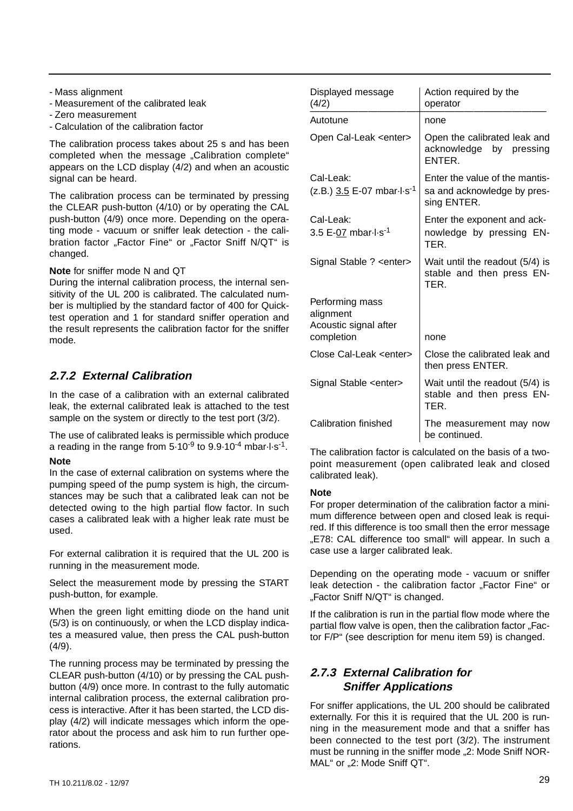- Mass alignment
- Measurement of the calibrated leak
- Zero measurement
- Calculation of the calibration factor

The calibration process takes about 25 s and has been completed when the message "Calibration complete" appears on the LCD display (4/2) and when an acoustic signal can be heard.

The calibration process can be terminated by pressing the CLEAR push-button (4/10) or by operating the CAL push-button (4/9) once more. Depending on the operating mode - vacuum or sniffer leak detection - the calibration factor "Factor Fine" or "Factor Sniff N/QT" is changed.

### **Note** for sniffer mode N and QT

During the internal calibration process, the internal sensitivity of the UL 200 is calibrated. The calculated number is multiplied by the standard factor of 400 for Quicktest operation and 1 for standard sniffer operation and the result represents the calibration factor for the sniffer mode.

## **2.7.2 External Calibration**

In the case of a calibration with an external calibrated leak, the external calibrated leak is attached to the test sample on the system or directly to the test port (3/2).

The use of calibrated leaks is permissible which produce a reading in the range from  $5.10^{-9}$  to  $9.9.10^{-4}$  mbar $\cdot$ l $\cdot$ s<sup>-1</sup>.

### **Note**

In the case of external calibration on systems where the pumping speed of the pump system is high, the circumstances may be such that a calibrated leak can not be detected owing to the high partial flow factor. In such cases a calibrated leak with a higher leak rate must be used.

For external calibration it is required that the UL 200 is running in the measurement mode.

Select the measurement mode by pressing the START push-button, for example.

When the green light emitting diode on the hand unit (5/3) is on continuously, or when the LCD display indicates a measured value, then press the CAL push-button (4/9).

The running process may be terminated by pressing the CLEAR push-button (4/10) or by pressing the CAL pushbutton (4/9) once more. In contrast to the fully automatic internal calibration process, the external calibration process is interactive. After it has been started, the LCD display (4/2) will indicate messages which inform the operator about the process and ask him to run further operations.

| Displayed message<br>(4/2)                                          | Action required by the<br>operator                                           |
|---------------------------------------------------------------------|------------------------------------------------------------------------------|
| Autotune                                                            | none                                                                         |
| Open Cal-Leak <enter></enter>                                       | Open the calibrated leak and<br>acknowledge by pressing<br><b>FNTFR</b>      |
| Cal-Leak:<br>$(z.B.)$ 3.5 E-07 mbar-l-s <sup>-1</sup>               | Enter the value of the mantis-<br>sa and acknowledge by pres-<br>sing ENTER. |
| Cal-Leak:<br>3.5 E-07 mbar l s <sup>-1</sup>                        | Enter the exponent and ack-<br>nowledge by pressing EN-<br>TFR               |
| Signal Stable ? <enter></enter>                                     | Wait until the readout (5/4) is<br>stable and then press EN-<br>TER.         |
| Performing mass<br>alignment<br>Acoustic signal after<br>completion | none                                                                         |
| Close Cal-Leak <enter></enter>                                      | Close the calibrated leak and<br>then press ENTER.                           |
| Signal Stable <enter></enter>                                       | Wait until the readout (5/4) is<br>stable and then press EN-<br>TER.         |
| Calibration finished                                                | The measurement may now<br>be continued.                                     |

The calibration factor is calculated on the basis of a twopoint measurement (open calibrated leak and closed calibrated leak).

### **Note**

For proper determination of the calibration factor a minimum difference between open and closed leak is required. If this difference is too small then the error message "E78: CAL difference too small" will appear. In such a case use a larger calibrated leak.

Depending on the operating mode - vacuum or sniffer leak detection - the calibration factor "Factor Fine" or "Factor Sniff N/QT" is changed.

If the calibration is run in the partial flow mode where the partial flow valve is open, then the calibration factor "Factor F/P" (see description for menu item 59) is changed.

## **2.7.3 External Calibration for Sniffer Applications**

For sniffer applications, the UL 200 should be calibrated externally. For this it is required that the UL 200 is running in the measurement mode and that a sniffer has been connected to the test port (3/2). The instrument must be running in the sniffer mode "2: Mode Sniff NOR-MAL" or "2: Mode Sniff QT".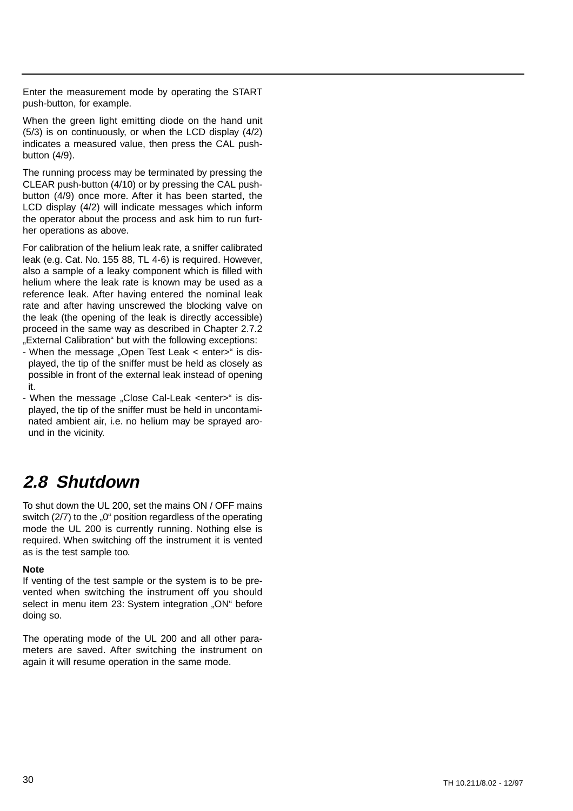Enter the measurement mode by operating the START push-button, for example.

When the green light emitting diode on the hand unit (5/3) is on continuously, or when the LCD display (4/2) indicates a measured value, then press the CAL pushbutton (4/9).

The running process may be terminated by pressing the CLEAR push-button (4/10) or by pressing the CAL pushbutton (4/9) once more. After it has been started, the LCD display (4/2) will indicate messages which inform the operator about the process and ask him to run further operations as above.

For calibration of the helium leak rate, a sniffer calibrated leak (e.g. Cat. No. 155 88, TL 4-6) is required. However, also a sample of a leaky component which is filled with helium where the leak rate is known may be used as a reference leak. After having entered the nominal leak rate and after having unscrewed the blocking valve on the leak (the opening of the leak is directly accessible) proceed in the same way as described in Chapter 2.7.2 "External Calibration" but with the following exceptions:

- When the message "Open Test Leak < enter>" is displayed, the tip of the sniffer must be held as closely as possible in front of the external leak instead of opening it.
- When the message "Close Cal-Leak <enter>" is displayed, the tip of the sniffer must be held in uncontaminated ambient air, i.e. no helium may be sprayed around in the vicinity.

## **2.8 Shutdown**

To shut down the UL 200, set the mains ON / OFF mains switch (2/7) to the "0" position regardless of the operating mode the UL 200 is currently running. Nothing else is required. When switching off the instrument it is vented as is the test sample too.

#### **Note**

If venting of the test sample or the system is to be prevented when switching the instrument off you should select in menu item 23: System integration "ON" before doing so.

The operating mode of the UL 200 and all other parameters are saved. After switching the instrument on again it will resume operation in the same mode.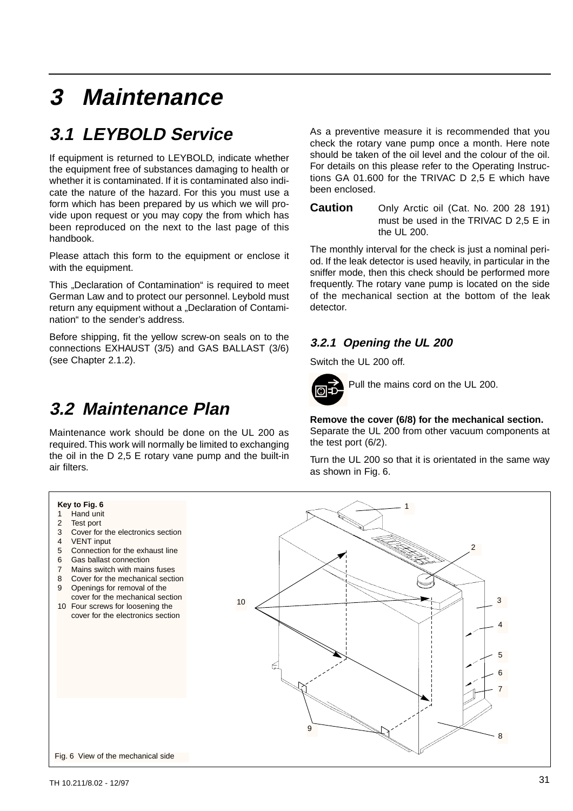# **3 Maintenance**

# **3.1 LEYBOLD Service**

If equipment is returned to LEYBOLD, indicate whether the equipment free of substances damaging to health or whether it is contaminated. If it is contaminated also indicate the nature of the hazard. For this you must use a form which has been prepared by us which we will provide upon request or you may copy the from which has been reproduced on the next to the last page of this handbook.

Please attach this form to the equipment or enclose it with the equipment.

This "Declaration of Contamination" is required to meet German Law and to protect our personnel. Leybold must return any equipment without a "Declaration of Contamination" to the sender's address.

Before shipping, fit the yellow screw-on seals on to the connections EXHAUST (3/5) and GAS BALLAST (3/6) (see Chapter 2.1.2).

# **3.2 Maintenance Plan**

Maintenance work should be done on the UL 200 as required.This work will normally be limited to exchanging the oil in the D 2,5 E rotary vane pump and the built-in air filters.

As a preventive measure it is recommended that you check the rotary vane pump once a month. Here note should be taken of the oil level and the colour of the oil. For details on this please refer to the Operating Instructions GA 01.600 for the TRIVAC D 2,5 E which have been enclosed.

**Caution** Only Arctic oil (Cat. No. 200 28 191) must be used in the TRIVAC D 2,5 E in the UL 200.

The monthly interval for the check is just a nominal period. If the leak detector is used heavily, in particular in the sniffer mode, then this check should be performed more frequently. The rotary vane pump is located on the side of the mechanical section at the bottom of the leak detector.

### **3.2.1 Opening the UL 200**

Switch the UL 200 off.

![](_page_30_Picture_13.jpeg)

Pull the mains cord on the UL 200.

**Remove the cover (6/8) for the mechanical section.** Separate the UL 200 from other vacuum components at the test port (6/2).

Turn the UL 200 so that it is orientated in the same way as shown in Fig. 6.

![](_page_30_Figure_17.jpeg)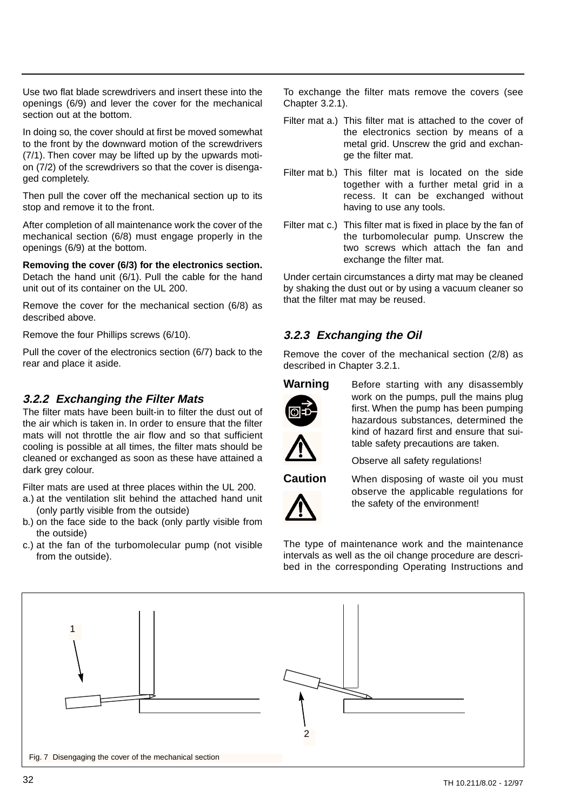Use two flat blade screwdrivers and insert these into the openings (6/9) and lever the cover for the mechanical section out at the bottom.

In doing so, the cover should at first be moved somewhat to the front by the downward motion of the screwdrivers (7/1). Then cover may be lifted up by the upwards motion (7/2) of the screwdrivers so that the cover is disengaged completely.

Then pull the cover off the mechanical section up to its stop and remove it to the front.

After completion of all maintenance work the cover of the mechanical section (6/8) must engage properly in the openings (6/9) at the bottom.

**Removing the cover (6/3) for the electronics section.** Detach the hand unit (6/1). Pull the cable for the hand unit out of its container on the UL 200.

Remove the cover for the mechanical section (6/8) as described above.

Remove the four Phillips screws (6/10).

Pull the cover of the electronics section (6/7) back to the rear and place it aside.

### **3.2.2 Exchanging the Filter Mats**

The filter mats have been built-in to filter the dust out of the air which is taken in. In order to ensure that the filter mats will not throttle the air flow and so that sufficient cooling is possible at all times, the filter mats should be cleaned or exchanged as soon as these have attained a dark grey colour.

Filter mats are used at three places within the UL 200.

- a.) at the ventilation slit behind the attached hand unit (only partly visible from the outside)
- b.) on the face side to the back (only partly visible from the outside)
- c.) at the fan of the turbomolecular pump (not visible from the outside).

To exchange the filter mats remove the covers (see Chapter 3.2.1).

- Filter mat a.) This filter mat is attached to the cover of the electronics section by means of a metal grid. Unscrew the grid and exchange the filter mat.
- Filter mat b.) This filter mat is located on the side together with a further metal grid in a recess. It can be exchanged without having to use any tools.
- Filter mat c.) This filter mat is fixed in place by the fan of the turbomolecular pump. Unscrew the two screws which attach the fan and exchange the filter mat.

Under certain circumstances a dirty mat may be cleaned by shaking the dust out or by using a vacuum cleaner so that the filter mat may be reused.

## **3.2.3 Exchanging the Oil**

Remove the cover of the mechanical section (2/8) as described in Chapter 3.2.1.

![](_page_31_Picture_21.jpeg)

![](_page_31_Picture_22.jpeg)

**Warning** Before starting with any disassembly work on the pumps, pull the mains plug first. When the pump has been pumping hazardous substances, determined the kind of hazard first and ensure that suitable safety precautions are taken.

Observe all safety regulations!

![](_page_31_Picture_25.jpeg)

**Caution** When disposing of waste oil you must observe the applicable regulations for the safety of the environment!

The type of maintenance work and the maintenance intervals as well as the oil change procedure are described in the corresponding Operating Instructions and

![](_page_31_Figure_28.jpeg)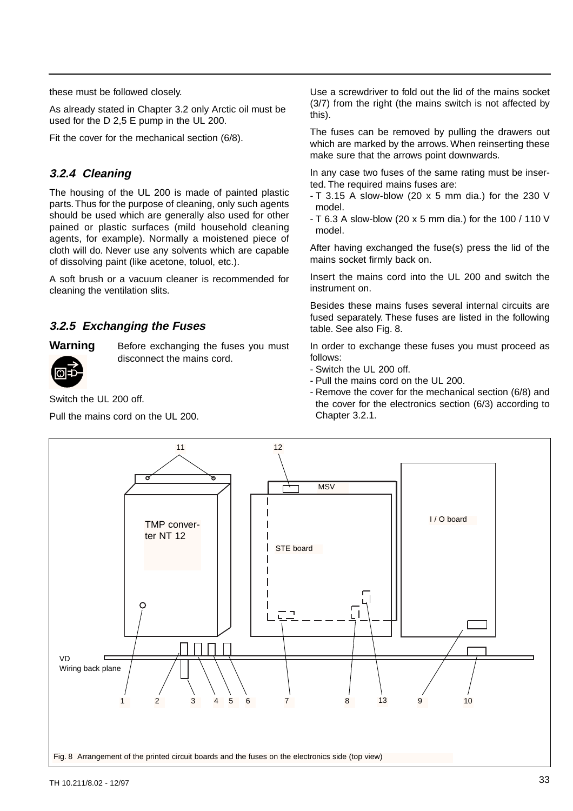these must be followed closely.

As already stated in Chapter 3.2 only Arctic oil must be used for the D 2,5 E pump in the UL 200.

Fit the cover for the mechanical section (6/8).

### **3.2.4 Cleaning**

The housing of the UL 200 is made of painted plastic parts.Thus for the purpose of cleaning, only such agents should be used which are generally also used for other pained or plastic surfaces (mild household cleaning agents, for example). Normally a moistened piece of cloth will do. Never use any solvents which are capable of dissolving paint (like acetone, toluol, etc.).

A soft brush or a vacuum cleaner is recommended for cleaning the ventilation slits.

### **3.2.5 Exchanging the Fuses**

**Warning** Before exchanging the fuses you must disconnect the mains cord.

Switch the UL 200 off.

Pull the mains cord on the UL 200.

Use a screwdriver to fold out the lid of the mains socket (3/7) from the right (the mains switch is not affected by this).

The fuses can be removed by pulling the drawers out which are marked by the arrows. When reinserting these make sure that the arrows point downwards.

In any case two fuses of the same rating must be inserted. The required mains fuses are:

- $-$  T 3.15 A slow-blow (20 x 5 mm dia.) for the 230 V model.
- T 6.3 A slow-blow (20 x 5 mm dia.) for the 100 / 110 V model.

After having exchanged the fuse(s) press the lid of the mains socket firmly back on.

Insert the mains cord into the UL 200 and switch the instrument on.

Besides these mains fuses several internal circuits are fused separately. These fuses are listed in the following table. See also Fig. 8.

In order to exchange these fuses you must proceed as follows:

- Switch the UL 200 off.
- Pull the mains cord on the UL 200.
- Remove the cover for the mechanical section (6/8) and the cover for the electronics section (6/3) according to Chapter 3.2.1.

![](_page_32_Figure_23.jpeg)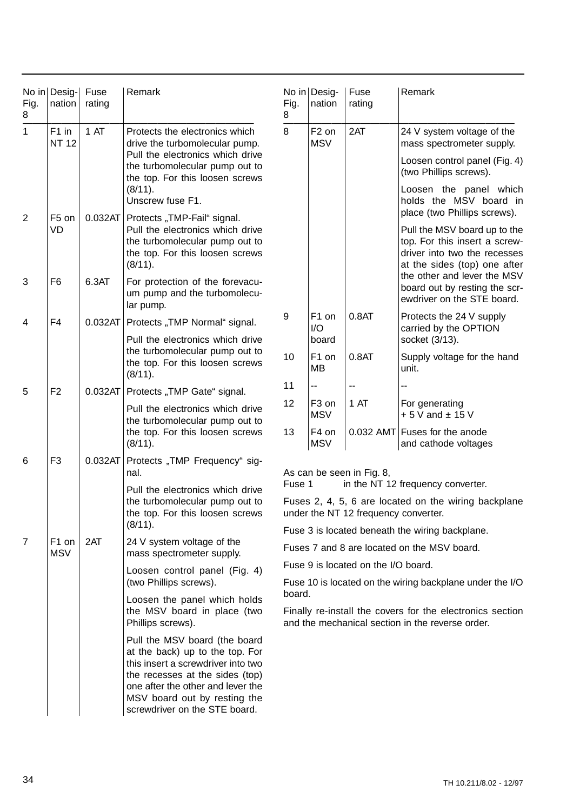| Fig.<br>8   | No in Desig-<br>nation          | Fuse<br>rating | Remark                                                                                                                                                                                                                                          | Fig.<br>8                                                                                                               | No in Desig-<br>nation          | Fuse<br>rating                              | Remark                                                                                                                        |  |
|-------------|---------------------------------|----------------|-------------------------------------------------------------------------------------------------------------------------------------------------------------------------------------------------------------------------------------------------|-------------------------------------------------------------------------------------------------------------------------|---------------------------------|---------------------------------------------|-------------------------------------------------------------------------------------------------------------------------------|--|
| $\mathbf 1$ | F1 in<br><b>NT 12</b>           | 1 AT           | Protects the electronics which<br>drive the turbomolecular pump.                                                                                                                                                                                | 8                                                                                                                       | F <sub>2</sub> on<br><b>MSV</b> | 2AT                                         | 24 V system voltage of the<br>mass spectrometer supply.                                                                       |  |
|             |                                 |                | Pull the electronics which drive<br>the turbomolecular pump out to<br>the top. For this loosen screws                                                                                                                                           |                                                                                                                         |                                 |                                             | Loosen control panel (Fig. 4)<br>(two Phillips screws).                                                                       |  |
|             |                                 |                | (8/11).<br>Unscrew fuse F1.                                                                                                                                                                                                                     |                                                                                                                         |                                 |                                             | Loosen the panel which<br>holds the MSV board in<br>place (two Phillips screws).                                              |  |
| 2           | F <sub>5</sub> on<br>VD         | 0.032AT        | Protects "TMP-Fail" signal.<br>Pull the electronics which drive<br>the turbomolecular pump out to<br>the top. For this loosen screws<br>(8/11).                                                                                                 |                                                                                                                         |                                 |                                             | Pull the MSV board up to the<br>top. For this insert a screw-<br>driver into two the recesses<br>at the sides (top) one after |  |
| 3           | F <sub>6</sub>                  | 6.3AT          | For protection of the forevacu-<br>um pump and the turbomolecu-<br>lar pump.                                                                                                                                                                    |                                                                                                                         |                                 |                                             | the other and lever the MSV<br>board out by resting the scr-<br>ewdriver on the STE board.                                    |  |
| 4           | F <sub>4</sub>                  | 0.032AT        | Protects "TMP Normal" signal.                                                                                                                                                                                                                   | 9                                                                                                                       | F1 on<br>I/O                    | 0.8AT                                       | Protects the 24 V supply<br>carried by the OPTION                                                                             |  |
|             |                                 |                | Pull the electronics which drive<br>the turbomolecular pump out to<br>the top. For this loosen screws<br>(8/11).                                                                                                                                | 10                                                                                                                      | board<br>F1 on<br><b>MB</b>     | 0.8AT                                       | socket (3/13).<br>Supply voltage for the hand<br>unit.                                                                        |  |
| 5           | F <sub>2</sub>                  | 0.032AT        | Protects "TMP Gate" signal.                                                                                                                                                                                                                     | 11                                                                                                                      | --                              | $\overline{a}$                              |                                                                                                                               |  |
|             |                                 |                | Pull the electronics which drive<br>the turbomolecular pump out to                                                                                                                                                                              | 12                                                                                                                      | F <sub>3</sub> on<br><b>MSV</b> | 1 AT                                        | For generating<br>$+5V$ and $\pm$ 15 V                                                                                        |  |
|             |                                 |                | the top. For this loosen screws<br>(8/11).                                                                                                                                                                                                      | 13                                                                                                                      | F4 on<br><b>MSV</b>             |                                             | 0.032 AMT Fuses for the anode<br>and cathode voltages                                                                         |  |
| 6           | F <sub>3</sub>                  | 0.032AT        | Protects "TMP Frequency" sig-<br>nal.<br>Pull the electronics which drive<br>the turbomolecular pump out to<br>the top. For this loosen screws<br>(8/11).                                                                                       | As can be seen in Fig. 8,<br>Fuse 1<br>in the NT 12 frequency converter.                                                |                                 |                                             |                                                                                                                               |  |
|             |                                 |                |                                                                                                                                                                                                                                                 | Fuses 2, 4, 5, 6 are located on the wiring backplane                                                                    |                                 |                                             |                                                                                                                               |  |
|             |                                 |                |                                                                                                                                                                                                                                                 | under the NT 12 frequency converter.                                                                                    |                                 |                                             |                                                                                                                               |  |
|             |                                 |                |                                                                                                                                                                                                                                                 | Fuse 3 is located beneath the wiring backplane.                                                                         |                                 |                                             |                                                                                                                               |  |
| 7           | F <sub>1</sub> on<br><b>MSV</b> | 2AT            | 24 V system voltage of the<br>mass spectrometer supply.                                                                                                                                                                                         |                                                                                                                         |                                 | Fuses 7 and 8 are located on the MSV board. |                                                                                                                               |  |
|             |                                 |                | Loosen control panel (Fig. 4)<br>(two Phillips screws).                                                                                                                                                                                         | Fuse 9 is located on the I/O board.<br>Fuse 10 is located on the wiring backplane under the I/O                         |                                 |                                             |                                                                                                                               |  |
|             |                                 |                | Loosen the panel which holds<br>the MSV board in place (two<br>Phillips screws).                                                                                                                                                                | board.<br>Finally re-install the covers for the electronics section<br>and the mechanical section in the reverse order. |                                 |                                             |                                                                                                                               |  |
|             |                                 |                | Pull the MSV board (the board<br>at the back) up to the top. For<br>this insert a screwdriver into two<br>the recesses at the sides (top)<br>one after the other and lever the<br>MSV board out by resting the<br>screwdriver on the STE board. |                                                                                                                         |                                 |                                             |                                                                                                                               |  |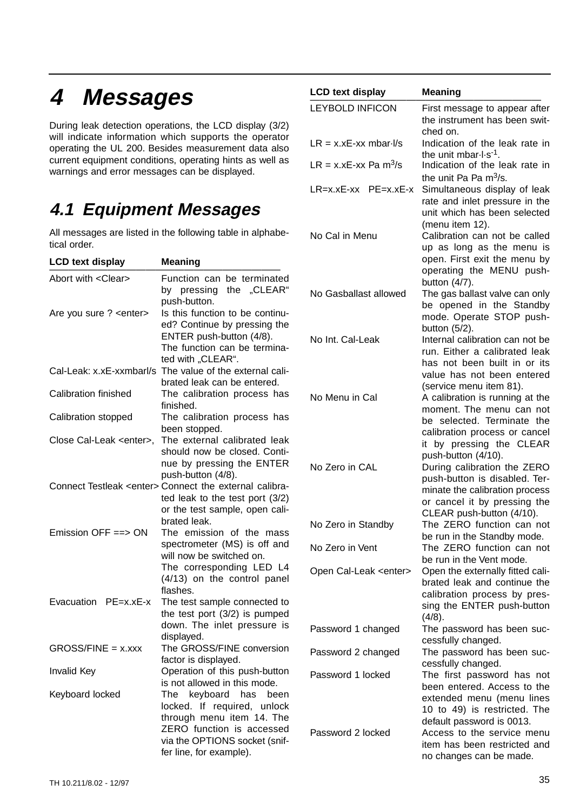# **4 Messages**

During leak detection operations, the LCD display (3/2) will indicate information which supports the operator operating the UL 200. Besides measurement data also current equipment conditions, operating hints as well as warnings and error messages can be displayed.

## **4.1 Equipment Messages**

All messages are listed in the following table in alphabetical order.

| <b>LCD text display</b>         | <b>Meaning</b>                                                                                                                                     |                               | open. First                                                               |
|---------------------------------|----------------------------------------------------------------------------------------------------------------------------------------------------|-------------------------------|---------------------------------------------------------------------------|
| Abort with <clear></clear>      | Function can be terminated<br>by pressing the "CLEAR"<br>push-button.                                                                              | No Gasballast allowed         | operating<br>button $(4/7)$<br>The gas bal<br>be opened                   |
| Are you sure ? < enter>         | Is this function to be continu-<br>ed? Continue by pressing the<br>ENTER push-button (4/8).<br>The function can be termina-<br>ted with "CLEAR".   | No Int. Cal-Leak              | mode. Ope<br>button $(5/2)$<br>Internal cali<br>run. Either<br>has not be |
|                                 | Cal-Leak: x.xE-xxmbarl/s The value of the external cali-<br>brated leak can be entered.                                                            |                               | value has<br>(service me                                                  |
| <b>Calibration finished</b>     | The calibration process has<br>finished.                                                                                                           | No Menu in Cal                | A calibratio<br>moment. T                                                 |
| Calibration stopped             | The calibration process has<br>been stopped.                                                                                                       |                               | be selecte<br>calibration                                                 |
| Close Cal-Leak <enter>,</enter> | The external calibrated leak<br>should now be closed. Conti-<br>nue by pressing the ENTER<br>push-button (4/8).                                    | No Zero in CAL                | it by pres<br>push-buttor<br>During cali                                  |
|                                 | Connect Testleak <enter> Connect the external calibra-<br/>ted leak to the test port <math>(3/2)</math><br/>or the test sample, open cali-</enter> |                               | push-buttor<br>minate the<br>or cancel i<br>CLEAR pus                     |
| Emission OFF $==$ > ON          | brated leak.<br>The emission of the mass                                                                                                           | No Zero in Standby            | The ZERO<br>be run in th                                                  |
|                                 | spectrometer (MS) is off and<br>will now be switched on.                                                                                           | No Zero in Vent               | The ZERO<br>be run in th                                                  |
|                                 | The corresponding LED L4<br>(4/13) on the control panel<br>flashes.                                                                                | Open Cal-Leak <enter></enter> | Open the ex<br>brated leak<br>calibration                                 |
| Evacuation PE=x.xE-x            | The test sample connected to<br>the test port $(3/2)$ is pumped                                                                                    |                               | sing the EN<br>(4/8).                                                     |
|                                 | down. The inlet pressure is<br>displayed.                                                                                                          | Password 1 changed            | The passw<br>cessfully ch                                                 |
| $GROSS/FINE = x.xxx$            | The GROSS/FINE conversion<br>factor is displayed.                                                                                                  | Password 2 changed            | The passw<br>cessfully ch                                                 |
| <b>Invalid Key</b>              | Operation of this push-button<br>is not allowed in this mode.                                                                                      | Password 1 locked             | The first p<br>been enter                                                 |
| Keyboard locked                 | keyboard has<br>The<br>been<br>locked. If required, unlock<br>through menu item 14. The                                                            |                               | extended r<br>10 to 49)<br>default pass                                   |
|                                 | ZERO function is accessed<br>via the OPTIONS socket (snif-<br>fer line, for example).                                                              | Password 2 locked             | Access to<br>item has be<br>no changes                                    |

| <b>LCD text display</b>           | <b>Meaning</b>                                                                                                                                                                                                                                  |
|-----------------------------------|-------------------------------------------------------------------------------------------------------------------------------------------------------------------------------------------------------------------------------------------------|
| <b>LEYBOLD INFICON</b>            | First message to appear after<br>the instrument has been swit-<br>ched on.                                                                                                                                                                      |
| $LR = x.xE$ -xx mbar- $1/s$       | Indication of the leak rate in<br>the unit mbar-l-s <sup>-1</sup> .                                                                                                                                                                             |
| LR = x.xE-xx Pa m <sup>3</sup> /s | Indication of the leak rate in<br>the unit Pa Pa $m^3/s$ .                                                                                                                                                                                      |
| $LR=x.xE$ -xx $PE=x.xE-x$         | Simultaneous display of leak<br>rate and inlet pressure in the<br>unit which has been selected                                                                                                                                                  |
| No Cal in Menu                    | (menu item 12).<br>Calibration can not be called<br>up as long as the menu is<br>open. First exit the menu by<br>operating the MENU push-                                                                                                       |
| No Gasballast allowed             | button $(4/7)$ .<br>The gas ballast valve can only<br>be opened in the Standby<br>mode. Operate STOP push-                                                                                                                                      |
| No Int. Cal-Leak                  | button $(5/2)$ .<br>Internal calibration can not be<br>run. Either a calibrated leak<br>has not been built in or its                                                                                                                            |
| No Menu in Cal                    | value has not been entered<br>(service menu item 81).<br>A calibration is running at the<br>moment. The menu can not<br>be selected. Terminate the                                                                                              |
| No Zero in CAL                    | calibration process or cancel<br>it by pressing the CLEAR<br>push-button (4/10).<br>During calibration the ZERO<br>push-button is disabled. Ter-<br>minate the calibration process<br>or cancel it by pressing the<br>CLEAR push-button (4/10). |
| No Zero in Standby                | The ZERO function can not<br>be run in the Standby mode.                                                                                                                                                                                        |
| No Zero in Vent                   | The ZERO function can not<br>be run in the Vent mode.                                                                                                                                                                                           |
| Open Cal-Leak <enter></enter>     | Open the externally fitted cali-<br>brated leak and continue the<br>calibration process by pres-<br>sing the ENTER push-button<br>(4/8).                                                                                                        |
| Password 1 changed                | The password has been suc-<br>cessfully changed.                                                                                                                                                                                                |
| Password 2 changed                | The password has been suc-<br>cessfully changed.                                                                                                                                                                                                |
| Password 1 locked                 | The first password has not<br>been entered. Access to the<br>extended menu (menu lines<br>10 to 49) is restricted. The<br>default password is 0013.                                                                                             |
| Password 2 locked                 | Access to the service menu<br>item has been restricted and<br>no changes can be made.                                                                                                                                                           |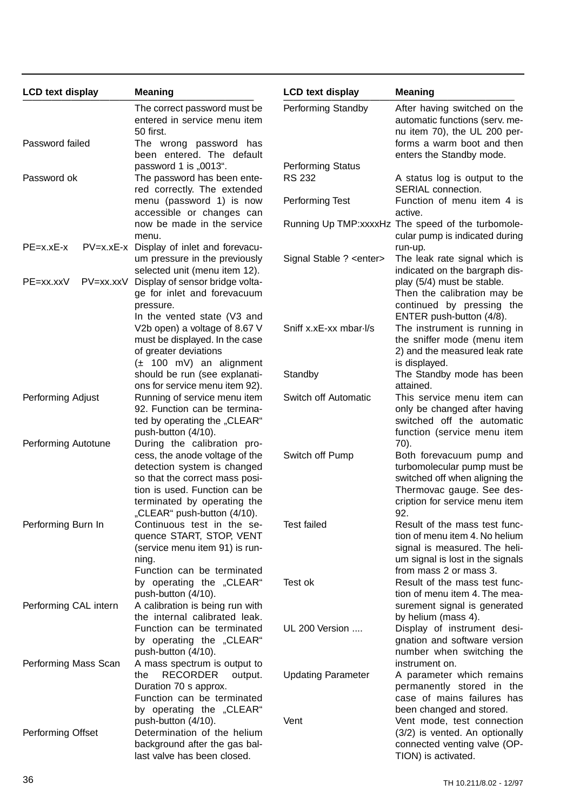| <b>LCD text display</b>  | <b>Meaning</b>                                                                                                                                                                                 | <b>LCD text display</b>                   | <b>Meaning</b>                                                                                                                                                  |
|--------------------------|------------------------------------------------------------------------------------------------------------------------------------------------------------------------------------------------|-------------------------------------------|-----------------------------------------------------------------------------------------------------------------------------------------------------------------|
|                          | The correct password must be<br>entered in service menu item<br>50 first.                                                                                                                      | Performing Standby                        | After having switched on the<br>automatic functions (serv. me-<br>nu item 70), the UL 200 per-                                                                  |
| Password failed          | The wrong password has<br>been entered. The default                                                                                                                                            |                                           | forms a warm boot and then<br>enters the Standby mode.                                                                                                          |
| Password ok              | password 1 is "0013".<br>The password has been ente-<br>red correctly. The extended                                                                                                            | <b>Performing Status</b><br><b>RS 232</b> | A status log is output to the<br>SERIAL connection.                                                                                                             |
|                          | menu (password 1) is now<br>accessible or changes can                                                                                                                                          | Performing Test                           | Function of menu item 4 is<br>active.                                                                                                                           |
| $PE=x.xE-x$              | now be made in the service<br>menu.<br>PV=x.xE-x Display of inlet and forevacu-                                                                                                                |                                           | Running Up TMP:xxxxHz The speed of the turbomole-<br>cular pump is indicated during<br>run-up.                                                                  |
|                          | um pressure in the previously<br>selected unit (menu item 12).                                                                                                                                 | Signal Stable ? < enter>                  | The leak rate signal which is<br>indicated on the bargraph dis-                                                                                                 |
| PV=xx.xxV<br>$PE=xx.xxV$ | Display of sensor bridge volta-<br>ge for inlet and forevacuum<br>pressure.                                                                                                                    |                                           | play (5/4) must be stable.<br>Then the calibration may be<br>continued by pressing the                                                                          |
|                          | In the vented state (V3 and<br>V2b open) a voltage of 8.67 V<br>must be displayed. In the case<br>of greater deviations                                                                        | Sniff x.xE-xx mbar-l/s                    | ENTER push-button (4/8).<br>The instrument is running in<br>the sniffer mode (menu item<br>2) and the measured leak rate                                        |
|                          | $(\pm 100 \text{ mV})$ an alignment<br>should be run (see explanati-<br>ons for service menu item 92).                                                                                         | Standby                                   | is displayed.<br>The Standby mode has been<br>attained.                                                                                                         |
| Performing Adjust        | Running of service menu item<br>92. Function can be termina-<br>ted by operating the "CLEAR"<br>push-button (4/10).                                                                            | Switch off Automatic                      | This service menu item can<br>only be changed after having<br>switched off the automatic<br>function (service menu item                                         |
| Performing Autotune      | During the calibration pro-                                                                                                                                                                    |                                           | 70).                                                                                                                                                            |
|                          | cess, the anode voltage of the<br>detection system is changed<br>so that the correct mass posi-<br>tion is used. Function can be<br>terminated by operating the<br>"CLEAR" push-button (4/10). | Switch off Pump                           | Both forevacuum pump and<br>turbomolecular pump must be<br>switched off when aligning the<br>Thermovac gauge. See des-<br>cription for service menu item<br>92. |
| Performing Burn In       | Continuous test in the se-<br>quence START, STOP, VENT<br>(service menu item 91) is run-<br>ning.<br>Function can be terminated                                                                | <b>Test failed</b>                        | Result of the mass test func-<br>tion of menu item 4. No helium<br>signal is measured. The heli-<br>um signal is lost in the signals<br>from mass 2 or mass 3.  |
| Performing CAL intern    | by operating the "CLEAR"<br>push-button (4/10).<br>A calibration is being run with<br>the internal calibrated leak.                                                                            | Test ok                                   | Result of the mass test func-<br>tion of menu item 4. The mea-<br>surement signal is generated<br>by helium (mass 4).                                           |
|                          | Function can be terminated<br>by operating the "CLEAR"<br>push-button (4/10).                                                                                                                  | UL 200 Version                            | Display of instrument desi-<br>gnation and software version<br>number when switching the                                                                        |
| Performing Mass Scan     | A mass spectrum is output to<br><b>RECORDER</b><br>the<br>output.<br>Duration 70 s approx.<br>Function can be terminated                                                                       | <b>Updating Parameter</b>                 | instrument on.<br>A parameter which remains<br>permanently stored in the<br>case of mains failures has                                                          |
| Performing Offset        | by operating the "CLEAR"<br>push-button (4/10).<br>Determination of the helium<br>background after the gas bal-<br>last valve has been closed.                                                 | Vent                                      | been changed and stored.<br>Vent mode, test connection<br>(3/2) is vented. An optionally<br>connected venting valve (OP-<br>TION) is activated.                 |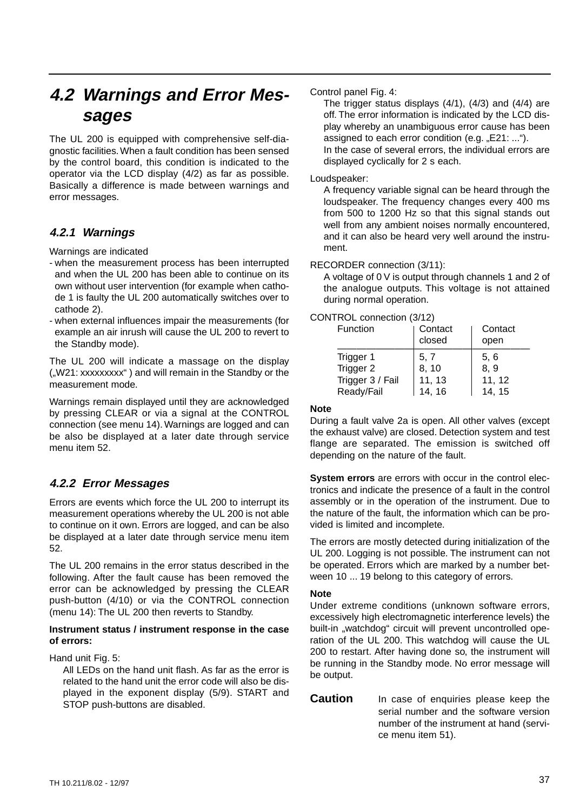## **4.2 Warnings and Error Messages**

The UL 200 is equipped with comprehensive self-diagnostic facilities.When a fault condition has been sensed by the control board, this condition is indicated to the operator via the LCD display (4/2) as far as possible. Basically a difference is made between warnings and error messages.

## **4.2.1 Warnings**

Warnings are indicated

- when the measurement process has been interrupted and when the UL 200 has been able to continue on its own without user intervention (for example when cathode 1 is faulty the UL 200 automatically switches over to cathode 2).
- when external influences impair the measurements (for example an air inrush will cause the UL 200 to revert to the Standby mode).

The UL 200 will indicate a massage on the display ("W21: xxxxxxxxx") and will remain in the Standby or the measurement mode.

Warnings remain displayed until they are acknowledged by pressing CLEAR or via a signal at the CONTROL connection (see menu 14).Warnings are logged and can be also be displayed at a later date through service menu item 52.

## **4.2.2 Error Messages**

Errors are events which force the UL 200 to interrupt its measurement operations whereby the UL 200 is not able to continue on it own. Errors are logged, and can be also be displayed at a later date through service menu item 52.

The UL 200 remains in the error status described in the following. After the fault cause has been removed the error can be acknowledged by pressing the CLEAR push-button (4/10) or via the CONTROL connection (menu 14): The UL 200 then reverts to Standby.

#### **Instrument status / instrument response in the case of errors:**

Hand unit Fig. 5:

All LEDs on the hand unit flash. As far as the error is related to the hand unit the error code will also be displayed in the exponent display (5/9). START and STOP push-buttons are disabled.

Control panel Fig. 4:

The trigger status displays (4/1), (4/3) and (4/4) are off. The error information is indicated by the LCD display whereby an unambiguous error cause has been assigned to each error condition (e.g.  $E21: ...$ ").

In the case of several errors, the individual errors are displayed cyclically for 2 s each.

### Loudspeaker:

A frequency variable signal can be heard through the loudspeaker. The frequency changes every 400 ms from 500 to 1200 Hz so that this signal stands out well from any ambient noises normally encountered, and it can also be heard very well around the instrument.

### RECORDER connection (3/11):

A voltage of 0 V is output through channels 1 and 2 of the analogue outputs. This voltage is not attained during normal operation.

### CONTROL connection (3/12)

| Function               | Contact<br>closed | Contact<br>open |
|------------------------|-------------------|-----------------|
| Trigger 1<br>Trigger 2 | 5, 7<br>8, 10     | 5, 6<br>8, 9    |
| Trigger 3 / Fail       | 11, 13            | 11, 12          |
| Ready/Fail             | 14, 16            | 14, 15          |

### **Note**

During a fault valve 2a is open. All other valves (except the exhaust valve) are closed. Detection system and test flange are separated. The emission is switched off depending on the nature of the fault.

**System errors** are errors with occur in the control electronics and indicate the presence of a fault in the control assembly or in the operation of the instrument. Due to the nature of the fault, the information which can be provided is limited and incomplete.

The errors are mostly detected during initialization of the UL 200. Logging is not possible. The instrument can not be operated. Errors which are marked by a number between 10 ... 19 belong to this category of errors.

### **Note**

Under extreme conditions (unknown software errors, excessively high electromagnetic interference levels) the built-in "watchdog" circuit will prevent uncontrolled operation of the UL 200. This watchdog will cause the UL 200 to restart. After having done so, the instrument will be running in the Standby mode. No error message will be output.

**Caution** In case of enquiries please keep the serial number and the software version number of the instrument at hand (service menu item 51).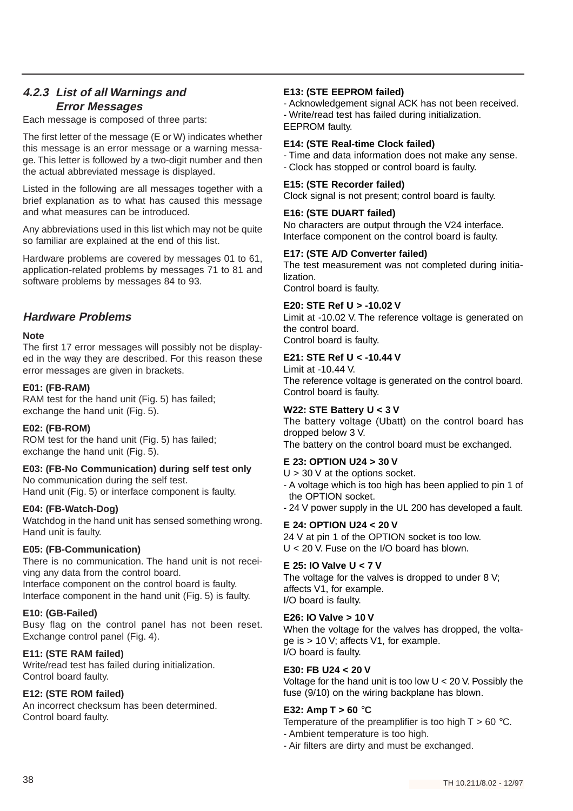## **4.2.3 List of all Warnings and Error Messages**

Each message is composed of three parts:

The first letter of the message (E or W) indicates whether this message is an error message or a warning message. This letter is followed by a two-digit number and then the actual abbreviated message is displayed.

Listed in the following are all messages together with a brief explanation as to what has caused this message and what measures can be introduced.

Any abbreviations used in this list which may not be quite so familiar are explained at the end of this list.

Hardware problems are covered by messages 01 to 61, application-related problems by messages 71 to 81 and software problems by messages 84 to 93.

### **Hardware Problems**

### **Note**

The first 17 error messages will possibly not be displayed in the way they are described. For this reason these error messages are given in brackets.

### **E01: (FB-RAM)**

RAM test for the hand unit (Fig. 5) has failed; exchange the hand unit (Fig. 5).

### **E02: (FB-ROM)**

ROM test for the hand unit (Fig. 5) has failed; exchange the hand unit (Fig. 5).

### **E03: (FB-No Communication) during self test only** No communication during the self test.

Hand unit (Fig. 5) or interface component is faulty.

### **E04: (FB-Watch-Dog)**

Watchdog in the hand unit has sensed something wrong. Hand unit is faulty.

### **E05: (FB-Communication)**

There is no communication. The hand unit is not receiving any data from the control board. Interface component on the control board is faulty. Interface component in the hand unit (Fig. 5) is faulty.

### **E10: (GB-Failed)**

Busy flag on the control panel has not been reset. Exchange control panel (Fig. 4).

### **E11: (STE RAM failed)**

Write/read test has failed during initialization. Control board faulty.

### **E12: (STE ROM failed)**

An incorrect checksum has been determined. Control board faulty.

### **E13: (STE EEPROM failed)**

- Acknowledgement signal ACK has not been received. - Write/read test has failed during initialization. EEPROM faulty.

### **E14: (STE Real-time Clock failed)**

- Time and data information does not make any sense. - Clock has stopped or control board is faulty.

### **E15: (STE Recorder failed)**

Clock signal is not present; control board is faulty.

### **E16: (STE DUART failed)**

No characters are output through the V24 interface. Interface component on the control board is faulty.

### **E17: (STE A/D Converter failed)**

The test measurement was not completed during initialization.

Control board is faulty.

### **E20: STE Ref U > -10.02 V**

Limit at -10.02 V. The reference voltage is generated on the control board. Control board is faulty.

### **E21: STE Ref U < -10.44 V**

Limit at -10.44 V. The reference voltage is generated on the control board. Control board is faulty.

### **W22: STE Battery U < 3 V**

The battery voltage (Ubatt) on the control board has dropped below 3 V. The battery on the control board must be exchanged.

### **E 23: OPTION U24 > 30 V**

 $U > 30$  V at the options socket. - A voltage which is too high has been applied to pin 1 of the OPTION socket. - 24 V power supply in the UL 200 has developed a fault.

### **E 24: OPTION U24 < 20 V**

24 V at pin 1 of the OPTION socket is too low. U < 20 V. Fuse on the I/O board has blown.

### **E 25: IO Valve U < 7 V**

The voltage for the valves is dropped to under 8 V; affects V1, for example. I/O board is faulty.

### **E26: IO Valve > 10 V**

When the voltage for the valves has dropped, the voltage is > 10 V; affects V1, for example. I/O board is faulty.

### **E30: FB U24 < 20 V**

Voltage for the hand unit is too low U < 20 V. Possibly the fuse (9/10) on the wiring backplane has blown.

### **E32: Amp T > 60** °**C**

Temperature of the preamplifier is too high  $T > 60$  °C.

- Ambient temperature is too high.
- Air filters are dirty and must be exchanged.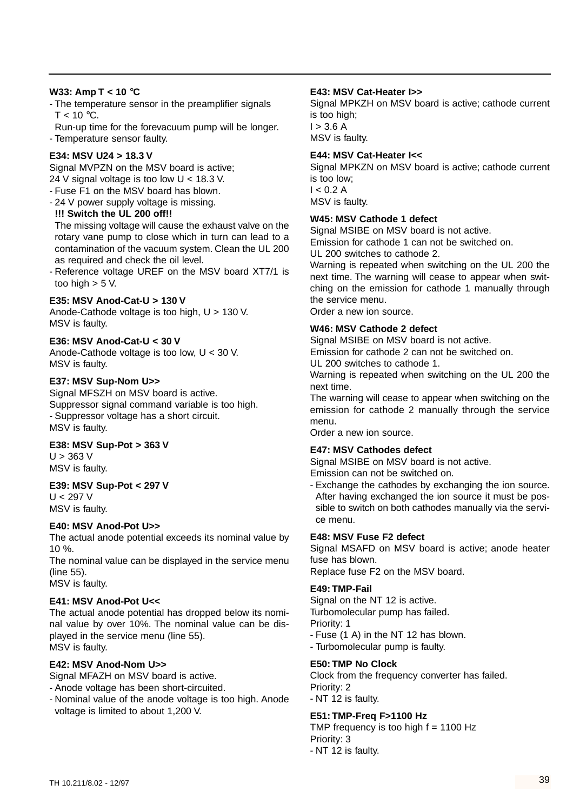### **W33: Amp T < 10** °**C**

- The temperature sensor in the preamplifier signals  $T < 10 \degree C$ .
- Run-up time for the forevacuum pump will be longer.
- Temperature sensor faulty.

### **E34: MSV U24 > 18.3 V**

Signal MVPZN on the MSV board is active; 24 V signal voltage is too low U < 18.3 V.

- Fuse F1 on the MSV board has blown.
- 24 V power supply voltage is missing. **!!! Switch the UL 200 off!!**

The missing voltage will cause the exhaust valve on the rotary vane pump to close which in turn can lead to a contamination of the vacuum system. Clean the UL 200 as required and check the oil level.

- Reference voltage UREF on the MSV board XT7/1 is too high  $>$  5 V.

### **E35: MSV Anod-Cat-U > 130 V**

Anode-Cathode voltage is too high, U > 130 V. MSV is faulty.

### **E36: MSV Anod-Cat-U < 30 V**

Anode-Cathode voltage is too low, U < 30 V. MSV is faulty.

### **E37: MSV Sup-Nom U>>**

Signal MFSZH on MSV board is active. Suppressor signal command variable is too high. - Suppressor voltage has a short circuit. MSV is faulty.

### **E38: MSV Sup-Pot > 363 V**

 $U > 363$  V MSV is faulty.

### **E39: MSV Sup-Pot < 297 V**

 $U < 297 V$ MSV is faulty.

### **E40: MSV Anod-Pot U>>**

The actual anode potential exceeds its nominal value by 10 %.

The nominal value can be displayed in the service menu (line 55).

MSV is faulty.

### **E41: MSV Anod-Pot U<<**

The actual anode potential has dropped below its nominal value by over 10%. The nominal value can be displayed in the service menu (line 55). MSV is faulty.

### **E42: MSV Anod-Nom U>>**

- Signal MFAZH on MSV board is active.
- Anode voltage has been short-circuited.
- Nominal value of the anode voltage is too high. Anode voltage is limited to about 1,200 V.

### **E43: MSV Cat-Heater I>>**

Signal MPKZH on MSV board is active; cathode current is too high;  $I > 3.6 A$ MSV is faulty.

### **E44: MSV Cat-Heater I<<**

Signal MPKZN on MSV board is active; cathode current is too low;  $I < 0.2 A$ MSV is faulty.

### **W45: MSV Cathode 1 defect**

Signal MSIBE on MSV board is not active.

Emission for cathode 1 can not be switched on.

UL 200 switches to cathode 2.

Warning is repeated when switching on the UL 200 the next time. The warning will cease to appear when switching on the emission for cathode 1 manually through the service menu.

Order a new ion source.

### **W46: MSV Cathode 2 defect**

Signal MSIBE on MSV board is not active.

Emission for cathode 2 can not be switched on.

UL 200 switches to cathode 1.

Warning is repeated when switching on the UL 200 the next time.

The warning will cease to appear when switching on the emission for cathode 2 manually through the service menu.

Order a new ion source.

### **E47: MSV Cathodes defect**

Signal MSIBE on MSV board is not active. Emission can not be switched on.

- Exchange the cathodes by exchanging the ion source.

After having exchanged the ion source it must be possible to switch on both cathodes manually via the service menu.

### **E48: MSV Fuse F2 defect**

Signal MSAFD on MSV board is active; anode heater fuse has blown.

Replace fuse F2 on the MSV board.

### **E49: TMP-Fail**

Signal on the NT 12 is active. Turbomolecular pump has failed. Priority: 1 - Fuse (1 A) in the NT 12 has blown.

- Turbomolecular pump is faulty.

### **E50: TMP No Clock**

Clock from the frequency converter has failed. Priority: 2 - NT 12 is faulty.

### **E51: TMP-Freq F>1100 Hz**

TMP frequency is too high  $f = 1100$  Hz Priority: 3 - NT 12 is faulty.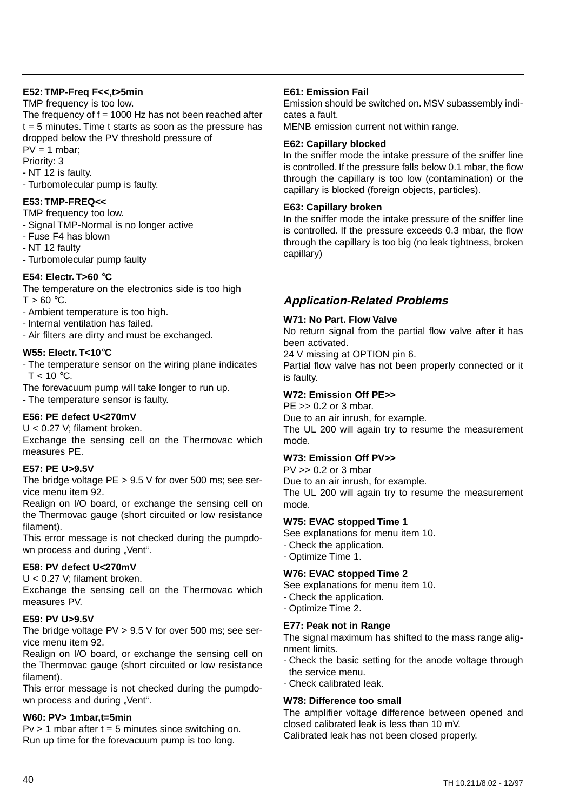### **E52: TMP-Freq F<<,t>5min**

TMP frequency is too low.

The frequency of  $f = 1000$  Hz has not been reached after  $t = 5$  minutes. Time t starts as soon as the pressure has dropped below the PV threshold pressure of  $PV = 1$  mbar;

Priority: 3

- NT 12 is faulty.

- Turbomolecular pump is faulty.

### **E53: TMP-FREQ<<**

TMP frequency too low.

- Signal TMP-Normal is no longer active

- Fuse F4 has blown

- NT 12 faulty

- Turbomolecular pump faulty

### **E54: Electr. T>60** °**C**

The temperature on the electronics side is too high  $T > 60 °C$ .

- Ambient temperature is too high.

- Internal ventilation has failed.

- Air filters are dirty and must be exchanged.

### **W55: Electr. T<10**°**C**

- The temperature sensor on the wiring plane indicates  $T < 10 \degree C$ .

The forevacuum pump will take longer to run up.

- The temperature sensor is faulty.

### **E56: PE defect U<270mV**

U < 0.27 V; filament broken.

Exchange the sensing cell on the Thermovac which measures PE.

### **E57: PE U>9.5V**

The bridge voltage PE > 9.5 V for over 500 ms; see service menu item 92.

Realign on I/O board, or exchange the sensing cell on the Thermovac gauge (short circuited or low resistance filament).

This error message is not checked during the pumpdown process and during "Vent".

### **E58: PV defect U<270mV**

U < 0.27 V; filament broken.

Exchange the sensing cell on the Thermovac which measures PV.

### **E59: PV U>9.5V**

The bridge voltage  $PV > 9.5 V$  for over 500 ms; see service menu item 92.

Realign on I/O board, or exchange the sensing cell on the Thermovac gauge (short circuited or low resistance filament).

This error message is not checked during the pumpdown process and during "Vent".

### **W60: PV> 1mbar,t=5min**

 $Pv > 1$  mbar after  $t = 5$  minutes since switching on. Run up time for the forevacuum pump is too long.

#### **E61: Emission Fail**

Emission should be switched on. MSV subassembly indicates a fault.

MENB emission current not within range.

#### **E62: Capillary blocked**

In the sniffer mode the intake pressure of the sniffer line is controlled. If the pressure falls below 0.1 mbar, the flow through the capillary is too low (contamination) or the capillary is blocked (foreign objects, particles).

#### **E63: Capillary broken**

In the sniffer mode the intake pressure of the sniffer line is controlled. If the pressure exceeds 0.3 mbar, the flow through the capillary is too big (no leak tightness, broken capillary)

### **Application-Related Problems**

### **W71: No Part. Flow Valve**

No return signal from the partial flow valve after it has been activated.

24 V missing at OPTION pin 6.

Partial flow valve has not been properly connected or it is faulty.

### **W72: Emission Off PE>>**

 $PE \gg 0.2$  or 3 mbar.

Due to an air inrush, for example.

The UL 200 will again try to resume the measurement mode.

### **W73: Emission Off PV>>**

PV >> 0.2 or 3 mbar

Due to an air inrush, for example.

The UL 200 will again try to resume the measurement mode.

#### **W75: EVAC stopped Time 1**

See explanations for menu item 10.

- Check the application.
- Optimize Time 1.

### **W76: EVAC stopped Time 2**

See explanations for menu item 10.

- Check the application.
- Optimize Time 2.

#### **E77: Peak not in Range**

The signal maximum has shifted to the mass range alignment limits.

- Check the basic setting for the anode voltage through the service menu.
- Check calibrated leak.

### **W78: Difference too small**

The amplifier voltage difference between opened and closed calibrated leak is less than 10 mV. Calibrated leak has not been closed properly.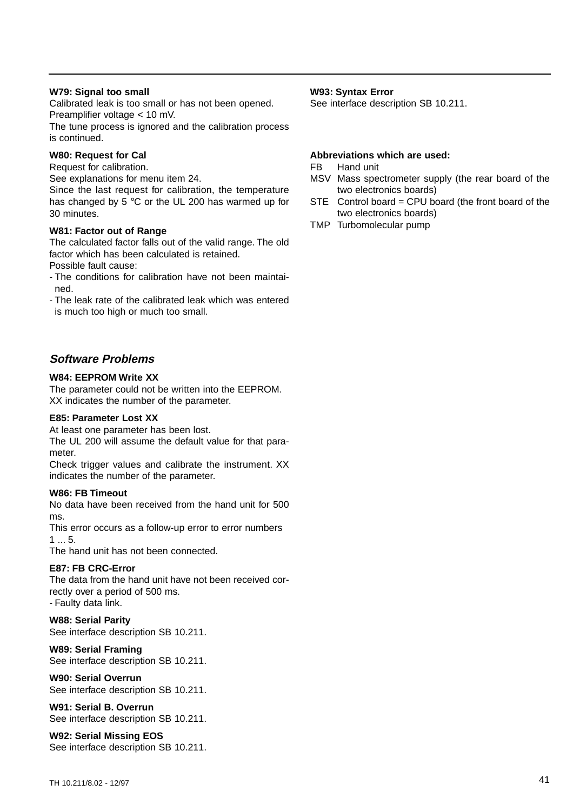#### **W79: Signal too small**

Calibrated leak is too small or has not been opened. Preamplifier voltage < 10 mV.

The tune process is ignored and the calibration process is continued.

### **W80: Request for Cal**

Request for calibration.

See explanations for menu item 24.

Since the last request for calibration, the temperature has changed by 5 °C or the UL 200 has warmed up for 30 minutes.

#### **W81: Factor out of Range**

The calculated factor falls out of the valid range. The old factor which has been calculated is retained. Possible fault cause:

- The conditions for calibration have not been maintained.

- The leak rate of the calibrated leak which was entered is much too high or much too small.

### **Software Problems**

#### **W84: EEPROM Write XX**

The parameter could not be written into the EEPROM. XX indicates the number of the parameter.

#### **E85: Parameter Lost XX**

At least one parameter has been lost.

The UL 200 will assume the default value for that parameter.

Check trigger values and calibrate the instrument. XX indicates the number of the parameter.

#### **W86: FB Timeout**

No data have been received from the hand unit for 500 ms.

This error occurs as a follow-up error to error numbers 1 ... 5.

The hand unit has not been connected.

#### **E87: FB CRC-Error**

The data from the hand unit have not been received correctly over a period of 500 ms. - Faulty data link.

#### **W88: Serial Parity** See interface description SB 10.211.

**W89: Serial Framing** See interface description SB 10.211.

**W90: Serial Overrun**

See interface description SB 10.211.

**W91: Serial B. Overrun** See interface description SB 10.211.

#### **W92: Serial Missing EOS** See interface description SB 10.211.

### **W93: Syntax Error**

See interface description SB 10.211.

#### **Abbreviations which are used:**

FB Hand unit

- MSV Mass spectrometer supply (the rear board of the two electronics boards)
- STE Control board = CPU board (the front board of the two electronics boards)
- TMP Turbomolecular pump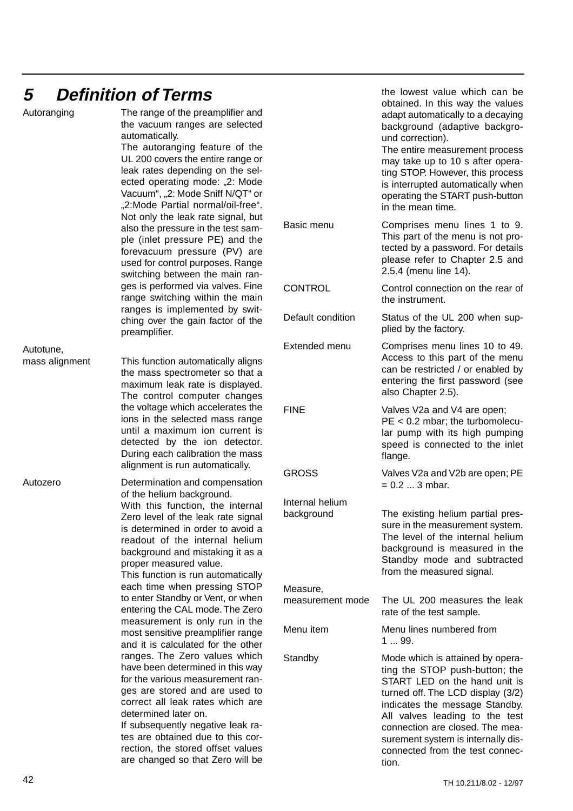# **5 Definition of Terms**

|                             | PUNNIUTI UI IUNIU                                                                                                                                                                                                                                                                                                                                      |                               | obtained. In this way the values                                                                                                                                                                                                                                                                                                  |
|-----------------------------|--------------------------------------------------------------------------------------------------------------------------------------------------------------------------------------------------------------------------------------------------------------------------------------------------------------------------------------------------------|-------------------------------|-----------------------------------------------------------------------------------------------------------------------------------------------------------------------------------------------------------------------------------------------------------------------------------------------------------------------------------|
| Autoranging                 | The range of the preamplifier and<br>the vacuum ranges are selected<br>automatically.<br>The autoranging feature of the<br>UL 200 covers the entire range or<br>leak rates depending on the sel-<br>ected operating mode: "2: Mode<br>Vacuum", "2: Mode Sniff N/QT" or<br>"2:Mode Partial normal/oil-free".<br>Not only the leak rate signal, but      |                               | adapt automatically to a decaying<br>background (adaptive backgro-<br>und correction).<br>The entire measurement process<br>may take up to 10 s after opera-<br>ting STOP. However, this process<br>is interrupted automatically when<br>operating the START push-button<br>in the mean time.                                     |
|                             | also the pressure in the test sam-<br>ple (inlet pressure PE) and the<br>forevacuum pressure (PV) are<br>used for control purposes. Range<br>switching between the main ran-                                                                                                                                                                           | Basic menu                    | Comprises menu lines 1 to 9.<br>This part of the menu is not pro-<br>tected by a password. For details<br>please refer to Chapter 2.5 and<br>2.5.4 (menu line 14).                                                                                                                                                                |
|                             | ges is performed via valves. Fine<br>range switching within the main                                                                                                                                                                                                                                                                                   | <b>CONTROL</b>                | Control connection on the rear of<br>the instrument.                                                                                                                                                                                                                                                                              |
|                             | ranges is implemented by swit-<br>ching over the gain factor of the<br>preamplifier.                                                                                                                                                                                                                                                                   | Default condition             | Status of the UL 200 when sup-<br>plied by the factory.                                                                                                                                                                                                                                                                           |
| Autotune,<br>mass alignment | This function automatically aligns<br>the mass spectrometer so that a<br>maximum leak rate is displayed.<br>The control computer changes                                                                                                                                                                                                               | Extended menu                 | Comprises menu lines 10 to 49.<br>Access to this part of the menu<br>can be restricted / or enabled by<br>entering the first password (see<br>also Chapter 2.5).                                                                                                                                                                  |
|                             | the voltage which accelerates the<br>ions in the selected mass range<br>until a maximum ion current is<br>detected by the ion detector.<br>During each calibration the mass<br>alignment is run automatically.                                                                                                                                         | <b>FINE</b>                   | Valves V2a and V4 are open;<br>$PE < 0.2$ mbar; the turbomolecu-<br>lar pump with its high pumping<br>speed is connected to the inlet<br>flange.                                                                                                                                                                                  |
| Autozero                    | Determination and compensation<br>of the helium background.                                                                                                                                                                                                                                                                                            | <b>GROSS</b>                  | Valves V2a and V2b are open; PE<br>$= 0.2  3$ mbar.                                                                                                                                                                                                                                                                               |
|                             | With this function, the internal<br>Zero level of the leak rate signal<br>is determined in order to avoid a<br>readout of the internal helium<br>background and mistaking it as a<br>proper measured value.<br>This function is run automatically                                                                                                      | Internal helium<br>background | The existing helium partial pres-<br>sure in the measurement system.<br>The level of the internal helium<br>background is measured in the<br>Standby mode and subtracted<br>from the measured signal.                                                                                                                             |
|                             | each time when pressing STOP<br>to enter Standby or Vent, or when<br>entering the CAL mode. The Zero                                                                                                                                                                                                                                                   | Measure,<br>measurement mode  | The UL 200 measures the leak<br>rate of the test sample.                                                                                                                                                                                                                                                                          |
|                             | measurement is only run in the<br>most sensitive preamplifier range<br>and it is calculated for the other                                                                                                                                                                                                                                              | Menu item                     | Menu lines numbered from<br>1  99.                                                                                                                                                                                                                                                                                                |
|                             | ranges. The Zero values which<br>have been determined in this way<br>for the various measurement ran-<br>ges are stored and are used to<br>correct all leak rates which are<br>determined later on.<br>If subsequently negative leak ra-<br>tes are obtained due to this cor-<br>rection, the stored offset values<br>are changed so that Zero will be | Standby                       | Mode which is attained by opera-<br>ting the STOP push-button; the<br>START LED on the hand unit is<br>turned off. The LCD display (3/2)<br>indicates the message Standby.<br>All valves leading to the test<br>connection are closed. The mea-<br>surement system is internally dis-<br>connected from the test connec-<br>tion. |

the lowest value which can be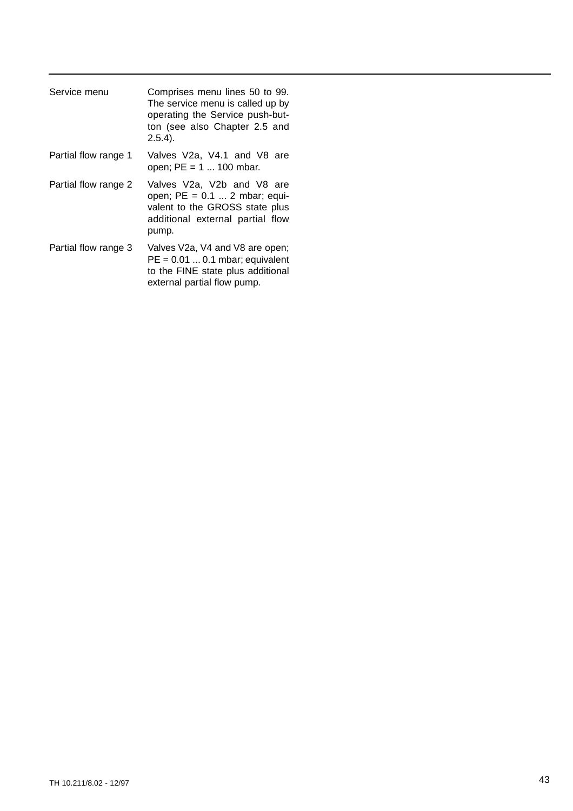| Service menu         | Comprises menu lines 50 to 99.<br>The service menu is called up by<br>operating the Service push-but-<br>ton (see also Chapter 2.5 and<br>$2.5.4$ ). |
|----------------------|------------------------------------------------------------------------------------------------------------------------------------------------------|
| Partial flow range 1 | Valves V2a, V4.1 and V8 are<br>open; $PE = 1  100$ mbar.                                                                                             |
| Partial flow range 2 | Valves V2a, V2b and V8 are<br>open; $PE = 0.1$ 2 mbar; equi-<br>valent to the GROSS state plus<br>additional external partial flow<br>pump.          |
| Partial flow range 3 | Valves V2a, V4 and V8 are open;<br>$PE = 0.01 \dots 0.1$ mbar; equivalent<br>to the FINE state plus additional<br>external partial flow pump.        |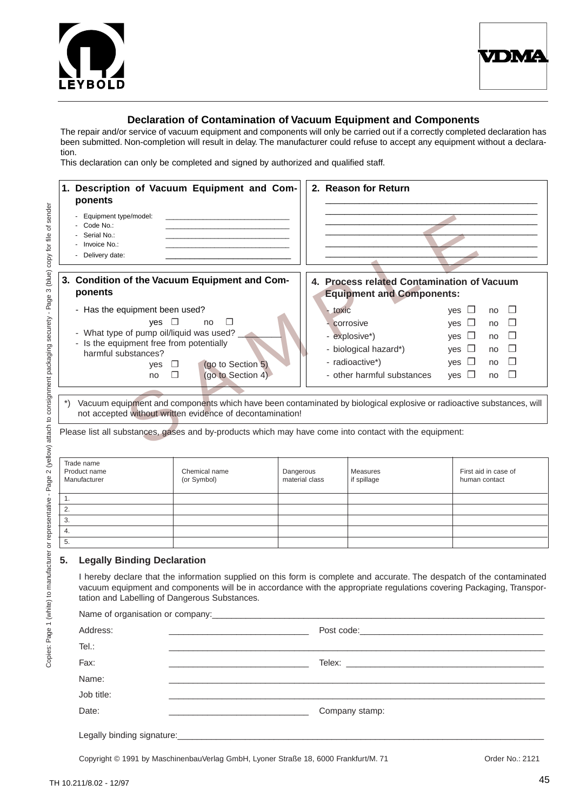![](_page_44_Picture_0.jpeg)

![](_page_44_Picture_1.jpeg)

### **Declaration of Contamination of Vacuum Equipment and Components**

The repair and/or service of vacuum equipment and components will only be carried out if a correctly completed declaration has been submitted. Non-completion will result in delay. The manufacturer could refuse to accept any equipment without a declaration.

This declaration can only be completed and signed by authorized and qualified staff.

| Description of Vacuum Equipment and Com-<br>1.<br>ponents                                              | 2. Reason for Return                                                                                                 |
|--------------------------------------------------------------------------------------------------------|----------------------------------------------------------------------------------------------------------------------|
| - Equipment type/model:                                                                                |                                                                                                                      |
| - Code No.:                                                                                            |                                                                                                                      |
| - Serial No.:                                                                                          |                                                                                                                      |
| - Invoice No.:                                                                                         |                                                                                                                      |
| - Delivery date:                                                                                       |                                                                                                                      |
| 3. Condition of the Vacuum Equipment and Com-<br>ponents                                               | 4. Process related Contamination of Vacuum<br><b>Equipment and Components:</b>                                       |
| - Has the equipment been used?                                                                         | $-$ toxic<br>yes $\Box$<br>$\Box$<br>no                                                                              |
| $\Box$<br>$ves$ $\Box$<br>no                                                                           | corrosive<br>yes $\Box$<br>$\Box$<br>no                                                                              |
| - What type of pump oil/liquid was used?                                                               | - explosive*)<br>yes $\Box$<br>$\Box$<br>no                                                                          |
| - Is the equipment free from potentially<br>harmful substances?                                        | - biological hazard*)<br>yes $\Box$<br>$\Box$<br>no                                                                  |
| (go to Section 5)<br>yes<br>$\Box$                                                                     | - radioactive*)<br>yes $\Box$<br>$\Box$<br>no                                                                        |
| (go to Section 4)<br>$\Box$<br>no                                                                      | - other harmful substances<br>$\Box$<br>yes $\Box$<br>no                                                             |
|                                                                                                        |                                                                                                                      |
| $\ast$<br>not accepted without written evidence of decontamination!                                    | Vacuum equipment and components which have been contaminated by biological explosive or radioactive substances, will |
| Please list all substances, gases and by-products which may have come into contact with the equipment: |                                                                                                                      |

| Trade name<br>Product name<br>Manufacturer | Chemical name<br>(or Symbol) | Dangerous<br>material class | Measures<br>if spillage | First aid in case of<br>human contact |
|--------------------------------------------|------------------------------|-----------------------------|-------------------------|---------------------------------------|
| . .                                        |                              |                             |                         |                                       |
| 2.                                         |                              |                             |                         |                                       |
| 3.                                         |                              |                             |                         |                                       |
| 4.                                         |                              |                             |                         |                                       |
| G.                                         |                              |                             |                         |                                       |

#### **5. Legally Binding Declaration**

I hereby declare that the information supplied on this form is complete and accurate. The despatch of the contaminated vacuum equipment and components will be in accordance with the appropriate regulations covering Packaging, Transportation and Labelling of Dangerous Substances.

| Address:   | <u> 1989 - Johann John Harry Harry Harry Harry Harry Harry Harry Harry Harry Harry Harry Harry Harry Harry Harry H</u> |
|------------|------------------------------------------------------------------------------------------------------------------------|
| Tel.:      |                                                                                                                        |
| Fax:       |                                                                                                                        |
| Name:      |                                                                                                                        |
| Job title: |                                                                                                                        |
| Date:      | Company stamp:                                                                                                         |
|            |                                                                                                                        |

Copyright © 1991 by MaschinenbauVerlag GmbH, Lyoner Straße 18, 6000 Frankfurt/M. 71 Order No.: 2121